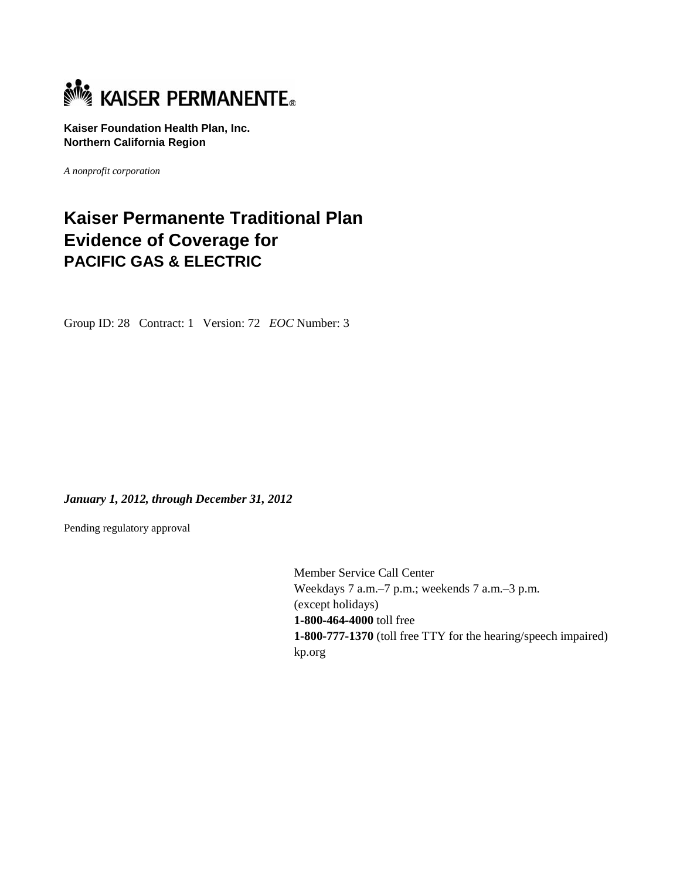

**Kaiser Foundation Health Plan, Inc. Northern California Region** 

*A nonprofit corporation*

# **Kaiser Permanente Traditional Plan Evidence of Coverage for PACIFIC GAS & ELECTRIC**

Group ID: 28 Contract: 1 Version: 72 *EOC* Number: 3

*January 1, 2012, through December 31, 2012* 

Pending regulatory approval

Member Service Call Center Weekdays 7 a.m.–7 p.m.; weekends 7 a.m.–3 p.m. (except holidays) **1-800-464-4000** toll free **1-800-777-1370** (toll free TTY for the hearing/speech impaired) kp.org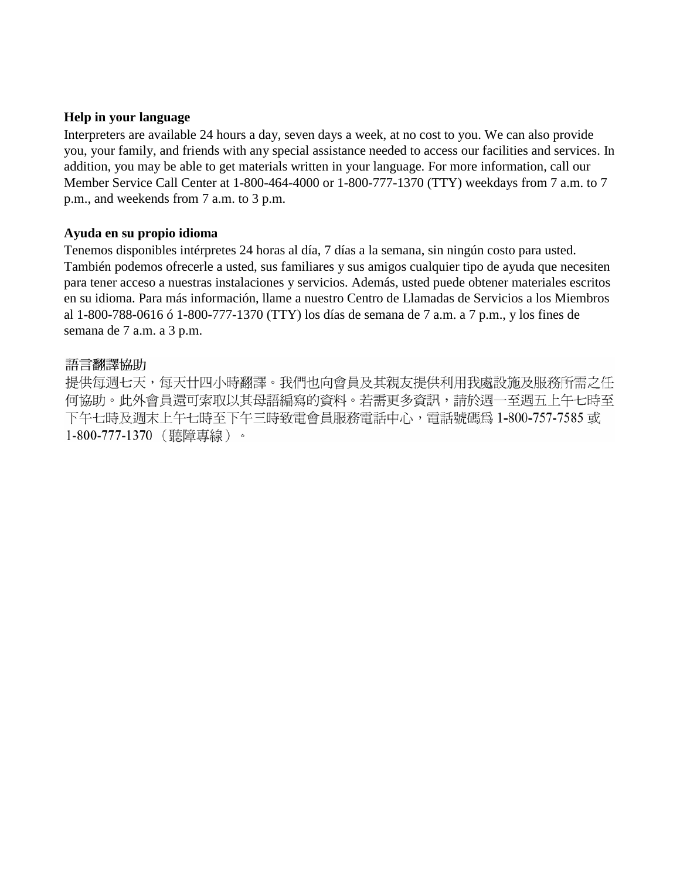### **Help in your language**

Interpreters are available 24 hours a day, seven days a week, at no cost to you. We can also provide you, your family, and friends with any special assistance needed to access our facilities and services. In addition, you may be able to get materials written in your language. For more information, call our Member Service Call Center at 1-800-464-4000 or 1-800-777-1370 (TTY) weekdays from 7 a.m. to 7 p.m., and weekends from 7 a.m. to 3 p.m.

### **Ayuda en su propio idioma**

Tenemos disponibles intérpretes 24 horas al día, 7 días a la semana, sin ningún costo para usted. También podemos ofrecerle a usted, sus familiares y sus amigos cualquier tipo de ayuda que necesiten para tener acceso a nuestras instalaciones y servicios. Además, usted puede obtener materiales escritos en su idioma. Para más información, llame a nuestro Centro de Llamadas de Servicios a los Miembros al 1-800-788-0616 ó 1-800-777-1370 (TTY) los días de semana de 7 a.m. a 7 p.m., y los fines de semana de 7 a.m. a 3 p.m.

### 語言翻譯協助

提供每週七天,每天廿四小時翻譯。我們也向會員及其親友提供利用我處設施及服務所需之任 何協助。此外會員還可索取以其母語編寫的資料。若需更多資訊,請於週一至週五上午七時至 下午七時及週末上午七時至下午三時致電會員服務電話中心,電話號碼為 1-800-757-7585 或 1-800-777-1370 (聽障專線)。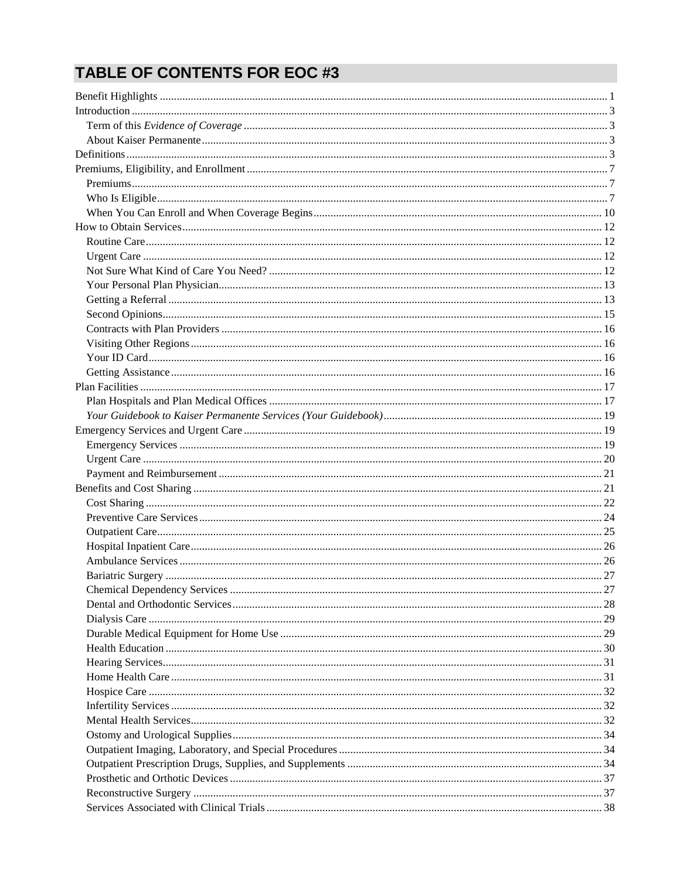# **TABLE OF CONTENTS FOR EOC #3**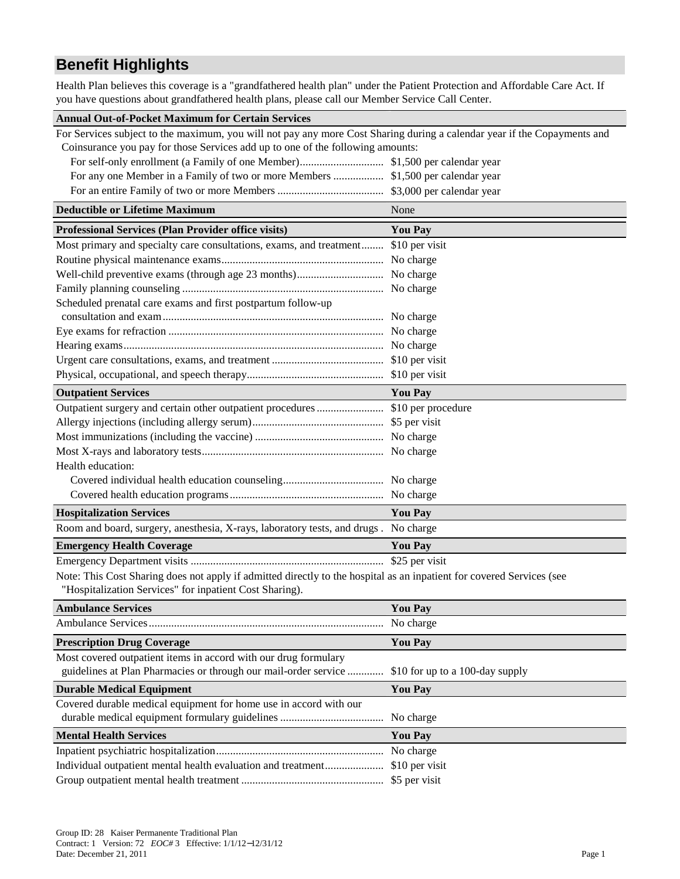# **Benefit Highlights**

Health Plan believes this coverage is a "grandfathered health plan" under the Patient Protection and Affordable Care Act. If you have questions about grandfathered health plans, please call our Member Service Call Center.

| <b>Annual Out-of-Pocket Maximum for Certain Services</b>                                                                 |                                 |
|--------------------------------------------------------------------------------------------------------------------------|---------------------------------|
| For Services subject to the maximum, you will not pay any more Cost Sharing during a calendar year if the Copayments and |                                 |
| Coinsurance you pay for those Services add up to one of the following amounts:                                           |                                 |
|                                                                                                                          |                                 |
| For any one Member in a Family of two or more Members  \$1,500 per calendar year                                         |                                 |
|                                                                                                                          |                                 |
| <b>Deductible or Lifetime Maximum</b>                                                                                    | None                            |
| <b>Professional Services (Plan Provider office visits)</b>                                                               | <b>You Pay</b>                  |
| Most primary and specialty care consultations, exams, and treatment \$10 per visit                                       |                                 |
|                                                                                                                          |                                 |
|                                                                                                                          |                                 |
|                                                                                                                          |                                 |
| Scheduled prenatal care exams and first postpartum follow-up                                                             |                                 |
|                                                                                                                          |                                 |
|                                                                                                                          |                                 |
|                                                                                                                          |                                 |
|                                                                                                                          |                                 |
|                                                                                                                          |                                 |
| <b>Outpatient Services</b>                                                                                               | <b>You Pay</b>                  |
|                                                                                                                          |                                 |
|                                                                                                                          |                                 |
|                                                                                                                          |                                 |
|                                                                                                                          |                                 |
| Health education:                                                                                                        |                                 |
|                                                                                                                          |                                 |
|                                                                                                                          |                                 |
| <b>Hospitalization Services</b>                                                                                          | <b>You Pay</b>                  |
| Room and board, surgery, anesthesia, X-rays, laboratory tests, and drugs.                                                | No charge                       |
| <b>Emergency Health Coverage</b>                                                                                         | <b>You Pay</b>                  |
|                                                                                                                          | \$25 per visit                  |
| Note: This Cost Sharing does not apply if admitted directly to the hospital as an inpatient for covered Services (see    |                                 |
| "Hospitalization Services" for inpatient Cost Sharing).                                                                  |                                 |
| <b>Ambulance Services</b>                                                                                                | <b>You Pay</b>                  |
|                                                                                                                          | No charge                       |
| <b>Prescription Drug Coverage</b>                                                                                        | <b>You Pay</b>                  |
| Most covered outpatient items in accord with our drug formulary                                                          |                                 |
| guidelines at Plan Pharmacies or through our mail-order service                                                          | \$10 for up to a 100-day supply |
| <b>Durable Medical Equipment</b>                                                                                         | <b>You Pay</b>                  |
| Covered durable medical equipment for home use in accord with our                                                        |                                 |
|                                                                                                                          | No charge                       |
| <b>Mental Health Services</b>                                                                                            | <b>You Pay</b>                  |
|                                                                                                                          | No charge                       |
| Individual outpatient mental health evaluation and treatment                                                             | \$10 per visit                  |
|                                                                                                                          | \$5 per visit                   |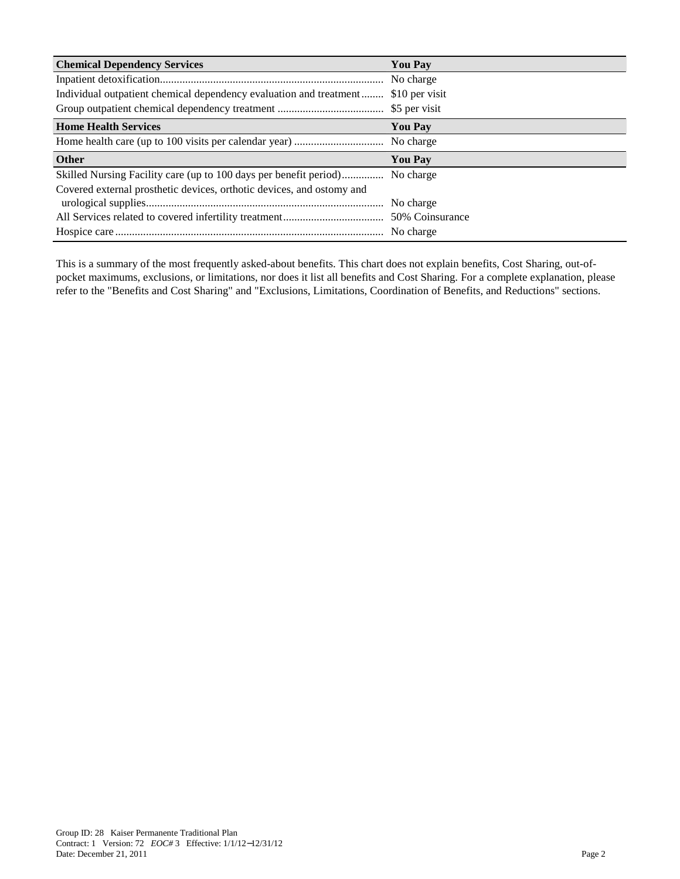| <b>Chemical Dependency Services</b>                                   | <b>You Pay</b> |
|-----------------------------------------------------------------------|----------------|
|                                                                       | No charge      |
| Individual outpatient chemical dependency evaluation and treatment    | \$10 per visit |
|                                                                       |                |
| <b>Home Health Services</b>                                           | <b>You Pay</b> |
|                                                                       | No charge      |
|                                                                       |                |
| <b>Other</b>                                                          | <b>You Pay</b> |
| Skilled Nursing Facility care (up to 100 days per benefit period)     | No charge      |
| Covered external prosthetic devices, orthotic devices, and ostomy and |                |
|                                                                       | No charge      |
|                                                                       |                |

This is a summary of the most frequently asked-about benefits. This chart does not explain benefits, Cost Sharing, out-ofpocket maximums, exclusions, or limitations, nor does it list all benefits and Cost Sharing. For a complete explanation, please refer to the "Benefits and Cost Sharing" and "Exclusions, Limitations, Coordination of Benefits, and Reductions" sections.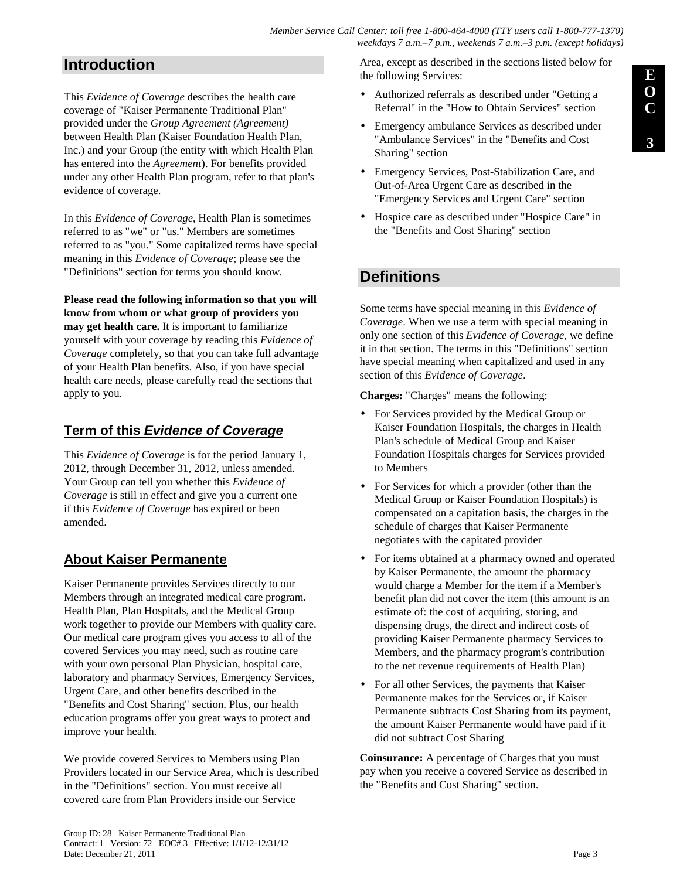# **Introduction**

This *Evidence of Coverage* describes the health care coverage of "Kaiser Permanente Traditional Plan" provided under the *Group Agreement (Agreement)* between Health Plan (Kaiser Foundation Health Plan, Inc.) and your Group (the entity with which Health Plan has entered into the *Agreement*). For benefits provided under any other Health Plan program, refer to that plan's evidence of coverage.

In this *Evidence of Coverage*, Health Plan is sometimes referred to as "we" or "us." Members are sometimes referred to as "you." Some capitalized terms have special meaning in this *Evidence of Coverage*; please see the "Definitions" section for terms you should know.

**Please read the following information so that you will know from whom or what group of providers you may get health care.** It is important to familiarize yourself with your coverage by reading this *Evidence of Coverage* completely, so that you can take full advantage of your Health Plan benefits. Also, if you have special health care needs, please carefully read the sections that apply to you.

# **Term of this Evidence of Coverage**

This *Evidence of Coverage* is for the period January 1, 2012, through December 31, 2012, unless amended. Your Group can tell you whether this *Evidence of Coverage* is still in effect and give you a current one if this *Evidence of Coverage* has expired or been amended.

# **About Kaiser Permanente**

Kaiser Permanente provides Services directly to our Members through an integrated medical care program. Health Plan, Plan Hospitals, and the Medical Group work together to provide our Members with quality care. Our medical care program gives you access to all of the covered Services you may need, such as routine care with your own personal Plan Physician, hospital care, laboratory and pharmacy Services, Emergency Services, Urgent Care, and other benefits described in the "Benefits and Cost Sharing" section. Plus, our health education programs offer you great ways to protect and improve your health.

We provide covered Services to Members using Plan Providers located in our Service Area, which is described in the "Definitions" section. You must receive all covered care from Plan Providers inside our Service

Area, except as described in the sections listed below for the following Services:

- Authorized referrals as described under "Getting a Referral" in the "How to Obtain Services" section
- Emergency ambulance Services as described under "Ambulance Services" in the "Benefits and Cost Sharing" section
- Emergency Services, Post-Stabilization Care, and Out-of-Area Urgent Care as described in the "Emergency Services and Urgent Care" section
- Hospice care as described under "Hospice Care" in the "Benefits and Cost Sharing" section

# **Definitions**

Some terms have special meaning in this *Evidence of Coverage*. When we use a term with special meaning in only one section of this *Evidence of Coverage*, we define it in that section. The terms in this "Definitions" section have special meaning when capitalized and used in any section of this *Evidence of Coverage*.

**Charges:** "Charges" means the following:

- For Services provided by the Medical Group or Kaiser Foundation Hospitals, the charges in Health Plan's schedule of Medical Group and Kaiser Foundation Hospitals charges for Services provided to Members
- For Services for which a provider (other than the Medical Group or Kaiser Foundation Hospitals) is compensated on a capitation basis, the charges in the schedule of charges that Kaiser Permanente negotiates with the capitated provider
- For items obtained at a pharmacy owned and operated by Kaiser Permanente, the amount the pharmacy would charge a Member for the item if a Member's benefit plan did not cover the item (this amount is an estimate of: the cost of acquiring, storing, and dispensing drugs, the direct and indirect costs of providing Kaiser Permanente pharmacy Services to Members, and the pharmacy program's contribution to the net revenue requirements of Health Plan)
- For all other Services, the payments that Kaiser Permanente makes for the Services or, if Kaiser Permanente subtracts Cost Sharing from its payment, the amount Kaiser Permanente would have paid if it did not subtract Cost Sharing

**Coinsurance:** A percentage of Charges that you must pay when you receive a covered Service as described in the "Benefits and Cost Sharing" section.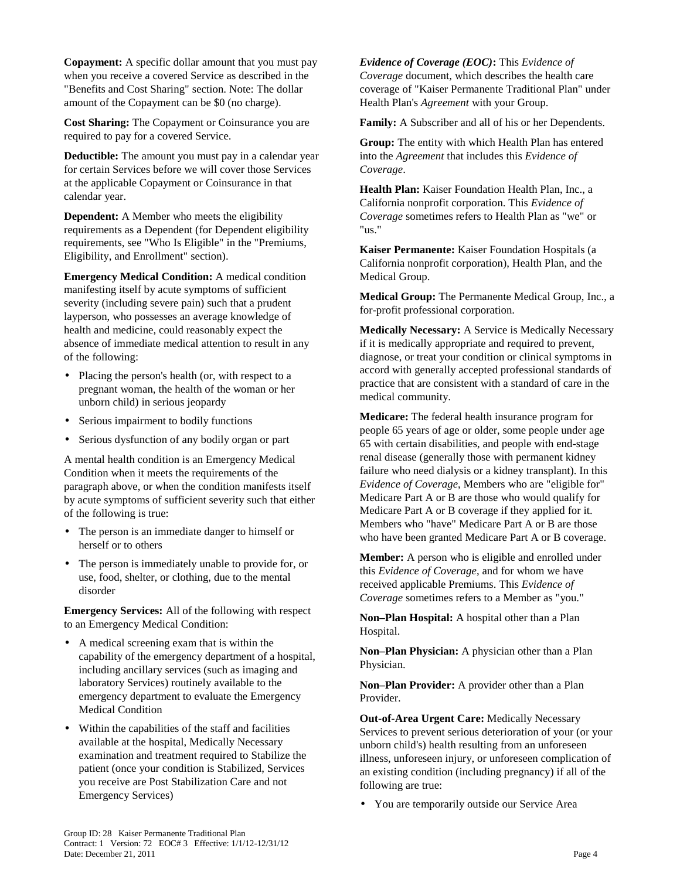**Copayment:** A specific dollar amount that you must pay when you receive a covered Service as described in the "Benefits and Cost Sharing" section. Note: The dollar amount of the Copayment can be \$0 (no charge).

**Cost Sharing:** The Copayment or Coinsurance you are required to pay for a covered Service.

**Deductible:** The amount you must pay in a calendar year for certain Services before we will cover those Services at the applicable Copayment or Coinsurance in that calendar year.

**Dependent:** A Member who meets the eligibility requirements as a Dependent (for Dependent eligibility requirements, see "Who Is Eligible" in the "Premiums, Eligibility, and Enrollment" section).

**Emergency Medical Condition:** A medical condition manifesting itself by acute symptoms of sufficient severity (including severe pain) such that a prudent layperson, who possesses an average knowledge of health and medicine, could reasonably expect the absence of immediate medical attention to result in any of the following:

- Placing the person's health (or, with respect to a pregnant woman, the health of the woman or her unborn child) in serious jeopardy
- Serious impairment to bodily functions
- Serious dysfunction of any bodily organ or part

A mental health condition is an Emergency Medical Condition when it meets the requirements of the paragraph above, or when the condition manifests itself by acute symptoms of sufficient severity such that either of the following is true:

- The person is an immediate danger to himself or herself or to others
- The person is immediately unable to provide for, or use, food, shelter, or clothing, due to the mental disorder

**Emergency Services:** All of the following with respect to an Emergency Medical Condition:

- A medical screening exam that is within the capability of the emergency department of a hospital, including ancillary services (such as imaging and laboratory Services) routinely available to the emergency department to evaluate the Emergency Medical Condition
- Within the capabilities of the staff and facilities available at the hospital, Medically Necessary examination and treatment required to Stabilize the patient (once your condition is Stabilized, Services you receive are Post Stabilization Care and not Emergency Services)

*Evidence of Coverage (EOC)***:** This *Evidence of Coverage* document, which describes the health care coverage of "Kaiser Permanente Traditional Plan" under Health Plan's *Agreement* with your Group.

**Family:** A Subscriber and all of his or her Dependents.

**Group:** The entity with which Health Plan has entered into the *Agreement* that includes this *Evidence of Coverage*.

**Health Plan:** Kaiser Foundation Health Plan, Inc., a California nonprofit corporation. This *Evidence of Coverage* sometimes refers to Health Plan as "we" or "us."

**Kaiser Permanente:** Kaiser Foundation Hospitals (a California nonprofit corporation), Health Plan, and the Medical Group.

**Medical Group:** The Permanente Medical Group, Inc., a for-profit professional corporation.

**Medically Necessary:** A Service is Medically Necessary if it is medically appropriate and required to prevent, diagnose, or treat your condition or clinical symptoms in accord with generally accepted professional standards of practice that are consistent with a standard of care in the medical community.

**Medicare:** The federal health insurance program for people 65 years of age or older, some people under age 65 with certain disabilities, and people with end-stage renal disease (generally those with permanent kidney failure who need dialysis or a kidney transplant). In this *Evidence of Coverage*, Members who are "eligible for" Medicare Part A or B are those who would qualify for Medicare Part A or B coverage if they applied for it. Members who "have" Medicare Part A or B are those who have been granted Medicare Part A or B coverage.

**Member:** A person who is eligible and enrolled under this *Evidence of Coverage*, and for whom we have received applicable Premiums. This *Evidence of Coverage* sometimes refers to a Member as "you."

**Non–Plan Hospital:** A hospital other than a Plan Hospital.

**Non–Plan Physician:** A physician other than a Plan Physician.

**Non–Plan Provider:** A provider other than a Plan Provider.

**Out-of-Area Urgent Care:** Medically Necessary Services to prevent serious deterioration of your (or your unborn child's) health resulting from an unforeseen illness, unforeseen injury, or unforeseen complication of an existing condition (including pregnancy) if all of the following are true:

• You are temporarily outside our Service Area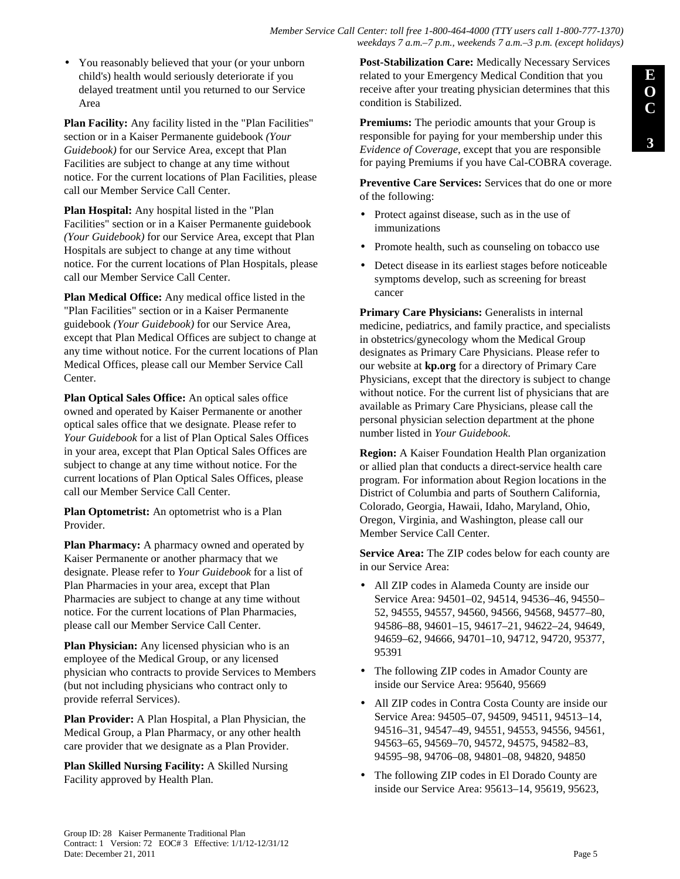• You reasonably believed that your (or your unborn child's) health would seriously deteriorate if you delayed treatment until you returned to our Service Area

**Plan Facility:** Any facility listed in the "Plan Facilities" section or in a Kaiser Permanente guidebook *(Your Guidebook)* for our Service Area, except that Plan Facilities are subject to change at any time without notice. For the current locations of Plan Facilities, please call our Member Service Call Center.

**Plan Hospital:** Any hospital listed in the "Plan Facilities" section or in a Kaiser Permanente guidebook *(Your Guidebook)* for our Service Area, except that Plan Hospitals are subject to change at any time without notice. For the current locations of Plan Hospitals, please call our Member Service Call Center.

**Plan Medical Office:** Any medical office listed in the "Plan Facilities" section or in a Kaiser Permanente guidebook *(Your Guidebook)* for our Service Area, except that Plan Medical Offices are subject to change at any time without notice. For the current locations of Plan Medical Offices, please call our Member Service Call Center.

**Plan Optical Sales Office:** An optical sales office owned and operated by Kaiser Permanente or another optical sales office that we designate. Please refer to *Your Guidebook* for a list of Plan Optical Sales Offices in your area, except that Plan Optical Sales Offices are subject to change at any time without notice. For the current locations of Plan Optical Sales Offices, please call our Member Service Call Center.

**Plan Optometrist:** An optometrist who is a Plan Provider.

**Plan Pharmacy:** A pharmacy owned and operated by Kaiser Permanente or another pharmacy that we designate. Please refer to *Your Guidebook* for a list of Plan Pharmacies in your area, except that Plan Pharmacies are subject to change at any time without notice. For the current locations of Plan Pharmacies, please call our Member Service Call Center.

**Plan Physician:** Any licensed physician who is an employee of the Medical Group, or any licensed physician who contracts to provide Services to Members (but not including physicians who contract only to provide referral Services).

**Plan Provider:** A Plan Hospital, a Plan Physician, the Medical Group, a Plan Pharmacy, or any other health care provider that we designate as a Plan Provider.

**Plan Skilled Nursing Facility:** A Skilled Nursing Facility approved by Health Plan.

**Post-Stabilization Care:** Medically Necessary Services related to your Emergency Medical Condition that you receive after your treating physician determines that this condition is Stabilized.

**Premiums:** The periodic amounts that your Group is responsible for paying for your membership under this *Evidence of Coverage*, except that you are responsible for paying Premiums if you have Cal-COBRA coverage.

**Preventive Care Services:** Services that do one or more of the following:

- Protect against disease, such as in the use of immunizations
- Promote health, such as counseling on tobacco use
- Detect disease in its earliest stages before noticeable symptoms develop, such as screening for breast cancer

**Primary Care Physicians:** Generalists in internal medicine, pediatrics, and family practice, and specialists in obstetrics/gynecology whom the Medical Group designates as Primary Care Physicians. Please refer to our website at **kp.org** for a directory of Primary Care Physicians, except that the directory is subject to change without notice. For the current list of physicians that are available as Primary Care Physicians, please call the personal physician selection department at the phone number listed in *Your Guidebook*.

**Region:** A Kaiser Foundation Health Plan organization or allied plan that conducts a direct-service health care program. For information about Region locations in the District of Columbia and parts of Southern California, Colorado, Georgia, Hawaii, Idaho, Maryland, Ohio, Oregon, Virginia, and Washington, please call our Member Service Call Center.

**Service Area:** The ZIP codes below for each county are in our Service Area:

- All ZIP codes in Alameda County are inside our Service Area: 94501–02, 94514, 94536–46, 94550– 52, 94555, 94557, 94560, 94566, 94568, 94577–80, 94586–88, 94601–15, 94617–21, 94622–24, 94649, 94659–62, 94666, 94701–10, 94712, 94720, 95377, 95391
- The following ZIP codes in Amador County are inside our Service Area: 95640, 95669
- All ZIP codes in Contra Costa County are inside our Service Area: 94505–07, 94509, 94511, 94513–14, 94516–31, 94547–49, 94551, 94553, 94556, 94561, 94563–65, 94569–70, 94572, 94575, 94582–83, 94595–98, 94706–08, 94801–08, 94820, 94850
- The following ZIP codes in El Dorado County are inside our Service Area: 95613–14, 95619, 95623,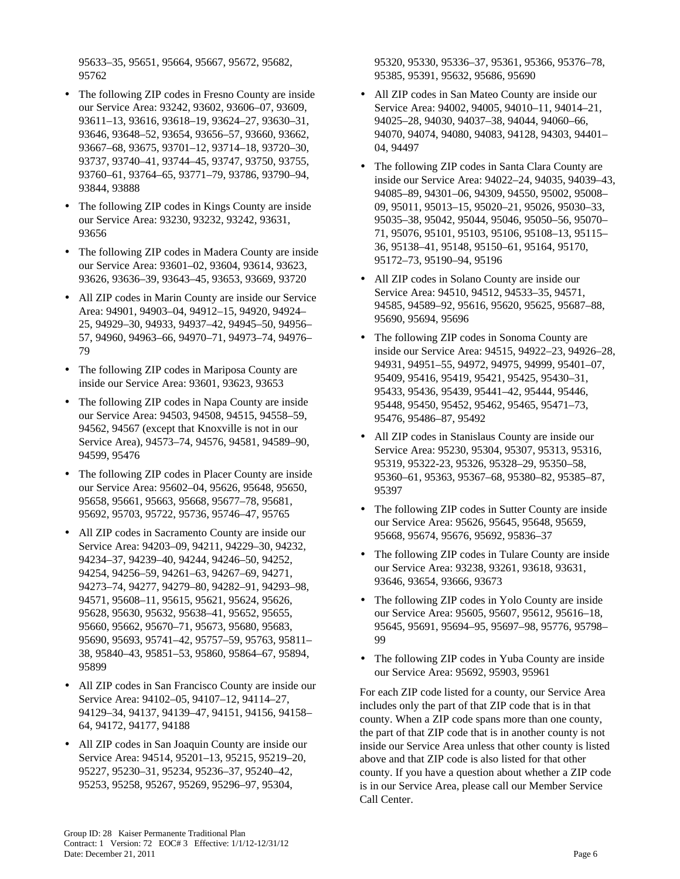95633–35, 95651, 95664, 95667, 95672, 95682, 95762

- The following ZIP codes in Fresno County are inside our Service Area: 93242, 93602, 93606–07, 93609, 93611–13, 93616, 93618–19, 93624–27, 93630–31, 93646, 93648–52, 93654, 93656–57, 93660, 93662, 93667–68, 93675, 93701–12, 93714–18, 93720–30, 93737, 93740–41, 93744–45, 93747, 93750, 93755, 93760–61, 93764–65, 93771–79, 93786, 93790–94, 93844, 93888
- The following ZIP codes in Kings County are inside our Service Area: 93230, 93232, 93242, 93631, 93656
- The following ZIP codes in Madera County are inside our Service Area: 93601–02, 93604, 93614, 93623, 93626, 93636–39, 93643–45, 93653, 93669, 93720
- All ZIP codes in Marin County are inside our Service Area: 94901, 94903–04, 94912–15, 94920, 94924– 25, 94929–30, 94933, 94937–42, 94945–50, 94956– 57, 94960, 94963–66, 94970–71, 94973–74, 94976– 79
- The following ZIP codes in Mariposa County are inside our Service Area: 93601, 93623, 93653
- The following ZIP codes in Napa County are inside our Service Area: 94503, 94508, 94515, 94558–59, 94562, 94567 (except that Knoxville is not in our Service Area), 94573–74, 94576, 94581, 94589–90, 94599, 95476
- The following ZIP codes in Placer County are inside our Service Area: 95602–04, 95626, 95648, 95650, 95658, 95661, 95663, 95668, 95677–78, 95681, 95692, 95703, 95722, 95736, 95746–47, 95765
- All ZIP codes in Sacramento County are inside our Service Area: 94203–09, 94211, 94229–30, 94232, 94234–37, 94239–40, 94244, 94246–50, 94252, 94254, 94256–59, 94261–63, 94267–69, 94271, 94273–74, 94277, 94279–80, 94282–91, 94293–98, 94571, 95608–11, 95615, 95621, 95624, 95626, 95628, 95630, 95632, 95638–41, 95652, 95655, 95660, 95662, 95670–71, 95673, 95680, 95683, 95690, 95693, 95741–42, 95757–59, 95763, 95811– 38, 95840–43, 95851–53, 95860, 95864–67, 95894, 95899
- All ZIP codes in San Francisco County are inside our Service Area: 94102–05, 94107–12, 94114–27, 94129–34, 94137, 94139–47, 94151, 94156, 94158– 64, 94172, 94177, 94188
- All ZIP codes in San Joaquin County are inside our Service Area: 94514, 95201–13, 95215, 95219–20, 95227, 95230–31, 95234, 95236–37, 95240–42, 95253, 95258, 95267, 95269, 95296–97, 95304,

95320, 95330, 95336–37, 95361, 95366, 95376–78, 95385, 95391, 95632, 95686, 95690

- All ZIP codes in San Mateo County are inside our Service Area: 94002, 94005, 94010–11, 94014–21, 94025–28, 94030, 94037–38, 94044, 94060–66, 94070, 94074, 94080, 94083, 94128, 94303, 94401– 04, 94497
- The following ZIP codes in Santa Clara County are inside our Service Area: 94022–24, 94035, 94039–43, 94085–89, 94301–06, 94309, 94550, 95002, 95008– 09, 95011, 95013–15, 95020–21, 95026, 95030–33, 95035–38, 95042, 95044, 95046, 95050–56, 95070– 71, 95076, 95101, 95103, 95106, 95108–13, 95115– 36, 95138–41, 95148, 95150–61, 95164, 95170, 95172–73, 95190–94, 95196
- All ZIP codes in Solano County are inside our Service Area: 94510, 94512, 94533–35, 94571, 94585, 94589–92, 95616, 95620, 95625, 95687–88, 95690, 95694, 95696
- The following ZIP codes in Sonoma County are inside our Service Area: 94515, 94922–23, 94926–28, 94931, 94951–55, 94972, 94975, 94999, 95401–07, 95409, 95416, 95419, 95421, 95425, 95430–31, 95433, 95436, 95439, 95441–42, 95444, 95446, 95448, 95450, 95452, 95462, 95465, 95471–73, 95476, 95486–87, 95492
- All ZIP codes in Stanislaus County are inside our Service Area: 95230, 95304, 95307, 95313, 95316, 95319, 95322-23, 95326, 95328–29, 95350–58, 95360–61, 95363, 95367–68, 95380–82, 95385–87, 95397
- The following ZIP codes in Sutter County are inside our Service Area: 95626, 95645, 95648, 95659, 95668, 95674, 95676, 95692, 95836–37
- The following ZIP codes in Tulare County are inside our Service Area: 93238, 93261, 93618, 93631, 93646, 93654, 93666, 93673
- The following ZIP codes in Yolo County are inside our Service Area: 95605, 95607, 95612, 95616–18, 95645, 95691, 95694–95, 95697–98, 95776, 95798– 99
- The following ZIP codes in Yuba County are inside our Service Area: 95692, 95903, 95961

For each ZIP code listed for a county, our Service Area includes only the part of that ZIP code that is in that county. When a ZIP code spans more than one county, the part of that ZIP code that is in another county is not inside our Service Area unless that other county is listed above and that ZIP code is also listed for that other county. If you have a question about whether a ZIP code is in our Service Area, please call our Member Service Call Center.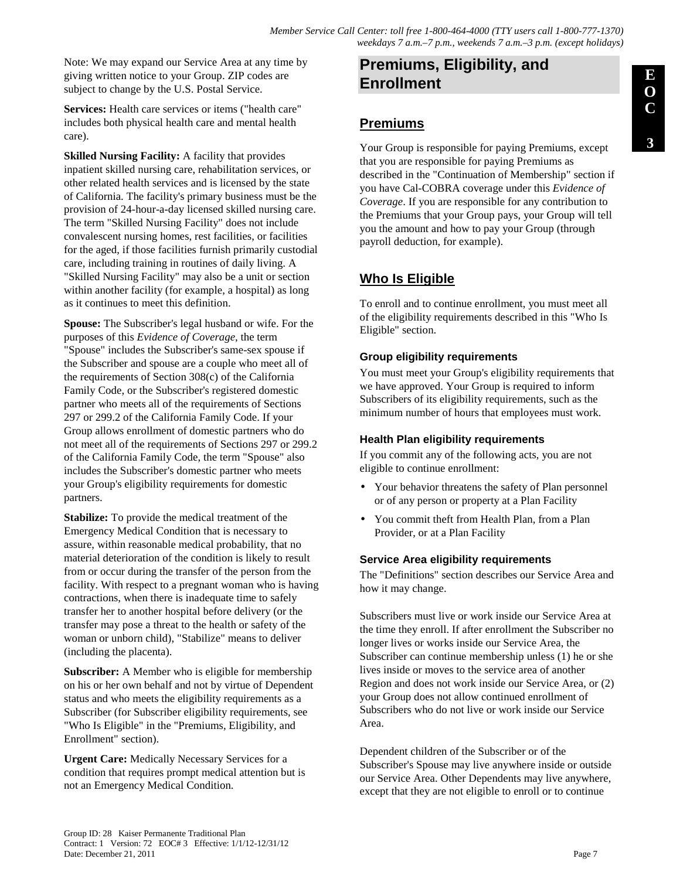Note: We may expand our Service Area at any time by giving written notice to your Group. ZIP codes are subject to change by the U.S. Postal Service.

**Services:** Health care services or items ("health care" includes both physical health care and mental health care).

**Skilled Nursing Facility:** A facility that provides inpatient skilled nursing care, rehabilitation services, or other related health services and is licensed by the state of California. The facility's primary business must be the provision of 24-hour-a-day licensed skilled nursing care. The term "Skilled Nursing Facility" does not include convalescent nursing homes, rest facilities, or facilities for the aged, if those facilities furnish primarily custodial care, including training in routines of daily living. A "Skilled Nursing Facility" may also be a unit or section within another facility (for example, a hospital) as long as it continues to meet this definition.

**Spouse:** The Subscriber's legal husband or wife. For the purposes of this *Evidence of Coverage*, the term "Spouse" includes the Subscriber's same-sex spouse if the Subscriber and spouse are a couple who meet all of the requirements of Section 308(c) of the California Family Code, or the Subscriber's registered domestic partner who meets all of the requirements of Sections 297 or 299.2 of the California Family Code. If your Group allows enrollment of domestic partners who do not meet all of the requirements of Sections 297 or 299.2 of the California Family Code, the term "Spouse" also includes the Subscriber's domestic partner who meets your Group's eligibility requirements for domestic partners.

**Stabilize:** To provide the medical treatment of the Emergency Medical Condition that is necessary to assure, within reasonable medical probability, that no material deterioration of the condition is likely to result from or occur during the transfer of the person from the facility. With respect to a pregnant woman who is having contractions, when there is inadequate time to safely transfer her to another hospital before delivery (or the transfer may pose a threat to the health or safety of the woman or unborn child), "Stabilize" means to deliver (including the placenta).

**Subscriber:** A Member who is eligible for membership on his or her own behalf and not by virtue of Dependent status and who meets the eligibility requirements as a Subscriber (for Subscriber eligibility requirements, see "Who Is Eligible" in the "Premiums, Eligibility, and Enrollment" section).

**Urgent Care:** Medically Necessary Services for a condition that requires prompt medical attention but is not an Emergency Medical Condition.

# **Premiums, Eligibility, and Enrollment**

## **Premiums**

Your Group is responsible for paying Premiums, except that you are responsible for paying Premiums as described in the "Continuation of Membership" section if you have Cal-COBRA coverage under this *Evidence of Coverage*. If you are responsible for any contribution to the Premiums that your Group pays, your Group will tell you the amount and how to pay your Group (through payroll deduction, for example).

# **Who Is Eligible**

To enroll and to continue enrollment, you must meet all of the eligibility requirements described in this "Who Is Eligible" section.

### **Group eligibility requirements**

You must meet your Group's eligibility requirements that we have approved. Your Group is required to inform Subscribers of its eligibility requirements, such as the minimum number of hours that employees must work.

### **Health Plan eligibility requirements**

If you commit any of the following acts, you are not eligible to continue enrollment:

- Your behavior threatens the safety of Plan personnel or of any person or property at a Plan Facility
- You commit theft from Health Plan, from a Plan Provider, or at a Plan Facility

### **Service Area eligibility requirements**

The "Definitions" section describes our Service Area and how it may change.

Subscribers must live or work inside our Service Area at the time they enroll. If after enrollment the Subscriber no longer lives or works inside our Service Area, the Subscriber can continue membership unless (1) he or she lives inside or moves to the service area of another Region and does not work inside our Service Area, or (2) your Group does not allow continued enrollment of Subscribers who do not live or work inside our Service Area.

Dependent children of the Subscriber or of the Subscriber's Spouse may live anywhere inside or outside our Service Area. Other Dependents may live anywhere, except that they are not eligible to enroll or to continue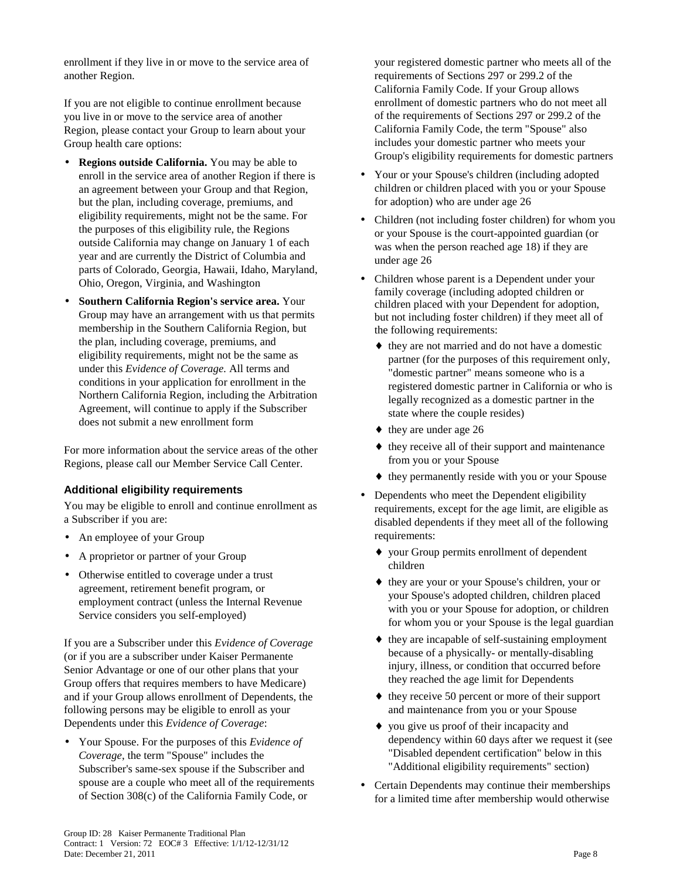enrollment if they live in or move to the service area of another Region.

If you are not eligible to continue enrollment because you live in or move to the service area of another Region, please contact your Group to learn about your Group health care options:

- **Regions outside California.** You may be able to enroll in the service area of another Region if there is an agreement between your Group and that Region, but the plan, including coverage, premiums, and eligibility requirements, might not be the same. For the purposes of this eligibility rule, the Regions outside California may change on January 1 of each year and are currently the District of Columbia and parts of Colorado, Georgia, Hawaii, Idaho, Maryland, Ohio, Oregon, Virginia, and Washington
- **Southern California Region's service area.** Your Group may have an arrangement with us that permits membership in the Southern California Region, but the plan, including coverage, premiums, and eligibility requirements, might not be the same as under this *Evidence of Coverage.* All terms and conditions in your application for enrollment in the Northern California Region, including the Arbitration Agreement, will continue to apply if the Subscriber does not submit a new enrollment form

For more information about the service areas of the other Regions, please call our Member Service Call Center.

### **Additional eligibility requirements**

You may be eligible to enroll and continue enrollment as a Subscriber if you are:

- An employee of your Group
- A proprietor or partner of your Group
- Otherwise entitled to coverage under a trust agreement, retirement benefit program, or employment contract (unless the Internal Revenue Service considers you self-employed)

If you are a Subscriber under this *Evidence of Coverage* (or if you are a subscriber under Kaiser Permanente Senior Advantage or one of our other plans that your Group offers that requires members to have Medicare) and if your Group allows enrollment of Dependents, the following persons may be eligible to enroll as your Dependents under this *Evidence of Coverage*:

• Your Spouse. For the purposes of this *Evidence of Coverage*, the term "Spouse" includes the Subscriber's same-sex spouse if the Subscriber and spouse are a couple who meet all of the requirements of Section 308(c) of the California Family Code, or

your registered domestic partner who meets all of the requirements of Sections 297 or 299.2 of the California Family Code. If your Group allows enrollment of domestic partners who do not meet all of the requirements of Sections 297 or 299.2 of the California Family Code, the term "Spouse" also includes your domestic partner who meets your Group's eligibility requirements for domestic partners

- Your or your Spouse's children (including adopted children or children placed with you or your Spouse for adoption) who are under age 26
- Children (not including foster children) for whom you or your Spouse is the court-appointed guardian (or was when the person reached age 18) if they are under age 26
- Children whose parent is a Dependent under your family coverage (including adopted children or children placed with your Dependent for adoption, but not including foster children) if they meet all of the following requirements:
	- ♦ they are not married and do not have a domestic partner (for the purposes of this requirement only, "domestic partner" means someone who is a registered domestic partner in California or who is legally recognized as a domestic partner in the state where the couple resides)
	- $\bullet$  they are under age 26
	- $\bullet$  they receive all of their support and maintenance from you or your Spouse
	- ♦ they permanently reside with you or your Spouse
- Dependents who meet the Dependent eligibility requirements, except for the age limit, are eligible as disabled dependents if they meet all of the following requirements:
	- ♦ your Group permits enrollment of dependent children
	- ♦ they are your or your Spouse's children, your or your Spouse's adopted children, children placed with you or your Spouse for adoption, or children for whom you or your Spouse is the legal guardian
	- ♦ they are incapable of self-sustaining employment because of a physically- or mentally-disabling injury, illness, or condition that occurred before they reached the age limit for Dependents
	- ♦ they receive 50 percent or more of their support and maintenance from you or your Spouse
	- ♦ you give us proof of their incapacity and dependency within 60 days after we request it (see "Disabled dependent certification" below in this "Additional eligibility requirements" section)
- Certain Dependents may continue their memberships for a limited time after membership would otherwise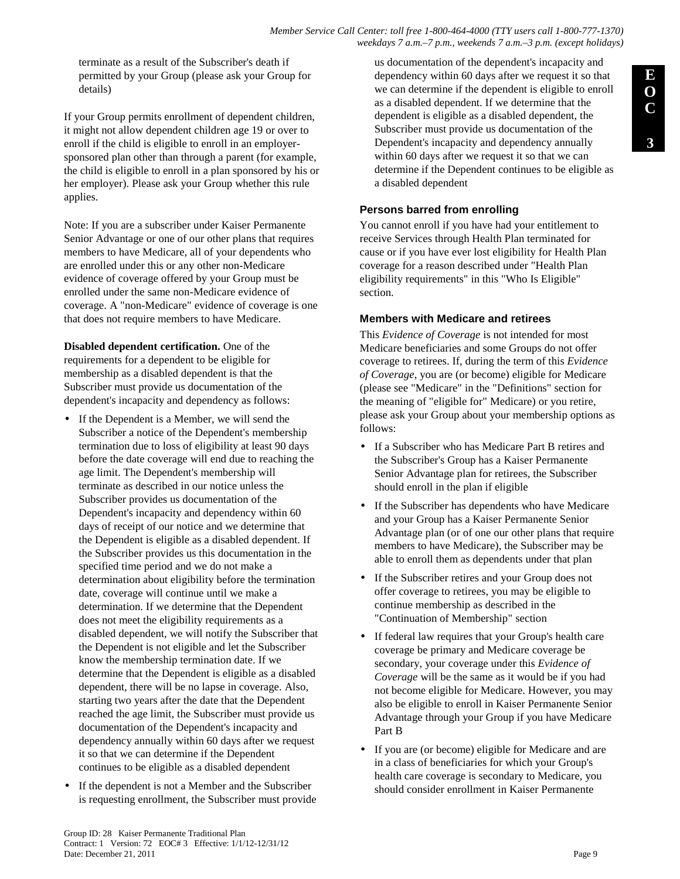#### *Member Service Call Center: toll free 1-800-464-4000 (TTY users call 1-800-777-1370) weekdays 7 a.m.–7 p.m., weekends 7 a.m.–3 p.m. (except holidays)*

terminate as a result of the Subscriber's death if permitted by your Group (please ask your Group for details)

If your Group permits enrollment of dependent children, it might not allow dependent children age 19 or over to enroll if the child is eligible to enroll in an employersponsored plan other than through a parent (for example, the child is eligible to enroll in a plan sponsored by his or her employer). Please ask your Group whether this rule applies.

Note: If you are a subscriber under Kaiser Permanente Senior Advantage or one of our other plans that requires members to have Medicare, all of your dependents who are enrolled under this or any other non-Medicare evidence of coverage offered by your Group must be enrolled under the same non-Medicare evidence of coverage. A "non-Medicare" evidence of coverage is one that does not require members to have Medicare.

**Disabled dependent certification.** One of the requirements for a dependent to be eligible for membership as a disabled dependent is that the Subscriber must provide us documentation of the dependent's incapacity and dependency as follows:

- If the Dependent is a Member, we will send the Subscriber a notice of the Dependent's membership termination due to loss of eligibility at least 90 days before the date coverage will end due to reaching the age limit. The Dependent's membership will terminate as described in our notice unless the Subscriber provides us documentation of the Dependent's incapacity and dependency within 60 days of receipt of our notice and we determine that the Dependent is eligible as a disabled dependent. If the Subscriber provides us this documentation in the specified time period and we do not make a determination about eligibility before the termination date, coverage will continue until we make a determination. If we determine that the Dependent does not meet the eligibility requirements as a disabled dependent, we will notify the Subscriber that the Dependent is not eligible and let the Subscriber know the membership termination date. If we determine that the Dependent is eligible as a disabled dependent, there will be no lapse in coverage. Also, starting two years after the date that the Dependent reached the age limit, the Subscriber must provide us documentation of the Dependent's incapacity and dependency annually within 60 days after we request it so that we can determine if the Dependent continues to be eligible as a disabled dependent
- If the dependent is not a Member and the Subscriber is requesting enrollment, the Subscriber must provide

us documentation of the dependent's incapacity and dependency within 60 days after we request it so that we can determine if the dependent is eligible to enroll as a disabled dependent. If we determine that the dependent is eligible as a disabled dependent, the Subscriber must provide us documentation of the Dependent's incapacity and dependency annually within 60 days after we request it so that we can determine if the Dependent continues to be eligible as a disabled dependent

### **Persons barred from enrolling**

You cannot enroll if you have had your entitlement to receive Services through Health Plan terminated for cause or if you have ever lost eligibility for Health Plan coverage for a reason described under "Health Plan eligibility requirements" in this "Who Is Eligible" section.

### **Members with Medicare and retirees**

This *Evidence of Coverage* is not intended for most Medicare beneficiaries and some Groups do not offer coverage to retirees. If, during the term of this *Evidence of Coverage*, you are (or become) eligible for Medicare (please see "Medicare" in the "Definitions" section for the meaning of "eligible for" Medicare) or you retire, please ask your Group about your membership options as follows:

- If a Subscriber who has Medicare Part B retires and the Subscriber's Group has a Kaiser Permanente Senior Advantage plan for retirees, the Subscriber should enroll in the plan if eligible
- If the Subscriber has dependents who have Medicare and your Group has a Kaiser Permanente Senior Advantage plan (or of one our other plans that require members to have Medicare), the Subscriber may be able to enroll them as dependents under that plan
- If the Subscriber retires and your Group does not offer coverage to retirees, you may be eligible to continue membership as described in the "Continuation of Membership" section
- If federal law requires that your Group's health care coverage be primary and Medicare coverage be secondary, your coverage under this *Evidence of Coverage* will be the same as it would be if you had not become eligible for Medicare. However, you may also be eligible to enroll in Kaiser Permanente Senior Advantage through your Group if you have Medicare Part B
- If you are (or become) eligible for Medicare and are in a class of beneficiaries for which your Group's health care coverage is secondary to Medicare, you should consider enrollment in Kaiser Permanente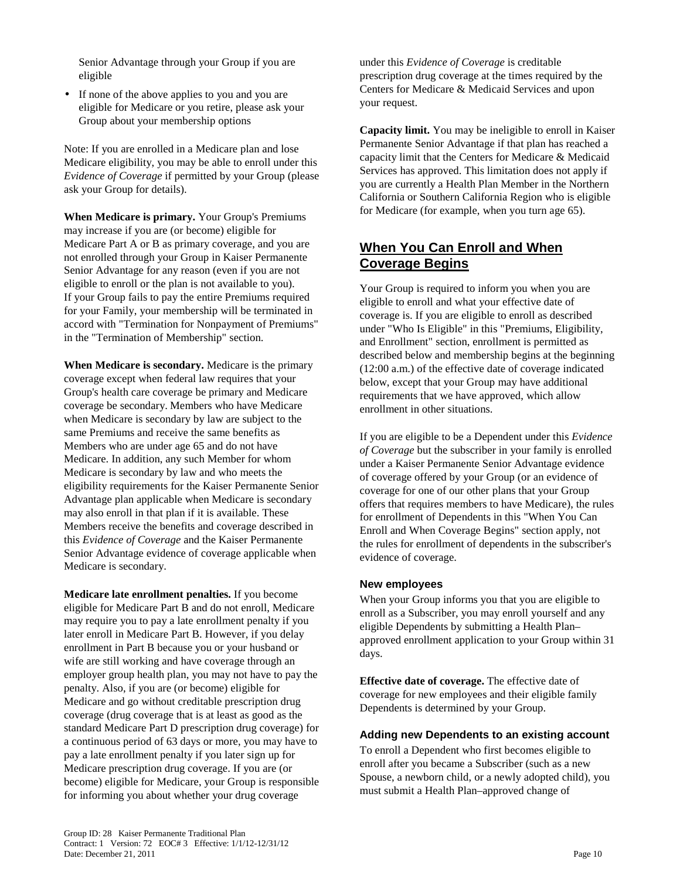Senior Advantage through your Group if you are eligible

• If none of the above applies to you and you are eligible for Medicare or you retire, please ask your Group about your membership options

Note: If you are enrolled in a Medicare plan and lose Medicare eligibility, you may be able to enroll under this *Evidence of Coverage* if permitted by your Group (please ask your Group for details).

**When Medicare is primary.** Your Group's Premiums may increase if you are (or become) eligible for Medicare Part A or B as primary coverage, and you are not enrolled through your Group in Kaiser Permanente Senior Advantage for any reason (even if you are not eligible to enroll or the plan is not available to you). If your Group fails to pay the entire Premiums required for your Family, your membership will be terminated in accord with "Termination for Nonpayment of Premiums" in the "Termination of Membership" section.

**When Medicare is secondary.** Medicare is the primary coverage except when federal law requires that your Group's health care coverage be primary and Medicare coverage be secondary. Members who have Medicare when Medicare is secondary by law are subject to the same Premiums and receive the same benefits as Members who are under age 65 and do not have Medicare. In addition, any such Member for whom Medicare is secondary by law and who meets the eligibility requirements for the Kaiser Permanente Senior Advantage plan applicable when Medicare is secondary may also enroll in that plan if it is available. These Members receive the benefits and coverage described in this *Evidence of Coverage* and the Kaiser Permanente Senior Advantage evidence of coverage applicable when Medicare is secondary.

**Medicare late enrollment penalties.** If you become eligible for Medicare Part B and do not enroll, Medicare may require you to pay a late enrollment penalty if you later enroll in Medicare Part B. However, if you delay enrollment in Part B because you or your husband or wife are still working and have coverage through an employer group health plan, you may not have to pay the penalty. Also, if you are (or become) eligible for Medicare and go without creditable prescription drug coverage (drug coverage that is at least as good as the standard Medicare Part D prescription drug coverage) for a continuous period of 63 days or more, you may have to pay a late enrollment penalty if you later sign up for Medicare prescription drug coverage. If you are (or become) eligible for Medicare, your Group is responsible for informing you about whether your drug coverage

under this *Evidence of Coverage* is creditable prescription drug coverage at the times required by the Centers for Medicare & Medicaid Services and upon your request.

**Capacity limit.** You may be ineligible to enroll in Kaiser Permanente Senior Advantage if that plan has reached a capacity limit that the Centers for Medicare & Medicaid Services has approved. This limitation does not apply if you are currently a Health Plan Member in the Northern California or Southern California Region who is eligible for Medicare (for example, when you turn age 65).

# **When You Can Enroll and When Coverage Begins**

Your Group is required to inform you when you are eligible to enroll and what your effective date of coverage is. If you are eligible to enroll as described under "Who Is Eligible" in this "Premiums, Eligibility, and Enrollment" section, enrollment is permitted as described below and membership begins at the beginning (12:00 a.m.) of the effective date of coverage indicated below, except that your Group may have additional requirements that we have approved, which allow enrollment in other situations.

If you are eligible to be a Dependent under this *Evidence of Coverage* but the subscriber in your family is enrolled under a Kaiser Permanente Senior Advantage evidence of coverage offered by your Group (or an evidence of coverage for one of our other plans that your Group offers that requires members to have Medicare), the rules for enrollment of Dependents in this "When You Can Enroll and When Coverage Begins" section apply, not the rules for enrollment of dependents in the subscriber's evidence of coverage.

### **New employees**

When your Group informs you that you are eligible to enroll as a Subscriber, you may enroll yourself and any eligible Dependents by submitting a Health Plan– approved enrollment application to your Group within 31 days.

**Effective date of coverage.** The effective date of coverage for new employees and their eligible family Dependents is determined by your Group.

### **Adding new Dependents to an existing account**

To enroll a Dependent who first becomes eligible to enroll after you became a Subscriber (such as a new Spouse, a newborn child, or a newly adopted child), you must submit a Health Plan–approved change of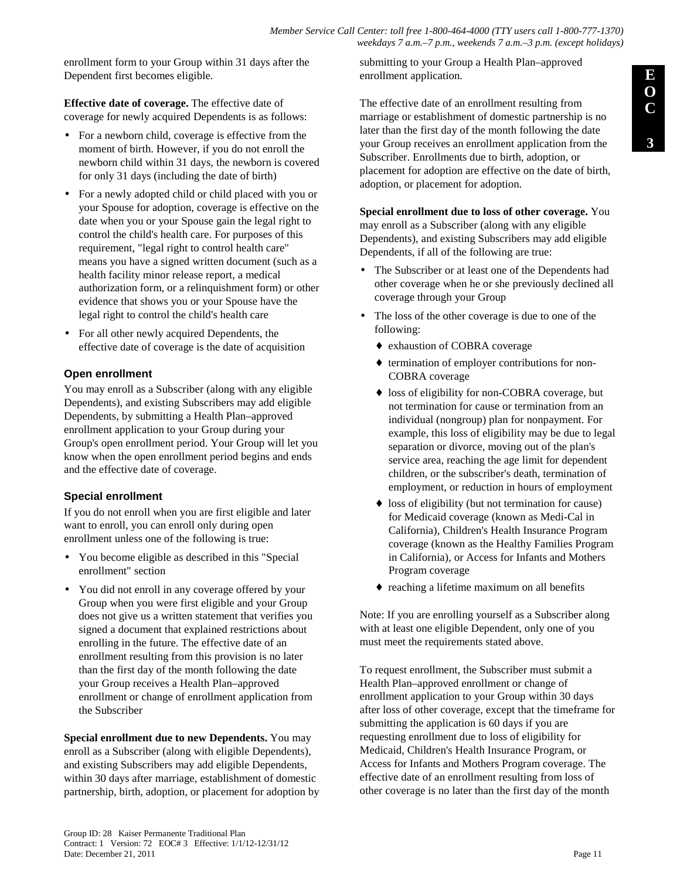*Member Service Call Center: toll free 1-800-464-4000 (TTY users call 1-800-777-1370) weekdays 7 a.m.–7 p.m., weekends 7 a.m.–3 p.m. (except holidays)*

enrollment form to your Group within 31 days after the Dependent first becomes eligible.

**Effective date of coverage.** The effective date of coverage for newly acquired Dependents is as follows:

- For a newborn child, coverage is effective from the moment of birth. However, if you do not enroll the newborn child within 31 days, the newborn is covered for only 31 days (including the date of birth)
- For a newly adopted child or child placed with you or your Spouse for adoption, coverage is effective on the date when you or your Spouse gain the legal right to control the child's health care. For purposes of this requirement, "legal right to control health care" means you have a signed written document (such as a health facility minor release report, a medical authorization form, or a relinquishment form) or other evidence that shows you or your Spouse have the legal right to control the child's health care
- For all other newly acquired Dependents, the effective date of coverage is the date of acquisition

### **Open enrollment**

You may enroll as a Subscriber (along with any eligible Dependents), and existing Subscribers may add eligible Dependents, by submitting a Health Plan–approved enrollment application to your Group during your Group's open enrollment period. Your Group will let you know when the open enrollment period begins and ends and the effective date of coverage.

### **Special enrollment**

If you do not enroll when you are first eligible and later want to enroll, you can enroll only during open enrollment unless one of the following is true:

- You become eligible as described in this "Special enrollment" section
- You did not enroll in any coverage offered by your Group when you were first eligible and your Group does not give us a written statement that verifies you signed a document that explained restrictions about enrolling in the future. The effective date of an enrollment resulting from this provision is no later than the first day of the month following the date your Group receives a Health Plan–approved enrollment or change of enrollment application from the Subscriber

**Special enrollment due to new Dependents.** You may enroll as a Subscriber (along with eligible Dependents), and existing Subscribers may add eligible Dependents, within 30 days after marriage, establishment of domestic partnership, birth, adoption, or placement for adoption by submitting to your Group a Health Plan–approved enrollment application.

The effective date of an enrollment resulting from marriage or establishment of domestic partnership is no later than the first day of the month following the date your Group receives an enrollment application from the Subscriber. Enrollments due to birth, adoption, or placement for adoption are effective on the date of birth, adoption, or placement for adoption.

**Special enrollment due to loss of other coverage.** You may enroll as a Subscriber (along with any eligible Dependents), and existing Subscribers may add eligible Dependents, if all of the following are true:

- The Subscriber or at least one of the Dependents had other coverage when he or she previously declined all coverage through your Group
- The loss of the other coverage is due to one of the following:
	- ♦ exhaustion of COBRA coverage
	- ♦ termination of employer contributions for non-COBRA coverage
	- loss of eligibility for non-COBRA coverage, but not termination for cause or termination from an individual (nongroup) plan for nonpayment. For example, this loss of eligibility may be due to legal separation or divorce, moving out of the plan's service area, reaching the age limit for dependent children, or the subscriber's death, termination of employment, or reduction in hours of employment
	- $\bullet$  loss of eligibility (but not termination for cause) for Medicaid coverage (known as Medi-Cal in California), Children's Health Insurance Program coverage (known as the Healthy Families Program in California), or Access for Infants and Mothers Program coverage
	- ♦ reaching a lifetime maximum on all benefits

Note: If you are enrolling yourself as a Subscriber along with at least one eligible Dependent, only one of you must meet the requirements stated above.

To request enrollment, the Subscriber must submit a Health Plan–approved enrollment or change of enrollment application to your Group within 30 days after loss of other coverage, except that the timeframe for submitting the application is 60 days if you are requesting enrollment due to loss of eligibility for Medicaid, Children's Health Insurance Program, or Access for Infants and Mothers Program coverage. The effective date of an enrollment resulting from loss of other coverage is no later than the first day of the month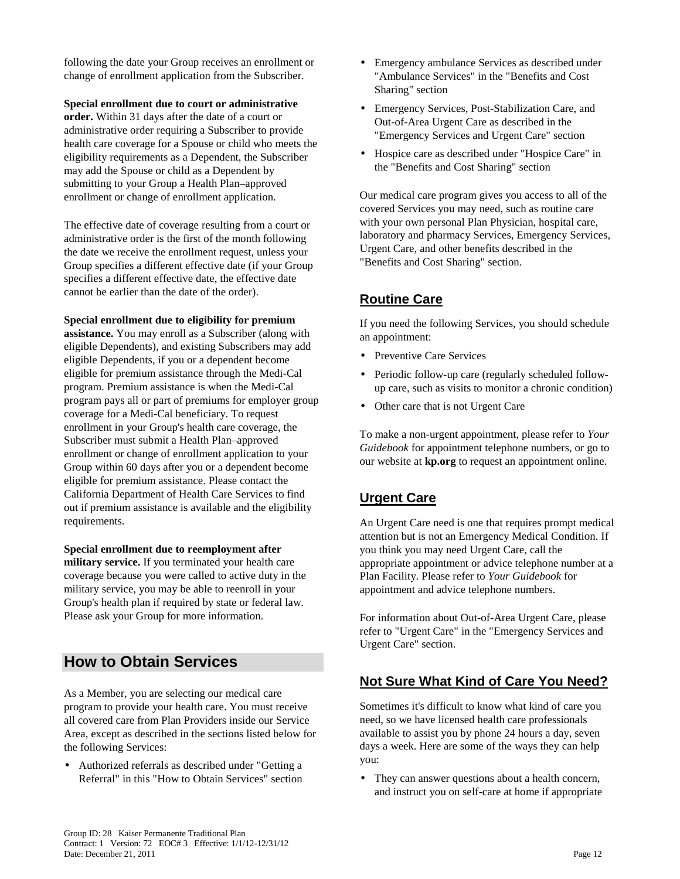following the date your Group receives an enrollment or change of enrollment application from the Subscriber.

#### **Special enrollment due to court or administrative**

**order.** Within 31 days after the date of a court or administrative order requiring a Subscriber to provide health care coverage for a Spouse or child who meets the eligibility requirements as a Dependent, the Subscriber may add the Spouse or child as a Dependent by submitting to your Group a Health Plan–approved enrollment or change of enrollment application.

The effective date of coverage resulting from a court or administrative order is the first of the month following the date we receive the enrollment request, unless your Group specifies a different effective date (if your Group specifies a different effective date, the effective date cannot be earlier than the date of the order).

#### **Special enrollment due to eligibility for premium**

**assistance.** You may enroll as a Subscriber (along with eligible Dependents), and existing Subscribers may add eligible Dependents, if you or a dependent become eligible for premium assistance through the Medi-Cal program. Premium assistance is when the Medi-Cal program pays all or part of premiums for employer group coverage for a Medi-Cal beneficiary. To request enrollment in your Group's health care coverage, the Subscriber must submit a Health Plan–approved enrollment or change of enrollment application to your Group within 60 days after you or a dependent become eligible for premium assistance. Please contact the California Department of Health Care Services to find out if premium assistance is available and the eligibility requirements.

**Special enrollment due to reemployment after military service.** If you terminated your health care coverage because you were called to active duty in the military service, you may be able to reenroll in your Group's health plan if required by state or federal law. Please ask your Group for more information.

# **How to Obtain Services**

As a Member, you are selecting our medical care program to provide your health care. You must receive all covered care from Plan Providers inside our Service Area, except as described in the sections listed below for the following Services:

• Authorized referrals as described under "Getting a Referral" in this "How to Obtain Services" section

- Emergency ambulance Services as described under "Ambulance Services" in the "Benefits and Cost Sharing" section
- Emergency Services, Post-Stabilization Care, and Out-of-Area Urgent Care as described in the "Emergency Services and Urgent Care" section
- Hospice care as described under "Hospice Care" in the "Benefits and Cost Sharing" section

Our medical care program gives you access to all of the covered Services you may need, such as routine care with your own personal Plan Physician, hospital care, laboratory and pharmacy Services, Emergency Services, Urgent Care, and other benefits described in the "Benefits and Cost Sharing" section.

# **Routine Care**

If you need the following Services, you should schedule an appointment:

- Preventive Care Services
- Periodic follow-up care (regularly scheduled followup care, such as visits to monitor a chronic condition)
- Other care that is not Urgent Care

To make a non-urgent appointment, please refer to *Your Guidebook* for appointment telephone numbers, or go to our website at **kp.org** to request an appointment online.

# **Urgent Care**

An Urgent Care need is one that requires prompt medical attention but is not an Emergency Medical Condition. If you think you may need Urgent Care, call the appropriate appointment or advice telephone number at a Plan Facility. Please refer to *Your Guidebook* for appointment and advice telephone numbers.

For information about Out-of-Area Urgent Care, please refer to "Urgent Care" in the "Emergency Services and Urgent Care" section.

# **Not Sure What Kind of Care You Need?**

Sometimes it's difficult to know what kind of care you need, so we have licensed health care professionals available to assist you by phone 24 hours a day, seven days a week. Here are some of the ways they can help you:

• They can answer questions about a health concern, and instruct you on self-care at home if appropriate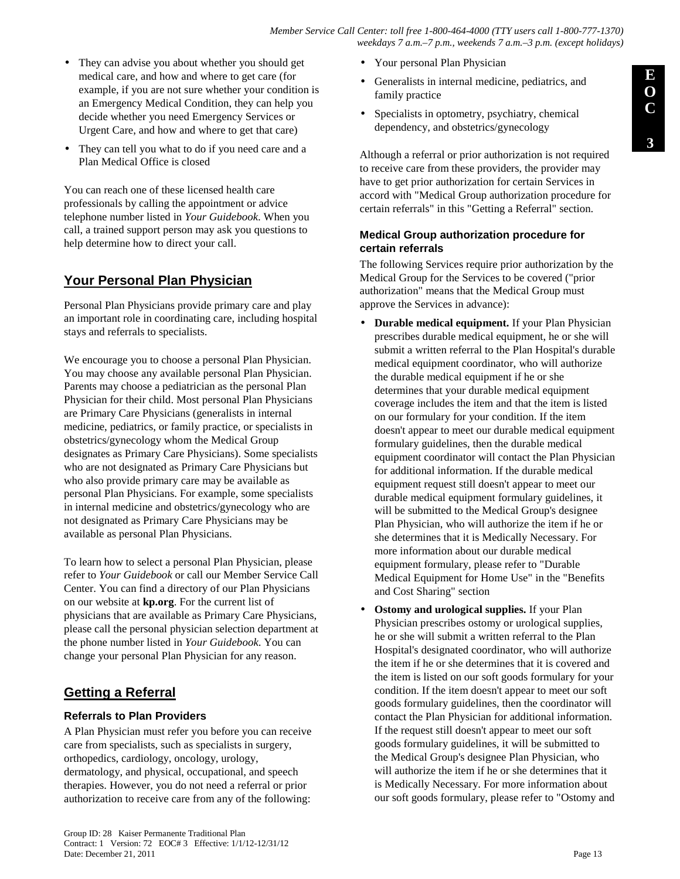**3**

- They can advise you about whether you should get medical care, and how and where to get care (for example, if you are not sure whether your condition is an Emergency Medical Condition, they can help you decide whether you need Emergency Services or Urgent Care, and how and where to get that care)
- They can tell you what to do if you need care and a Plan Medical Office is closed

You can reach one of these licensed health care professionals by calling the appointment or advice telephone number listed in *Your Guidebook*. When you call, a trained support person may ask you questions to help determine how to direct your call.

# **Your Personal Plan Physician**

Personal Plan Physicians provide primary care and play an important role in coordinating care, including hospital stays and referrals to specialists.

We encourage you to choose a personal Plan Physician. You may choose any available personal Plan Physician. Parents may choose a pediatrician as the personal Plan Physician for their child. Most personal Plan Physicians are Primary Care Physicians (generalists in internal medicine, pediatrics, or family practice, or specialists in obstetrics/gynecology whom the Medical Group designates as Primary Care Physicians). Some specialists who are not designated as Primary Care Physicians but who also provide primary care may be available as personal Plan Physicians. For example, some specialists in internal medicine and obstetrics/gynecology who are not designated as Primary Care Physicians may be available as personal Plan Physicians.

To learn how to select a personal Plan Physician, please refer to *Your Guidebook* or call our Member Service Call Center. You can find a directory of our Plan Physicians on our website at **kp.org**. For the current list of physicians that are available as Primary Care Physicians, please call the personal physician selection department at the phone number listed in *Your Guidebook*. You can change your personal Plan Physician for any reason.

# **Getting a Referral**

### **Referrals to Plan Providers**

A Plan Physician must refer you before you can receive care from specialists, such as specialists in surgery, orthopedics, cardiology, oncology, urology, dermatology, and physical, occupational, and speech therapies. However, you do not need a referral or prior authorization to receive care from any of the following:

- Your personal Plan Physician
- Generalists in internal medicine, pediatrics, and family practice
- Specialists in optometry, psychiatry, chemical dependency, and obstetrics/gynecology

Although a referral or prior authorization is not required to receive care from these providers, the provider may have to get prior authorization for certain Services in accord with "Medical Group authorization procedure for certain referrals" in this "Getting a Referral" section.

### **Medical Group authorization procedure for certain referrals**

The following Services require prior authorization by the Medical Group for the Services to be covered ("prior authorization" means that the Medical Group must approve the Services in advance):

- **Durable medical equipment.** If your Plan Physician prescribes durable medical equipment, he or she will submit a written referral to the Plan Hospital's durable medical equipment coordinator, who will authorize the durable medical equipment if he or she determines that your durable medical equipment coverage includes the item and that the item is listed on our formulary for your condition. If the item doesn't appear to meet our durable medical equipment formulary guidelines, then the durable medical equipment coordinator will contact the Plan Physician for additional information. If the durable medical equipment request still doesn't appear to meet our durable medical equipment formulary guidelines, it will be submitted to the Medical Group's designee Plan Physician, who will authorize the item if he or she determines that it is Medically Necessary. For more information about our durable medical equipment formulary, please refer to "Durable Medical Equipment for Home Use" in the "Benefits and Cost Sharing" section
- **Ostomy and urological supplies.** If your Plan Physician prescribes ostomy or urological supplies, he or she will submit a written referral to the Plan Hospital's designated coordinator, who will authorize the item if he or she determines that it is covered and the item is listed on our soft goods formulary for your condition. If the item doesn't appear to meet our soft goods formulary guidelines, then the coordinator will contact the Plan Physician for additional information. If the request still doesn't appear to meet our soft goods formulary guidelines, it will be submitted to the Medical Group's designee Plan Physician, who will authorize the item if he or she determines that it is Medically Necessary. For more information about our soft goods formulary, please refer to "Ostomy and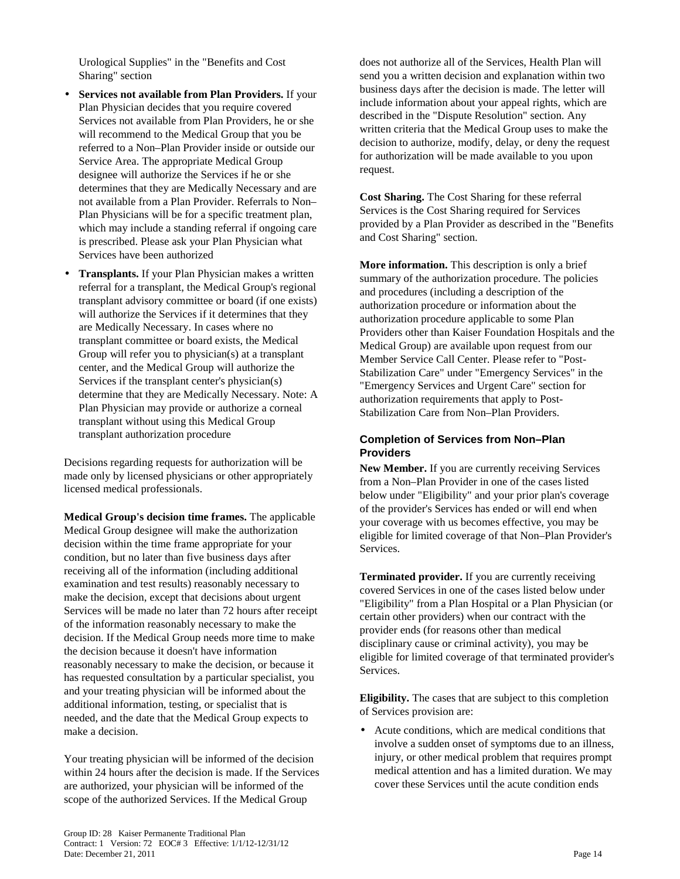Urological Supplies" in the "Benefits and Cost Sharing" section

- **Services not available from Plan Providers.** If your Plan Physician decides that you require covered Services not available from Plan Providers, he or she will recommend to the Medical Group that you be referred to a Non–Plan Provider inside or outside our Service Area. The appropriate Medical Group designee will authorize the Services if he or she determines that they are Medically Necessary and are not available from a Plan Provider. Referrals to Non– Plan Physicians will be for a specific treatment plan, which may include a standing referral if ongoing care is prescribed. Please ask your Plan Physician what Services have been authorized
- **Transplants.** If your Plan Physician makes a written referral for a transplant, the Medical Group's regional transplant advisory committee or board (if one exists) will authorize the Services if it determines that they are Medically Necessary. In cases where no transplant committee or board exists, the Medical Group will refer you to physician(s) at a transplant center, and the Medical Group will authorize the Services if the transplant center's physician(s) determine that they are Medically Necessary. Note: A Plan Physician may provide or authorize a corneal transplant without using this Medical Group transplant authorization procedure

Decisions regarding requests for authorization will be made only by licensed physicians or other appropriately licensed medical professionals.

**Medical Group's decision time frames.** The applicable Medical Group designee will make the authorization decision within the time frame appropriate for your condition, but no later than five business days after receiving all of the information (including additional examination and test results) reasonably necessary to make the decision, except that decisions about urgent Services will be made no later than 72 hours after receipt of the information reasonably necessary to make the decision. If the Medical Group needs more time to make the decision because it doesn't have information reasonably necessary to make the decision, or because it has requested consultation by a particular specialist, you and your treating physician will be informed about the additional information, testing, or specialist that is needed, and the date that the Medical Group expects to make a decision.

Your treating physician will be informed of the decision within 24 hours after the decision is made. If the Services are authorized, your physician will be informed of the scope of the authorized Services. If the Medical Group

does not authorize all of the Services, Health Plan will send you a written decision and explanation within two business days after the decision is made. The letter will include information about your appeal rights, which are described in the "Dispute Resolution" section. Any written criteria that the Medical Group uses to make the decision to authorize, modify, delay, or deny the request for authorization will be made available to you upon request.

**Cost Sharing.** The Cost Sharing for these referral Services is the Cost Sharing required for Services provided by a Plan Provider as described in the "Benefits and Cost Sharing" section.

**More information.** This description is only a brief summary of the authorization procedure. The policies and procedures (including a description of the authorization procedure or information about the authorization procedure applicable to some Plan Providers other than Kaiser Foundation Hospitals and the Medical Group) are available upon request from our Member Service Call Center. Please refer to "Post-Stabilization Care" under "Emergency Services" in the "Emergency Services and Urgent Care" section for authorization requirements that apply to Post-Stabilization Care from Non–Plan Providers.

### **Completion of Services from Non–Plan Providers**

**New Member.** If you are currently receiving Services from a Non–Plan Provider in one of the cases listed below under "Eligibility" and your prior plan's coverage of the provider's Services has ended or will end when your coverage with us becomes effective, you may be eligible for limited coverage of that Non–Plan Provider's Services.

**Terminated provider.** If you are currently receiving covered Services in one of the cases listed below under "Eligibility" from a Plan Hospital or a Plan Physician (or certain other providers) when our contract with the provider ends (for reasons other than medical disciplinary cause or criminal activity), you may be eligible for limited coverage of that terminated provider's Services.

**Eligibility.** The cases that are subject to this completion of Services provision are:

• Acute conditions, which are medical conditions that involve a sudden onset of symptoms due to an illness, injury, or other medical problem that requires prompt medical attention and has a limited duration. We may cover these Services until the acute condition ends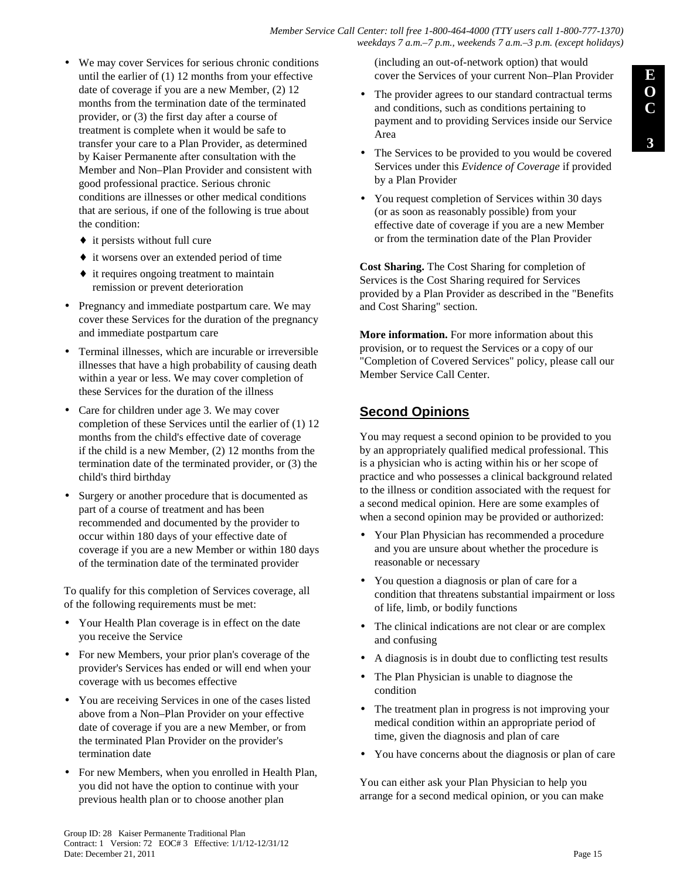#### *Member Service Call Center: toll free 1-800-464-4000 (TTY users call 1-800-777-1370) weekdays 7 a.m.–7 p.m., weekends 7 a.m.–3 p.m. (except holidays)*

- We may cover Services for serious chronic conditions until the earlier of (1) 12 months from your effective date of coverage if you are a new Member, (2) 12 months from the termination date of the terminated provider, or (3) the first day after a course of treatment is complete when it would be safe to transfer your care to a Plan Provider, as determined by Kaiser Permanente after consultation with the Member and Non–Plan Provider and consistent with good professional practice. Serious chronic conditions are illnesses or other medical conditions that are serious, if one of the following is true about the condition:
	- $\bullet$  it persists without full cure
	- ♦ it worsens over an extended period of time
	- ♦ it requires ongoing treatment to maintain remission or prevent deterioration
- Pregnancy and immediate postpartum care. We may cover these Services for the duration of the pregnancy and immediate postpartum care
- Terminal illnesses, which are incurable or irreversible illnesses that have a high probability of causing death within a year or less. We may cover completion of these Services for the duration of the illness
- Care for children under age 3. We may cover completion of these Services until the earlier of (1) 12 months from the child's effective date of coverage if the child is a new Member, (2) 12 months from the termination date of the terminated provider, or (3) the child's third birthday
- Surgery or another procedure that is documented as part of a course of treatment and has been recommended and documented by the provider to occur within 180 days of your effective date of coverage if you are a new Member or within 180 days of the termination date of the terminated provider

To qualify for this completion of Services coverage, all of the following requirements must be met:

- Your Health Plan coverage is in effect on the date you receive the Service
- For new Members, your prior plan's coverage of the provider's Services has ended or will end when your coverage with us becomes effective
- You are receiving Services in one of the cases listed above from a Non–Plan Provider on your effective date of coverage if you are a new Member, or from the terminated Plan Provider on the provider's termination date
- For new Members, when you enrolled in Health Plan, you did not have the option to continue with your previous health plan or to choose another plan

(including an out-of-network option) that would cover the Services of your current Non–Plan Provider

- The provider agrees to our standard contractual terms and conditions, such as conditions pertaining to payment and to providing Services inside our Service Area
- The Services to be provided to you would be covered Services under this *Evidence of Coverage* if provided by a Plan Provider
- You request completion of Services within 30 days (or as soon as reasonably possible) from your effective date of coverage if you are a new Member or from the termination date of the Plan Provider

**Cost Sharing.** The Cost Sharing for completion of Services is the Cost Sharing required for Services provided by a Plan Provider as described in the "Benefits and Cost Sharing" section.

**More information.** For more information about this provision, or to request the Services or a copy of our "Completion of Covered Services" policy, please call our Member Service Call Center.

# **Second Opinions**

You may request a second opinion to be provided to you by an appropriately qualified medical professional. This is a physician who is acting within his or her scope of practice and who possesses a clinical background related to the illness or condition associated with the request for a second medical opinion. Here are some examples of when a second opinion may be provided or authorized:

- Your Plan Physician has recommended a procedure and you are unsure about whether the procedure is reasonable or necessary
- You question a diagnosis or plan of care for a condition that threatens substantial impairment or loss of life, limb, or bodily functions
- The clinical indications are not clear or are complex and confusing
- A diagnosis is in doubt due to conflicting test results
- The Plan Physician is unable to diagnose the condition
- The treatment plan in progress is not improving your medical condition within an appropriate period of time, given the diagnosis and plan of care
- You have concerns about the diagnosis or plan of care

You can either ask your Plan Physician to help you arrange for a second medical opinion, or you can make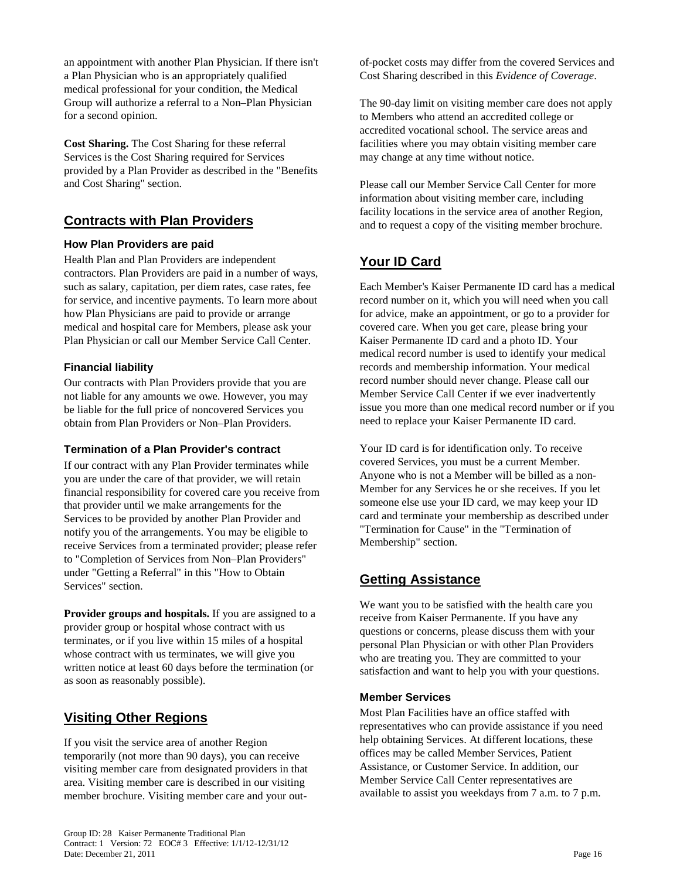an appointment with another Plan Physician. If there isn't a Plan Physician who is an appropriately qualified medical professional for your condition, the Medical Group will authorize a referral to a Non–Plan Physician for a second opinion.

**Cost Sharing.** The Cost Sharing for these referral Services is the Cost Sharing required for Services provided by a Plan Provider as described in the "Benefits and Cost Sharing" section.

## **Contracts with Plan Providers**

### **How Plan Providers are paid**

Health Plan and Plan Providers are independent contractors. Plan Providers are paid in a number of ways, such as salary, capitation, per diem rates, case rates, fee for service, and incentive payments. To learn more about how Plan Physicians are paid to provide or arrange medical and hospital care for Members, please ask your Plan Physician or call our Member Service Call Center.

#### **Financial liability**

Our contracts with Plan Providers provide that you are not liable for any amounts we owe. However, you may be liable for the full price of noncovered Services you obtain from Plan Providers or Non–Plan Providers.

#### **Termination of a Plan Provider's contract**

If our contract with any Plan Provider terminates while you are under the care of that provider, we will retain financial responsibility for covered care you receive from that provider until we make arrangements for the Services to be provided by another Plan Provider and notify you of the arrangements. You may be eligible to receive Services from a terminated provider; please refer to "Completion of Services from Non–Plan Providers" under "Getting a Referral" in this "How to Obtain Services" section.

**Provider groups and hospitals.** If you are assigned to a provider group or hospital whose contract with us terminates, or if you live within 15 miles of a hospital whose contract with us terminates, we will give you written notice at least 60 days before the termination (or as soon as reasonably possible).

# **Visiting Other Regions**

If you visit the service area of another Region temporarily (not more than 90 days), you can receive visiting member care from designated providers in that area. Visiting member care is described in our visiting member brochure. Visiting member care and your outof-pocket costs may differ from the covered Services and Cost Sharing described in this *Evidence of Coverage*.

The 90-day limit on visiting member care does not apply to Members who attend an accredited college or accredited vocational school. The service areas and facilities where you may obtain visiting member care may change at any time without notice.

Please call our Member Service Call Center for more information about visiting member care, including facility locations in the service area of another Region, and to request a copy of the visiting member brochure.

# **Your ID Card**

Each Member's Kaiser Permanente ID card has a medical record number on it, which you will need when you call for advice, make an appointment, or go to a provider for covered care. When you get care, please bring your Kaiser Permanente ID card and a photo ID. Your medical record number is used to identify your medical records and membership information. Your medical record number should never change. Please call our Member Service Call Center if we ever inadvertently issue you more than one medical record number or if you need to replace your Kaiser Permanente ID card.

Your ID card is for identification only. To receive covered Services, you must be a current Member. Anyone who is not a Member will be billed as a non-Member for any Services he or she receives. If you let someone else use your ID card, we may keep your ID card and terminate your membership as described under "Termination for Cause" in the "Termination of Membership" section.

## **Getting Assistance**

We want you to be satisfied with the health care you receive from Kaiser Permanente. If you have any questions or concerns, please discuss them with your personal Plan Physician or with other Plan Providers who are treating you. They are committed to your satisfaction and want to help you with your questions.

#### **Member Services**

Most Plan Facilities have an office staffed with representatives who can provide assistance if you need help obtaining Services. At different locations, these offices may be called Member Services, Patient Assistance, or Customer Service. In addition, our Member Service Call Center representatives are available to assist you weekdays from 7 a.m. to 7 p.m.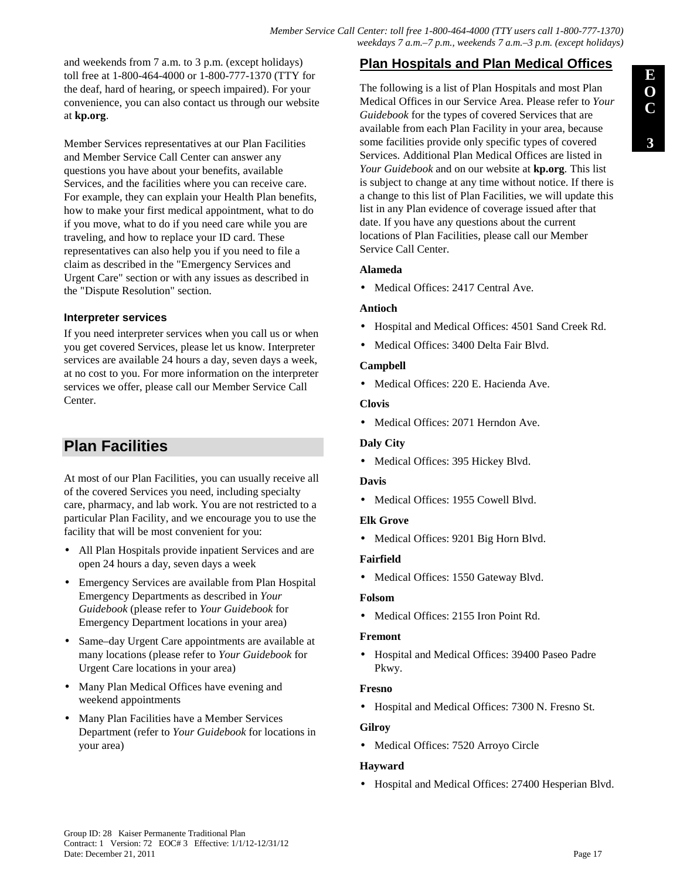and weekends from 7 a.m. to 3 p.m. (except holidays) toll free at 1-800-464-4000 or 1-800-777-1370 (TTY for the deaf, hard of hearing, or speech impaired). For your convenience, you can also contact us through our website at **kp.org**.

Member Services representatives at our Plan Facilities and Member Service Call Center can answer any questions you have about your benefits, available Services, and the facilities where you can receive care. For example, they can explain your Health Plan benefits, how to make your first medical appointment, what to do if you move, what to do if you need care while you are traveling, and how to replace your ID card. These representatives can also help you if you need to file a claim as described in the "Emergency Services and Urgent Care" section or with any issues as described in the "Dispute Resolution" section.

### **Interpreter services**

If you need interpreter services when you call us or when you get covered Services, please let us know. Interpreter services are available 24 hours a day, seven days a week, at no cost to you. For more information on the interpreter services we offer, please call our Member Service Call Center.

# **Plan Facilities**

At most of our Plan Facilities, you can usually receive all of the covered Services you need, including specialty care, pharmacy, and lab work. You are not restricted to a particular Plan Facility, and we encourage you to use the facility that will be most convenient for you:

- All Plan Hospitals provide inpatient Services and are open 24 hours a day, seven days a week
- Emergency Services are available from Plan Hospital Emergency Departments as described in *Your Guidebook* (please refer to *Your Guidebook* for Emergency Department locations in your area)
- Same-day Urgent Care appointments are available at many locations (please refer to *Your Guidebook* for Urgent Care locations in your area)
- Many Plan Medical Offices have evening and weekend appointments
- Many Plan Facilities have a Member Services Department (refer to *Your Guidebook* for locations in your area)

# **Plan Hospitals and Plan Medical Offices**

The following is a list of Plan Hospitals and most Plan Medical Offices in our Service Area. Please refer to *Your Guidebook* for the types of covered Services that are available from each Plan Facility in your area, because some facilities provide only specific types of covered Services. Additional Plan Medical Offices are listed in *Your Guidebook* and on our website at **kp.org***.* This list is subject to change at any time without notice. If there is a change to this list of Plan Facilities, we will update this list in any Plan evidence of coverage issued after that date. If you have any questions about the current locations of Plan Facilities, please call our Member Service Call Center.

### **Alameda**

• Medical Offices: 2417 Central Ave.

### **Antioch**

- Hospital and Medical Offices: 4501 Sand Creek Rd.
- Medical Offices: 3400 Delta Fair Blvd.

### **Campbell**

• Medical Offices: 220 E. Hacienda Ave.

### **Clovis**

• Medical Offices: 2071 Herndon Ave.

### **Daly City**

• Medical Offices: 395 Hickey Blvd.

### **Davis**

• Medical Offices: 1955 Cowell Blvd.

### **Elk Grove**

• Medical Offices: 9201 Big Horn Blvd.

### **Fairfield**

• Medical Offices: 1550 Gateway Blvd.

### **Folsom**

• Medical Offices: 2155 Iron Point Rd.

### **Fremont**

• Hospital and Medical Offices: 39400 Paseo Padre Pkwy.

### **Fresno**

• Hospital and Medical Offices: 7300 N. Fresno St.

### **Gilroy**

• Medical Offices: 7520 Arroyo Circle

### **Hayward**

• Hospital and Medical Offices: 27400 Hesperian Blvd.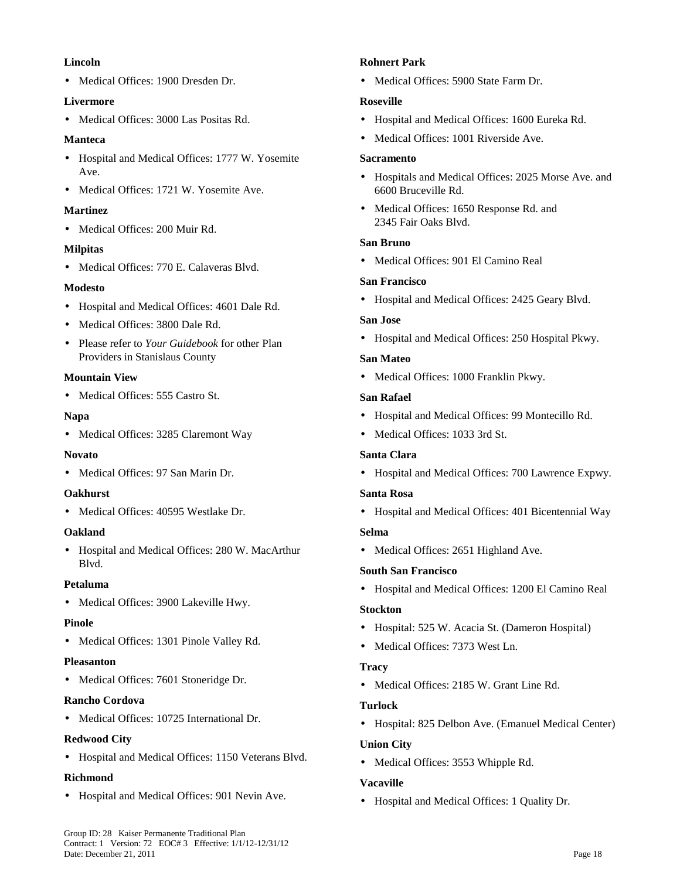#### **Lincoln**

• Medical Offices: 1900 Dresden Dr.

#### **Livermore**

• Medical Offices: 3000 Las Positas Rd.

#### **Manteca**

- Hospital and Medical Offices: 1777 W. Yosemite Ave.
- Medical Offices: 1721 W. Yosemite Ave.

#### **Martinez**

• Medical Offices: 200 Muir Rd.

#### **Milpitas**

• Medical Offices: 770 E. Calaveras Blvd.

#### **Modesto**

- Hospital and Medical Offices: 4601 Dale Rd.
- Medical Offices: 3800 Dale Rd.
- Please refer to *Your Guidebook* for other Plan Providers in Stanislaus County

#### **Mountain View**

• Medical Offices: 555 Castro St.

#### **Napa**

• Medical Offices: 3285 Claremont Way

### **Novato**

• Medical Offices: 97 San Marin Dr.

#### **Oakhurst**

• Medical Offices: 40595 Westlake Dr.

#### **Oakland**

• Hospital and Medical Offices: 280 W. MacArthur Blvd.

#### **Petaluma**

• Medical Offices: 3900 Lakeville Hwy.

#### **Pinole**

• Medical Offices: 1301 Pinole Valley Rd.

#### **Pleasanton**

• Medical Offices: 7601 Stoneridge Dr.

### **Rancho Cordova**

• Medical Offices: 10725 International Dr.

### **Redwood City**

• Hospital and Medical Offices: 1150 Veterans Blvd.

### **Richmond**

• Hospital and Medical Offices: 901 Nevin Ave.

#### **Rohnert Park**

• Medical Offices: 5900 State Farm Dr.

#### **Roseville**

- Hospital and Medical Offices: 1600 Eureka Rd.
- Medical Offices: 1001 Riverside Ave.

#### **Sacramento**

- Hospitals and Medical Offices: 2025 Morse Ave. and 6600 Bruceville Rd.
- Medical Offices: 1650 Response Rd. and 2345 Fair Oaks Blvd.

#### **San Bruno**

• Medical Offices: 901 El Camino Real

#### **San Francisco**

• Hospital and Medical Offices: 2425 Geary Blvd.

#### **San Jose**

• Hospital and Medical Offices: 250 Hospital Pkwy.

#### **San Mateo**

• Medical Offices: 1000 Franklin Pkwy.

#### **San Rafael**

- Hospital and Medical Offices: 99 Montecillo Rd.
- Medical Offices: 1033 3rd St.

### **Santa Clara**

• Hospital and Medical Offices: 700 Lawrence Expwy.

#### **Santa Rosa**

• Hospital and Medical Offices: 401 Bicentennial Way

### **Selma**

• Medical Offices: 2651 Highland Ave.

### **South San Francisco**

• Hospital and Medical Offices: 1200 El Camino Real

### **Stockton**

- Hospital: 525 W. Acacia St. (Dameron Hospital)
- Medical Offices: 7373 West Ln.

### **Tracy**

• Medical Offices: 2185 W. Grant Line Rd.

### **Turlock**

• Hospital: 825 Delbon Ave. (Emanuel Medical Center)

### **Union City**

• Medical Offices: 3553 Whipple Rd.

### **Vacaville**

• Hospital and Medical Offices: 1 Quality Dr.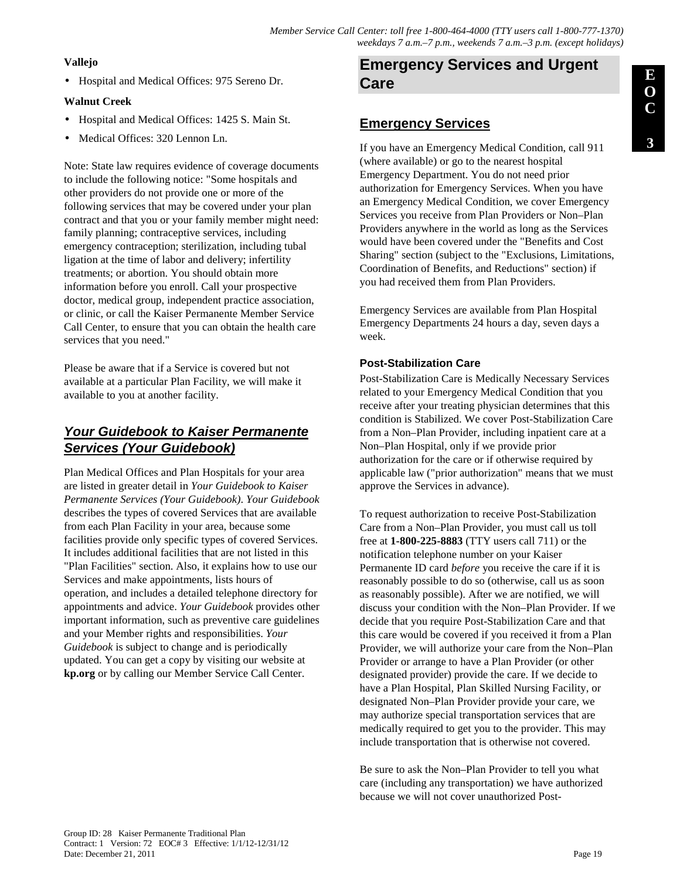### **Vallejo**

• Hospital and Medical Offices: 975 Sereno Dr.

### **Walnut Creek**

- Hospital and Medical Offices: 1425 S. Main St.
- Medical Offices: 320 Lennon Ln.

Note: State law requires evidence of coverage documents to include the following notice: "Some hospitals and other providers do not provide one or more of the following services that may be covered under your plan contract and that you or your family member might need: family planning; contraceptive services, including emergency contraception; sterilization, including tubal ligation at the time of labor and delivery; infertility treatments; or abortion. You should obtain more information before you enroll. Call your prospective doctor, medical group, independent practice association, or clinic, or call the Kaiser Permanente Member Service Call Center, to ensure that you can obtain the health care services that you need."

Please be aware that if a Service is covered but not available at a particular Plan Facility, we will make it available to you at another facility.

# **Your Guidebook to Kaiser Permanente Services (Your Guidebook)**

Plan Medical Offices and Plan Hospitals for your area are listed in greater detail in *Your Guidebook to Kaiser Permanente Services (Your Guidebook)*. *Your Guidebook* describes the types of covered Services that are available from each Plan Facility in your area, because some facilities provide only specific types of covered Services. It includes additional facilities that are not listed in this "Plan Facilities" section. Also, it explains how to use our Services and make appointments, lists hours of operation, and includes a detailed telephone directory for appointments and advice. *Your Guidebook* provides other important information, such as preventive care guidelines and your Member rights and responsibilities. *Your Guidebook* is subject to change and is periodically updated. You can get a copy by visiting our website at **kp.org** or by calling our Member Service Call Center.

# **Emergency Services and Urgent Care**

# **Emergency Services**

If you have an Emergency Medical Condition, call 911 (where available) or go to the nearest hospital Emergency Department. You do not need prior authorization for Emergency Services. When you have an Emergency Medical Condition, we cover Emergency Services you receive from Plan Providers or Non–Plan Providers anywhere in the world as long as the Services would have been covered under the "Benefits and Cost Sharing" section (subject to the "Exclusions, Limitations, Coordination of Benefits, and Reductions" section) if you had received them from Plan Providers.

Emergency Services are available from Plan Hospital Emergency Departments 24 hours a day, seven days a week.

### **Post-Stabilization Care**

Post-Stabilization Care is Medically Necessary Services related to your Emergency Medical Condition that you receive after your treating physician determines that this condition is Stabilized. We cover Post-Stabilization Care from a Non–Plan Provider, including inpatient care at a Non–Plan Hospital, only if we provide prior authorization for the care or if otherwise required by applicable law ("prior authorization" means that we must approve the Services in advance).

To request authorization to receive Post-Stabilization Care from a Non–Plan Provider, you must call us toll free at **1-800-225-8883** (TTY users call 711) or the notification telephone number on your Kaiser Permanente ID card *before* you receive the care if it is reasonably possible to do so (otherwise, call us as soon as reasonably possible). After we are notified, we will discuss your condition with the Non–Plan Provider. If we decide that you require Post-Stabilization Care and that this care would be covered if you received it from a Plan Provider, we will authorize your care from the Non–Plan Provider or arrange to have a Plan Provider (or other designated provider) provide the care. If we decide to have a Plan Hospital, Plan Skilled Nursing Facility, or designated Non–Plan Provider provide your care, we may authorize special transportation services that are medically required to get you to the provider. This may include transportation that is otherwise not covered.

Be sure to ask the Non–Plan Provider to tell you what care (including any transportation) we have authorized because we will not cover unauthorized Post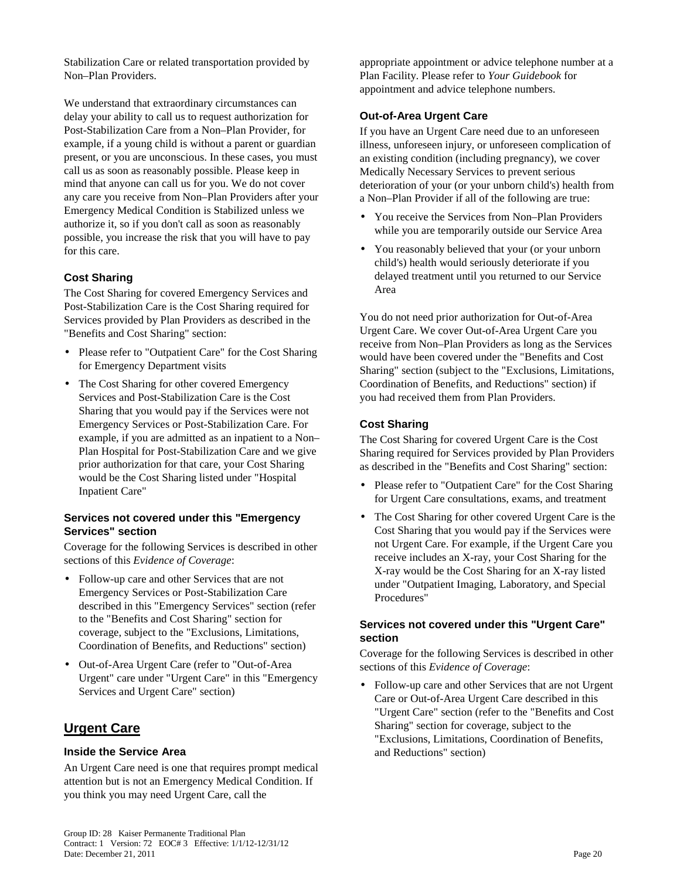Stabilization Care or related transportation provided by Non–Plan Providers.

We understand that extraordinary circumstances can delay your ability to call us to request authorization for Post-Stabilization Care from a Non–Plan Provider, for example, if a young child is without a parent or guardian present, or you are unconscious. In these cases, you must call us as soon as reasonably possible. Please keep in mind that anyone can call us for you. We do not cover any care you receive from Non–Plan Providers after your Emergency Medical Condition is Stabilized unless we authorize it, so if you don't call as soon as reasonably possible, you increase the risk that you will have to pay for this care.

### **Cost Sharing**

The Cost Sharing for covered Emergency Services and Post-Stabilization Care is the Cost Sharing required for Services provided by Plan Providers as described in the "Benefits and Cost Sharing" section:

- Please refer to "Outpatient Care" for the Cost Sharing for Emergency Department visits
- The Cost Sharing for other covered Emergency Services and Post-Stabilization Care is the Cost Sharing that you would pay if the Services were not Emergency Services or Post-Stabilization Care. For example, if you are admitted as an inpatient to a Non– Plan Hospital for Post-Stabilization Care and we give prior authorization for that care, your Cost Sharing would be the Cost Sharing listed under "Hospital Inpatient Care"

#### **Services not covered under this "Emergency Services" section**

Coverage for the following Services is described in other sections of this *Evidence of Coverage*:

- Follow-up care and other Services that are not Emergency Services or Post-Stabilization Care described in this "Emergency Services" section (refer to the "Benefits and Cost Sharing" section for coverage, subject to the "Exclusions, Limitations, Coordination of Benefits, and Reductions" section)
- Out-of-Area Urgent Care (refer to "Out-of-Area Urgent" care under "Urgent Care" in this "Emergency Services and Urgent Care" section)

## **Urgent Care**

#### **Inside the Service Area**

An Urgent Care need is one that requires prompt medical attention but is not an Emergency Medical Condition. If you think you may need Urgent Care, call the

appropriate appointment or advice telephone number at a Plan Facility. Please refer to *Your Guidebook* for appointment and advice telephone numbers.

#### **Out-of-Area Urgent Care**

If you have an Urgent Care need due to an unforeseen illness, unforeseen injury, or unforeseen complication of an existing condition (including pregnancy), we cover Medically Necessary Services to prevent serious deterioration of your (or your unborn child's) health from a Non–Plan Provider if all of the following are true:

- You receive the Services from Non–Plan Providers while you are temporarily outside our Service Area
- You reasonably believed that your (or your unborn child's) health would seriously deteriorate if you delayed treatment until you returned to our Service Area

You do not need prior authorization for Out-of-Area Urgent Care. We cover Out-of-Area Urgent Care you receive from Non–Plan Providers as long as the Services would have been covered under the "Benefits and Cost Sharing" section (subject to the "Exclusions, Limitations, Coordination of Benefits, and Reductions" section) if you had received them from Plan Providers.

#### **Cost Sharing**

The Cost Sharing for covered Urgent Care is the Cost Sharing required for Services provided by Plan Providers as described in the "Benefits and Cost Sharing" section:

- Please refer to "Outpatient Care" for the Cost Sharing for Urgent Care consultations, exams, and treatment
- The Cost Sharing for other covered Urgent Care is the Cost Sharing that you would pay if the Services were not Urgent Care. For example, if the Urgent Care you receive includes an X-ray, your Cost Sharing for the X-ray would be the Cost Sharing for an X-ray listed under "Outpatient Imaging, Laboratory, and Special Procedures"

#### **Services not covered under this "Urgent Care" section**

Coverage for the following Services is described in other sections of this *Evidence of Coverage*:

• Follow-up care and other Services that are not Urgent Care or Out-of-Area Urgent Care described in this "Urgent Care" section (refer to the "Benefits and Cost Sharing" section for coverage, subject to the "Exclusions, Limitations, Coordination of Benefits, and Reductions" section)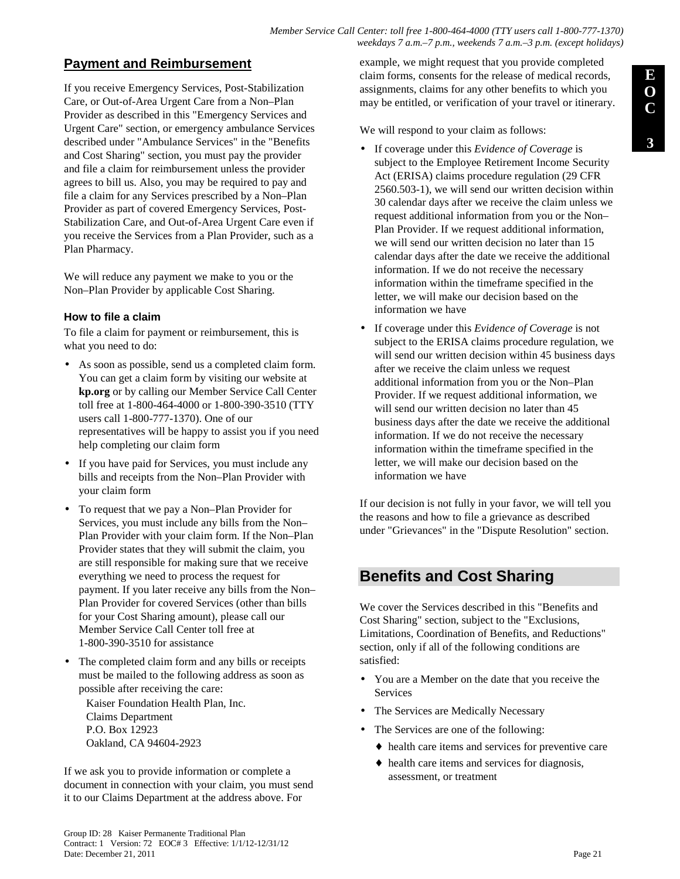*Member Service Call Center: toll free 1-800-464-4000 (TTY users call 1-800-777-1370) weekdays 7 a.m.–7 p.m., weekends 7 a.m.–3 p.m. (except holidays)*

## **Payment and Reimbursement**

If you receive Emergency Services, Post-Stabilization Care, or Out-of-Area Urgent Care from a Non–Plan Provider as described in this "Emergency Services and Urgent Care" section, or emergency ambulance Services described under "Ambulance Services" in the "Benefits and Cost Sharing" section, you must pay the provider and file a claim for reimbursement unless the provider agrees to bill us. Also, you may be required to pay and file a claim for any Services prescribed by a Non–Plan Provider as part of covered Emergency Services, Post-Stabilization Care, and Out-of-Area Urgent Care even if you receive the Services from a Plan Provider, such as a Plan Pharmacy.

We will reduce any payment we make to you or the Non–Plan Provider by applicable Cost Sharing.

### **How to file a claim**

To file a claim for payment or reimbursement, this is what you need to do:

- As soon as possible, send us a completed claim form. You can get a claim form by visiting our website at **kp.org** or by calling our Member Service Call Center toll free at 1-800-464-4000 or 1-800-390-3510 (TTY users call 1-800-777-1370). One of our representatives will be happy to assist you if you need help completing our claim form
- If you have paid for Services, you must include any bills and receipts from the Non–Plan Provider with your claim form
- To request that we pay a Non–Plan Provider for Services, you must include any bills from the Non– Plan Provider with your claim form. If the Non–Plan Provider states that they will submit the claim, you are still responsible for making sure that we receive everything we need to process the request for payment. If you later receive any bills from the Non– Plan Provider for covered Services (other than bills for your Cost Sharing amount), please call our Member Service Call Center toll free at 1-800-390-3510 for assistance
- The completed claim form and any bills or receipts must be mailed to the following address as soon as possible after receiving the care:

Kaiser Foundation Health Plan, Inc. Claims Department P.O. Box 12923 Oakland, CA 94604-2923

If we ask you to provide information or complete a document in connection with your claim, you must send it to our Claims Department at the address above. For

example, we might request that you provide completed claim forms, consents for the release of medical records, assignments, claims for any other benefits to which you may be entitled, or verification of your travel or itinerary.

We will respond to your claim as follows:

- If coverage under this *Evidence of Coverage* is subject to the Employee Retirement Income Security Act (ERISA) claims procedure regulation (29 CFR 2560.503-1), we will send our written decision within 30 calendar days after we receive the claim unless we request additional information from you or the Non– Plan Provider. If we request additional information, we will send our written decision no later than 15 calendar days after the date we receive the additional information. If we do not receive the necessary information within the timeframe specified in the letter, we will make our decision based on the information we have
- If coverage under this *Evidence of Coverage* is not subject to the ERISA claims procedure regulation, we will send our written decision within 45 business days after we receive the claim unless we request additional information from you or the Non–Plan Provider. If we request additional information, we will send our written decision no later than 45 business days after the date we receive the additional information. If we do not receive the necessary information within the timeframe specified in the letter, we will make our decision based on the information we have

If our decision is not fully in your favor, we will tell you the reasons and how to file a grievance as described under "Grievances" in the "Dispute Resolution" section.

# **Benefits and Cost Sharing**

We cover the Services described in this "Benefits and Cost Sharing" section, subject to the "Exclusions, Limitations, Coordination of Benefits, and Reductions" section, only if all of the following conditions are satisfied:

- You are a Member on the date that you receive the Services
- The Services are Medically Necessary
- The Services are one of the following:
	- ♦ health care items and services for preventive care
	- ♦ health care items and services for diagnosis, assessment, or treatment

**E**

**3**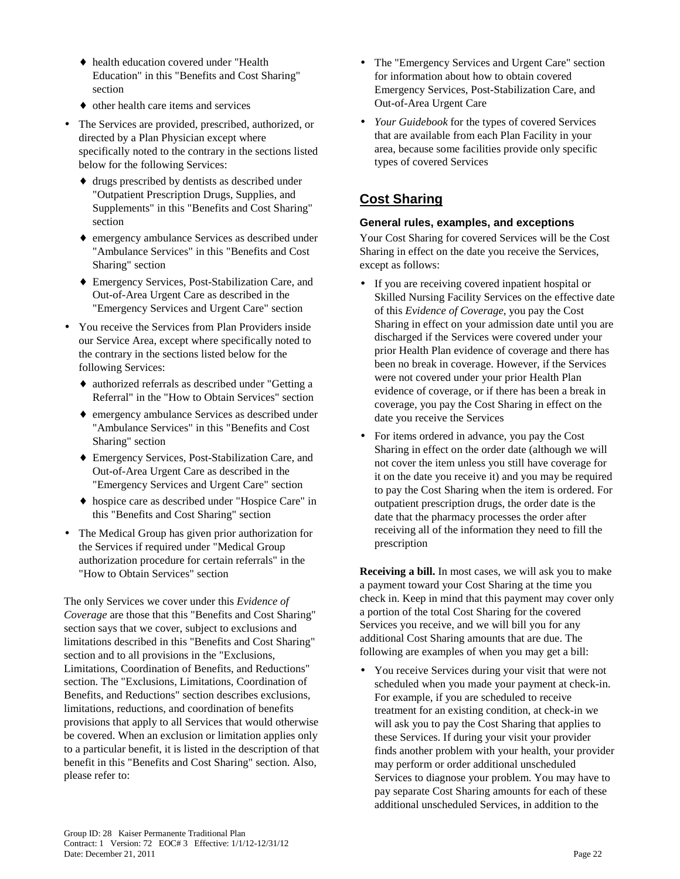- ♦ health education covered under "Health Education" in this "Benefits and Cost Sharing" section
- ♦ other health care items and services
- The Services are provided, prescribed, authorized, or directed by a Plan Physician except where specifically noted to the contrary in the sections listed below for the following Services:
	- ♦ drugs prescribed by dentists as described under "Outpatient Prescription Drugs, Supplies, and Supplements" in this "Benefits and Cost Sharing" section
	- ♦ emergency ambulance Services as described under "Ambulance Services" in this "Benefits and Cost Sharing" section
	- ♦ Emergency Services, Post-Stabilization Care, and Out-of-Area Urgent Care as described in the "Emergency Services and Urgent Care" section
- You receive the Services from Plan Providers inside our Service Area, except where specifically noted to the contrary in the sections listed below for the following Services:
	- ♦ authorized referrals as described under "Getting a Referral" in the "How to Obtain Services" section
	- ♦ emergency ambulance Services as described under "Ambulance Services" in this "Benefits and Cost Sharing" section
	- ♦ Emergency Services, Post-Stabilization Care, and Out-of-Area Urgent Care as described in the "Emergency Services and Urgent Care" section
	- ♦ hospice care as described under "Hospice Care" in this "Benefits and Cost Sharing" section
- The Medical Group has given prior authorization for the Services if required under "Medical Group authorization procedure for certain referrals" in the "How to Obtain Services" section

The only Services we cover under this *Evidence of Coverage* are those that this "Benefits and Cost Sharing" section says that we cover, subject to exclusions and limitations described in this "Benefits and Cost Sharing" section and to all provisions in the "Exclusions, Limitations, Coordination of Benefits, and Reductions" section. The "Exclusions, Limitations, Coordination of Benefits, and Reductions" section describes exclusions, limitations, reductions, and coordination of benefits provisions that apply to all Services that would otherwise be covered. When an exclusion or limitation applies only to a particular benefit, it is listed in the description of that benefit in this "Benefits and Cost Sharing" section. Also, please refer to:

- The "Emergency Services and Urgent Care" section for information about how to obtain covered Emergency Services, Post-Stabilization Care, and Out-of-Area Urgent Care
- *Your Guidebook* for the types of covered Services that are available from each Plan Facility in your area, because some facilities provide only specific types of covered Services

# **Cost Sharing**

### **General rules, examples, and exceptions**

Your Cost Sharing for covered Services will be the Cost Sharing in effect on the date you receive the Services, except as follows:

- If you are receiving covered inpatient hospital or Skilled Nursing Facility Services on the effective date of this *Evidence of Coverage*, you pay the Cost Sharing in effect on your admission date until you are discharged if the Services were covered under your prior Health Plan evidence of coverage and there has been no break in coverage. However, if the Services were not covered under your prior Health Plan evidence of coverage, or if there has been a break in coverage, you pay the Cost Sharing in effect on the date you receive the Services
- For items ordered in advance, you pay the Cost Sharing in effect on the order date (although we will not cover the item unless you still have coverage for it on the date you receive it) and you may be required to pay the Cost Sharing when the item is ordered. For outpatient prescription drugs, the order date is the date that the pharmacy processes the order after receiving all of the information they need to fill the prescription

**Receiving a bill.** In most cases, we will ask you to make a payment toward your Cost Sharing at the time you check in. Keep in mind that this payment may cover only a portion of the total Cost Sharing for the covered Services you receive, and we will bill you for any additional Cost Sharing amounts that are due. The following are examples of when you may get a bill:

• You receive Services during your visit that were not scheduled when you made your payment at check-in. For example, if you are scheduled to receive treatment for an existing condition, at check-in we will ask you to pay the Cost Sharing that applies to these Services. If during your visit your provider finds another problem with your health, your provider may perform or order additional unscheduled Services to diagnose your problem. You may have to pay separate Cost Sharing amounts for each of these additional unscheduled Services, in addition to the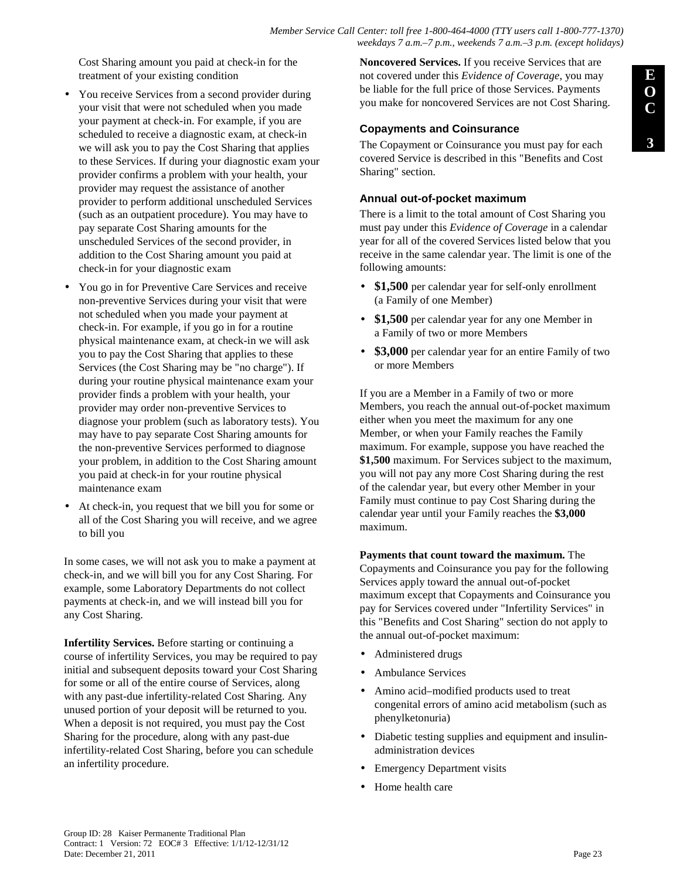Cost Sharing amount you paid at check-in for the treatment of your existing condition

- You receive Services from a second provider during your visit that were not scheduled when you made your payment at check-in. For example, if you are scheduled to receive a diagnostic exam, at check-in we will ask you to pay the Cost Sharing that applies to these Services. If during your diagnostic exam your provider confirms a problem with your health, your provider may request the assistance of another provider to perform additional unscheduled Services (such as an outpatient procedure). You may have to pay separate Cost Sharing amounts for the unscheduled Services of the second provider, in addition to the Cost Sharing amount you paid at check-in for your diagnostic exam
- You go in for Preventive Care Services and receive non-preventive Services during your visit that were not scheduled when you made your payment at check-in. For example, if you go in for a routine physical maintenance exam, at check-in we will ask you to pay the Cost Sharing that applies to these Services (the Cost Sharing may be "no charge"). If during your routine physical maintenance exam your provider finds a problem with your health, your provider may order non-preventive Services to diagnose your problem (such as laboratory tests). You may have to pay separate Cost Sharing amounts for the non-preventive Services performed to diagnose your problem, in addition to the Cost Sharing amount you paid at check-in for your routine physical maintenance exam
- At check-in, you request that we bill you for some or all of the Cost Sharing you will receive, and we agree to bill you

In some cases, we will not ask you to make a payment at check-in, and we will bill you for any Cost Sharing. For example, some Laboratory Departments do not collect payments at check-in, and we will instead bill you for any Cost Sharing.

**Infertility Services.** Before starting or continuing a course of infertility Services, you may be required to pay initial and subsequent deposits toward your Cost Sharing for some or all of the entire course of Services, along with any past-due infertility-related Cost Sharing. Any unused portion of your deposit will be returned to you. When a deposit is not required, you must pay the Cost Sharing for the procedure, along with any past-due infertility-related Cost Sharing, before you can schedule an infertility procedure.

**Noncovered Services.** If you receive Services that are not covered under this *Evidence of Coverage*, you may be liable for the full price of those Services. Payments you make for noncovered Services are not Cost Sharing.

#### **Copayments and Coinsurance**

The Copayment or Coinsurance you must pay for each covered Service is described in this "Benefits and Cost Sharing" section.

#### **Annual out-of-pocket maximum**

There is a limit to the total amount of Cost Sharing you must pay under this *Evidence of Coverage* in a calendar year for all of the covered Services listed below that you receive in the same calendar year. The limit is one of the following amounts:

- \$1,500 per calendar year for self-only enrollment (a Family of one Member)
- **\$1,500** per calendar year for any one Member in a Family of two or more Members
- \$3,000 per calendar year for an entire Family of two or more Members

If you are a Member in a Family of two or more Members, you reach the annual out-of-pocket maximum either when you meet the maximum for any one Member, or when your Family reaches the Family maximum. For example, suppose you have reached the **\$1,500** maximum. For Services subject to the maximum, you will not pay any more Cost Sharing during the rest of the calendar year, but every other Member in your Family must continue to pay Cost Sharing during the calendar year until your Family reaches the **\$3,000** maximum.

**Payments that count toward the maximum.** The Copayments and Coinsurance you pay for the following Services apply toward the annual out-of-pocket maximum except that Copayments and Coinsurance you pay for Services covered under "Infertility Services" in this "Benefits and Cost Sharing" section do not apply to the annual out-of-pocket maximum:

- Administered drugs
- Ambulance Services
- Amino acid–modified products used to treat congenital errors of amino acid metabolism (such as phenylketonuria)
- Diabetic testing supplies and equipment and insulinadministration devices
- **Emergency Department visits**
- Home health care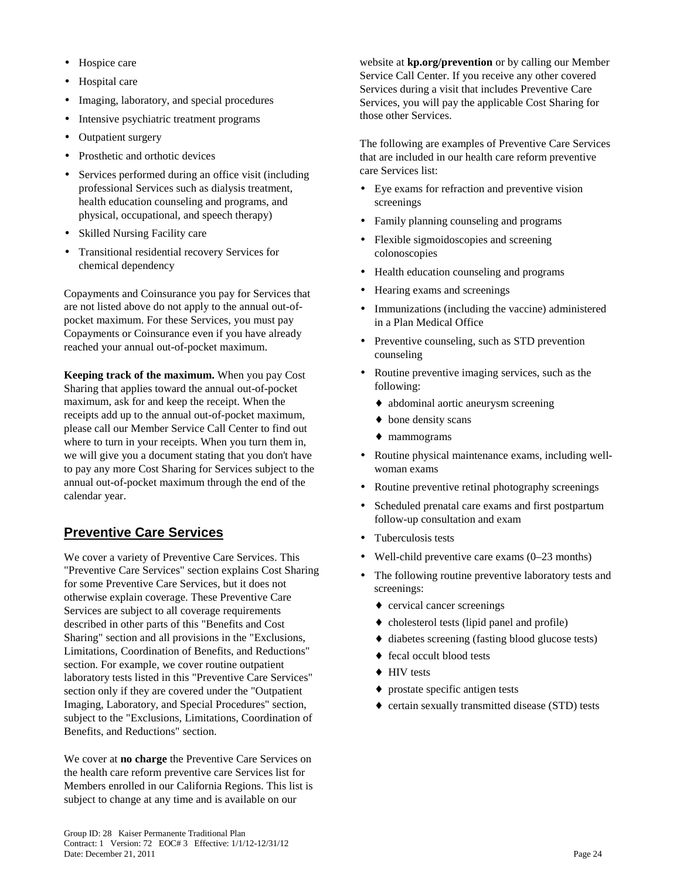- Hospice care
- Hospital care
- Imaging, laboratory, and special procedures
- Intensive psychiatric treatment programs
- Outpatient surgery
- Prosthetic and orthotic devices
- Services performed during an office visit (including professional Services such as dialysis treatment, health education counseling and programs, and physical, occupational, and speech therapy)
- Skilled Nursing Facility care
- Transitional residential recovery Services for chemical dependency

Copayments and Coinsurance you pay for Services that are not listed above do not apply to the annual out-ofpocket maximum. For these Services, you must pay Copayments or Coinsurance even if you have already reached your annual out-of-pocket maximum.

**Keeping track of the maximum.** When you pay Cost Sharing that applies toward the annual out-of-pocket maximum, ask for and keep the receipt. When the receipts add up to the annual out-of-pocket maximum, please call our Member Service Call Center to find out where to turn in your receipts. When you turn them in, we will give you a document stating that you don't have to pay any more Cost Sharing for Services subject to the annual out-of-pocket maximum through the end of the calendar year.

# **Preventive Care Services**

We cover a variety of Preventive Care Services. This "Preventive Care Services" section explains Cost Sharing for some Preventive Care Services, but it does not otherwise explain coverage. These Preventive Care Services are subject to all coverage requirements described in other parts of this "Benefits and Cost Sharing" section and all provisions in the "Exclusions, Limitations, Coordination of Benefits, and Reductions" section. For example, we cover routine outpatient laboratory tests listed in this "Preventive Care Services" section only if they are covered under the "Outpatient Imaging, Laboratory, and Special Procedures" section, subject to the "Exclusions, Limitations, Coordination of Benefits, and Reductions" section.

We cover at **no charge** the Preventive Care Services on the health care reform preventive care Services list for Members enrolled in our California Regions. This list is subject to change at any time and is available on our

website at **kp.org/prevention** or by calling our Member Service Call Center. If you receive any other covered Services during a visit that includes Preventive Care Services, you will pay the applicable Cost Sharing for those other Services.

The following are examples of Preventive Care Services that are included in our health care reform preventive care Services list:

- Eye exams for refraction and preventive vision screenings
- Family planning counseling and programs
- Flexible sigmoidoscopies and screening colonoscopies
- Health education counseling and programs
- Hearing exams and screenings
- Immunizations (including the vaccine) administered in a Plan Medical Office
- Preventive counseling, such as STD prevention counseling
- Routine preventive imaging services, such as the following:
	- ♦ abdominal aortic aneurysm screening
	- ♦ bone density scans
	- ♦ mammograms
- Routine physical maintenance exams, including wellwoman exams
- Routine preventive retinal photography screenings
- Scheduled prenatal care exams and first postpartum follow-up consultation and exam
- Tuberculosis tests
- Well-child preventive care exams  $(0-23$  months)
- The following routine preventive laboratory tests and screenings:
	- ♦ cervical cancer screenings
	- ♦ cholesterol tests (lipid panel and profile)
	- ♦ diabetes screening (fasting blood glucose tests)
	- ♦ fecal occult blood tests
	- ♦ HIV tests
	- ♦ prostate specific antigen tests
	- ♦ certain sexually transmitted disease (STD) tests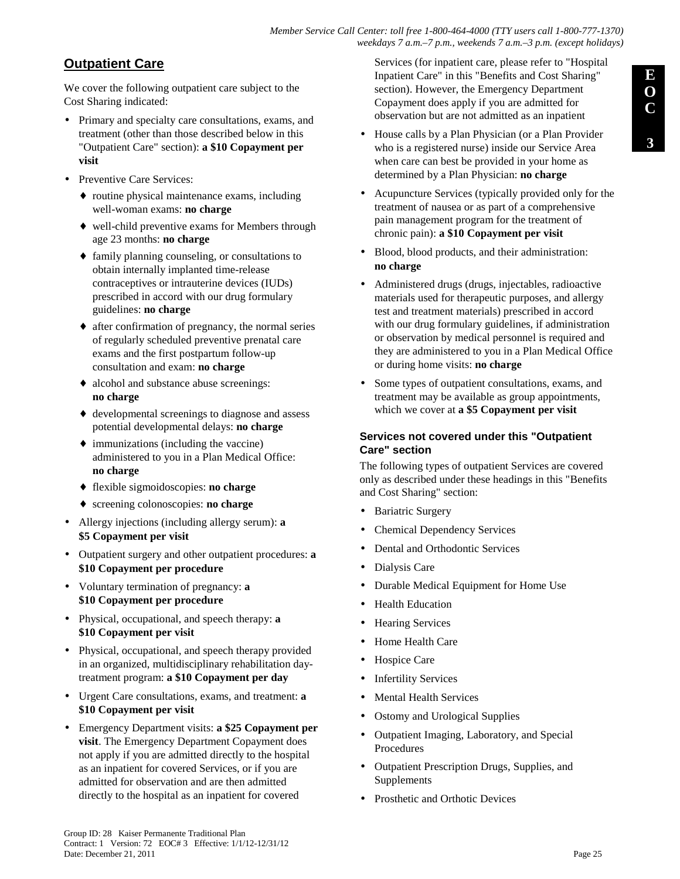*Member Service Call Center: toll free 1-800-464-4000 (TTY users call 1-800-777-1370) weekdays 7 a.m.–7 p.m., weekends 7 a.m.–3 p.m. (except holidays)*

# **Outpatient Care**

We cover the following outpatient care subject to the Cost Sharing indicated:

- Primary and specialty care consultations, exams, and treatment (other than those described below in this "Outpatient Care" section): **a \$10 Copayment per visit**
- Preventive Care Services:
	- ♦ routine physical maintenance exams, including well-woman exams: **no charge**
	- ♦ well-child preventive exams for Members through age 23 months: **no charge**
	- ♦ family planning counseling, or consultations to obtain internally implanted time-release contraceptives or intrauterine devices (IUDs) prescribed in accord with our drug formulary guidelines: **no charge**
	- ♦ after confirmation of pregnancy, the normal series of regularly scheduled preventive prenatal care exams and the first postpartum follow-up consultation and exam: **no charge**
	- ♦ alcohol and substance abuse screenings: **no charge**
	- ♦ developmental screenings to diagnose and assess potential developmental delays: **no charge**
	- $\bullet$  immunizations (including the vaccine) administered to you in a Plan Medical Office: **no charge**
	- ♦ flexible sigmoidoscopies: **no charge**
	- ♦ screening colonoscopies: **no charge**
- Allergy injections (including allergy serum): **a \$5 Copayment per visit**
- Outpatient surgery and other outpatient procedures: **a \$10 Copayment per procedure**
- Voluntary termination of pregnancy: **a \$10 Copayment per procedure**
- Physical, occupational, and speech therapy: **a \$10 Copayment per visit**
- Physical, occupational, and speech therapy provided in an organized, multidisciplinary rehabilitation daytreatment program: **a \$10 Copayment per day**
- Urgent Care consultations, exams, and treatment: **a \$10 Copayment per visit**
- Emergency Department visits: **a \$25 Copayment per visit**. The Emergency Department Copayment does not apply if you are admitted directly to the hospital as an inpatient for covered Services, or if you are admitted for observation and are then admitted directly to the hospital as an inpatient for covered

Services (for inpatient care, please refer to "Hospital Inpatient Care" in this "Benefits and Cost Sharing" section). However, the Emergency Department Copayment does apply if you are admitted for observation but are not admitted as an inpatient

- House calls by a Plan Physician (or a Plan Provider who is a registered nurse) inside our Service Area when care can best be provided in your home as determined by a Plan Physician: **no charge**
- Acupuncture Services (typically provided only for the treatment of nausea or as part of a comprehensive pain management program for the treatment of chronic pain): **a \$10 Copayment per visit**
- Blood, blood products, and their administration: **no charge**
- Administered drugs (drugs, injectables, radioactive materials used for therapeutic purposes, and allergy test and treatment materials) prescribed in accord with our drug formulary guidelines, if administration or observation by medical personnel is required and they are administered to you in a Plan Medical Office or during home visits: **no charge**
- Some types of outpatient consultations, exams, and treatment may be available as group appointments, which we cover at **a \$5 Copayment per visit**

### **Services not covered under this "Outpatient Care" section**

The following types of outpatient Services are covered only as described under these headings in this "Benefits and Cost Sharing" section:

- Bariatric Surgery
- Chemical Dependency Services
- Dental and Orthodontic Services
- Dialysis Care
- Durable Medical Equipment for Home Use
- **Health Education**
- Hearing Services
- Home Health Care
- Hospice Care
- **Infertility Services**
- Mental Health Services
- Ostomy and Urological Supplies
- Outpatient Imaging, Laboratory, and Special **Procedures**
- Outpatient Prescription Drugs, Supplies, and Supplements
- Prosthetic and Orthotic Devices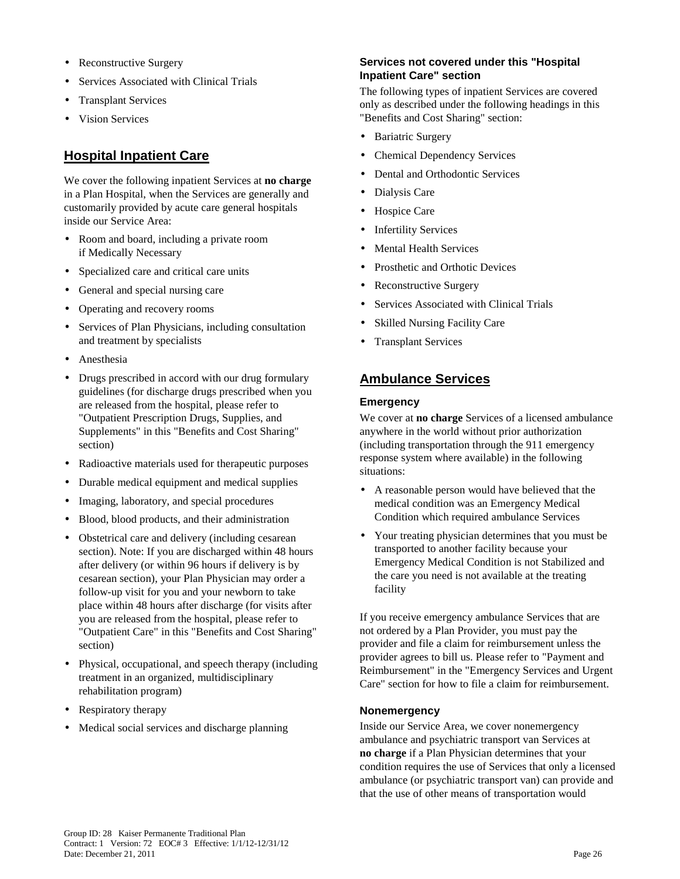- Reconstructive Surgery
- Services Associated with Clinical Trials
- Transplant Services
- Vision Services

# **Hospital Inpatient Care**

We cover the following inpatient Services at **no charge** in a Plan Hospital, when the Services are generally and customarily provided by acute care general hospitals inside our Service Area:

- Room and board, including a private room if Medically Necessary
- Specialized care and critical care units
- General and special nursing care
- Operating and recovery rooms
- Services of Plan Physicians, including consultation and treatment by specialists
- Anesthesia
- Drugs prescribed in accord with our drug formulary guidelines (for discharge drugs prescribed when you are released from the hospital, please refer to "Outpatient Prescription Drugs, Supplies, and Supplements" in this "Benefits and Cost Sharing" section)
- Radioactive materials used for therapeutic purposes
- Durable medical equipment and medical supplies
- Imaging, laboratory, and special procedures
- Blood, blood products, and their administration
- Obstetrical care and delivery (including cesarean section). Note: If you are discharged within 48 hours after delivery (or within 96 hours if delivery is by cesarean section), your Plan Physician may order a follow-up visit for you and your newborn to take place within 48 hours after discharge (for visits after you are released from the hospital, please refer to "Outpatient Care" in this "Benefits and Cost Sharing" section)
- Physical, occupational, and speech therapy (including treatment in an organized, multidisciplinary rehabilitation program)
- Respiratory therapy
- Medical social services and discharge planning

### **Services not covered under this "Hospital Inpatient Care" section**

The following types of inpatient Services are covered only as described under the following headings in this "Benefits and Cost Sharing" section:

- Bariatric Surgery
- Chemical Dependency Services
- Dental and Orthodontic Services
- Dialysis Care
- Hospice Care
- **Infertility Services**
- **Mental Health Services**
- Prosthetic and Orthotic Devices
- Reconstructive Surgery
- Services Associated with Clinical Trials
- Skilled Nursing Facility Care
- Transplant Services

# **Ambulance Services**

#### **Emergency**

We cover at **no charge** Services of a licensed ambulance anywhere in the world without prior authorization (including transportation through the 911 emergency response system where available) in the following situations:

- A reasonable person would have believed that the medical condition was an Emergency Medical Condition which required ambulance Services
- Your treating physician determines that you must be transported to another facility because your Emergency Medical Condition is not Stabilized and the care you need is not available at the treating facility

If you receive emergency ambulance Services that are not ordered by a Plan Provider, you must pay the provider and file a claim for reimbursement unless the provider agrees to bill us. Please refer to "Payment and Reimbursement" in the "Emergency Services and Urgent Care" section for how to file a claim for reimbursement.

#### **Nonemergency**

Inside our Service Area, we cover nonemergency ambulance and psychiatric transport van Services at **no charge** if a Plan Physician determines that your condition requires the use of Services that only a licensed ambulance (or psychiatric transport van) can provide and that the use of other means of transportation would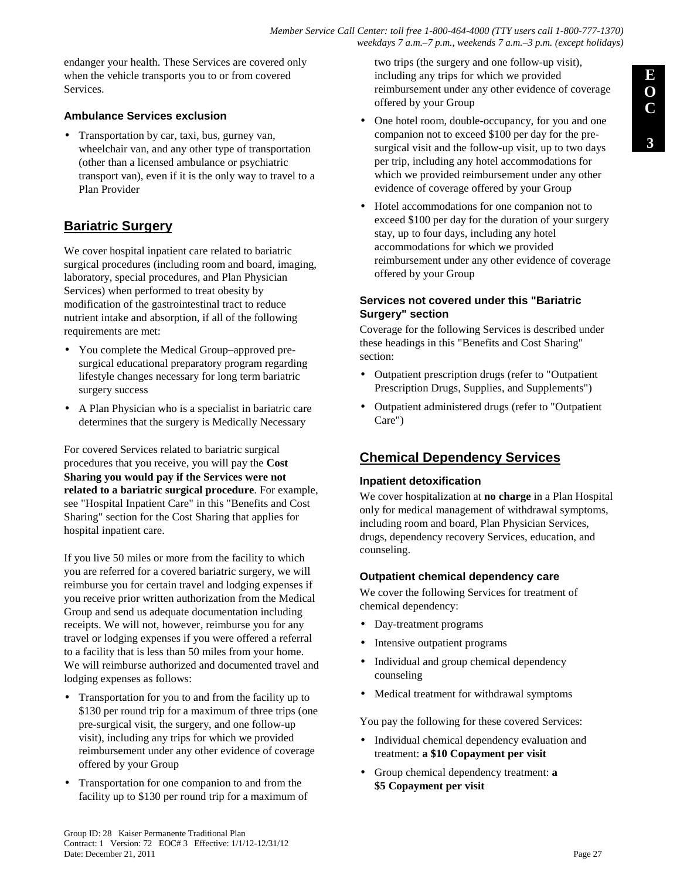endanger your health. These Services are covered only when the vehicle transports you to or from covered **Services** 

### **Ambulance Services exclusion**

• Transportation by car, taxi, bus, gurney van, wheelchair van, and any other type of transportation (other than a licensed ambulance or psychiatric transport van), even if it is the only way to travel to a Plan Provider

# **Bariatric Surgery**

We cover hospital inpatient care related to bariatric surgical procedures (including room and board, imaging, laboratory, special procedures, and Plan Physician Services) when performed to treat obesity by modification of the gastrointestinal tract to reduce nutrient intake and absorption, if all of the following requirements are met:

- You complete the Medical Group–approved presurgical educational preparatory program regarding lifestyle changes necessary for long term bariatric surgery success
- A Plan Physician who is a specialist in bariatric care determines that the surgery is Medically Necessary

For covered Services related to bariatric surgical procedures that you receive, you will pay the **Cost Sharing you would pay if the Services were not related to a bariatric surgical procedure**. For example, see "Hospital Inpatient Care" in this "Benefits and Cost Sharing" section for the Cost Sharing that applies for hospital inpatient care.

If you live 50 miles or more from the facility to which you are referred for a covered bariatric surgery, we will reimburse you for certain travel and lodging expenses if you receive prior written authorization from the Medical Group and send us adequate documentation including receipts. We will not, however, reimburse you for any travel or lodging expenses if you were offered a referral to a facility that is less than 50 miles from your home. We will reimburse authorized and documented travel and lodging expenses as follows:

- Transportation for you to and from the facility up to \$130 per round trip for a maximum of three trips (one pre-surgical visit, the surgery, and one follow-up visit), including any trips for which we provided reimbursement under any other evidence of coverage offered by your Group
- Transportation for one companion to and from the facility up to \$130 per round trip for a maximum of

two trips (the surgery and one follow-up visit), including any trips for which we provided reimbursement under any other evidence of coverage offered by your Group

- One hotel room, double-occupancy, for you and one companion not to exceed \$100 per day for the presurgical visit and the follow-up visit, up to two days per trip, including any hotel accommodations for which we provided reimbursement under any other evidence of coverage offered by your Group
- Hotel accommodations for one companion not to exceed \$100 per day for the duration of your surgery stay, up to four days, including any hotel accommodations for which we provided reimbursement under any other evidence of coverage offered by your Group

### **Services not covered under this "Bariatric Surgery" section**

Coverage for the following Services is described under these headings in this "Benefits and Cost Sharing" section:

- Outpatient prescription drugs (refer to "Outpatient Prescription Drugs, Supplies, and Supplements")
- Outpatient administered drugs (refer to "Outpatient Care")

# **Chemical Dependency Services**

### **Inpatient detoxification**

We cover hospitalization at **no charge** in a Plan Hospital only for medical management of withdrawal symptoms, including room and board, Plan Physician Services, drugs, dependency recovery Services, education, and counseling.

### **Outpatient chemical dependency care**

We cover the following Services for treatment of chemical dependency:

- Day-treatment programs
- Intensive outpatient programs
- Individual and group chemical dependency counseling
- Medical treatment for withdrawal symptoms

You pay the following for these covered Services:

- Individual chemical dependency evaluation and treatment: **a \$10 Copayment per visit**
- Group chemical dependency treatment: **a \$5 Copayment per visit**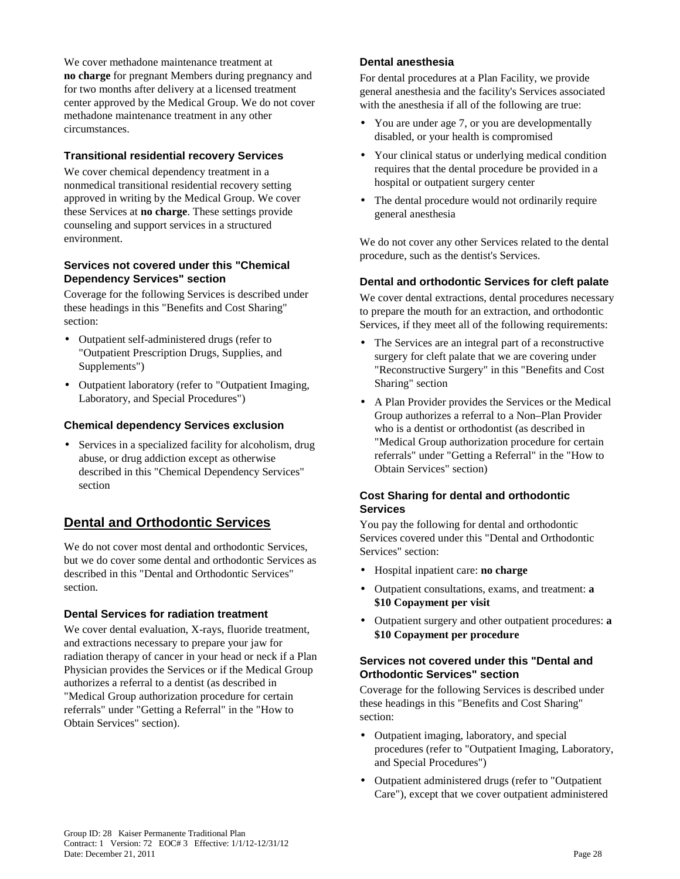We cover methadone maintenance treatment at **no charge** for pregnant Members during pregnancy and for two months after delivery at a licensed treatment center approved by the Medical Group. We do not cover methadone maintenance treatment in any other circumstances.

### **Transitional residential recovery Services**

We cover chemical dependency treatment in a nonmedical transitional residential recovery setting approved in writing by the Medical Group. We cover these Services at **no charge**. These settings provide counseling and support services in a structured environment.

#### **Services not covered under this "Chemical Dependency Services" section**

Coverage for the following Services is described under these headings in this "Benefits and Cost Sharing" section:

- Outpatient self-administered drugs (refer to "Outpatient Prescription Drugs, Supplies, and Supplements")
- Outpatient laboratory (refer to "Outpatient Imaging, Laboratory, and Special Procedures")

### **Chemical dependency Services exclusion**

Services in a specialized facility for alcoholism, drug abuse, or drug addiction except as otherwise described in this "Chemical Dependency Services" section

# **Dental and Orthodontic Services**

We do not cover most dental and orthodontic Services. but we do cover some dental and orthodontic Services as described in this "Dental and Orthodontic Services" section.

### **Dental Services for radiation treatment**

We cover dental evaluation, X-rays, fluoride treatment, and extractions necessary to prepare your jaw for radiation therapy of cancer in your head or neck if a Plan Physician provides the Services or if the Medical Group authorizes a referral to a dentist (as described in "Medical Group authorization procedure for certain referrals" under "Getting a Referral" in the "How to Obtain Services" section).

#### **Dental anesthesia**

For dental procedures at a Plan Facility, we provide general anesthesia and the facility's Services associated with the anesthesia if all of the following are true:

- You are under age 7, or you are developmentally disabled, or your health is compromised
- Your clinical status or underlying medical condition requires that the dental procedure be provided in a hospital or outpatient surgery center
- The dental procedure would not ordinarily require general anesthesia

We do not cover any other Services related to the dental procedure, such as the dentist's Services.

#### **Dental and orthodontic Services for cleft palate**

We cover dental extractions, dental procedures necessary to prepare the mouth for an extraction, and orthodontic Services, if they meet all of the following requirements:

- The Services are an integral part of a reconstructive surgery for cleft palate that we are covering under "Reconstructive Surgery" in this "Benefits and Cost Sharing" section
- A Plan Provider provides the Services or the Medical Group authorizes a referral to a Non–Plan Provider who is a dentist or orthodontist (as described in "Medical Group authorization procedure for certain referrals" under "Getting a Referral" in the "How to Obtain Services" section)

#### **Cost Sharing for dental and orthodontic Services**

You pay the following for dental and orthodontic Services covered under this "Dental and Orthodontic Services" section:

- Hospital inpatient care: **no charge**
- Outpatient consultations, exams, and treatment: **a \$10 Copayment per visit**
- Outpatient surgery and other outpatient procedures: **a \$10 Copayment per procedure**

#### **Services not covered under this "Dental and Orthodontic Services" section**

Coverage for the following Services is described under these headings in this "Benefits and Cost Sharing" section:

- Outpatient imaging, laboratory, and special procedures (refer to "Outpatient Imaging, Laboratory, and Special Procedures")
- Outpatient administered drugs (refer to "Outpatient Care"), except that we cover outpatient administered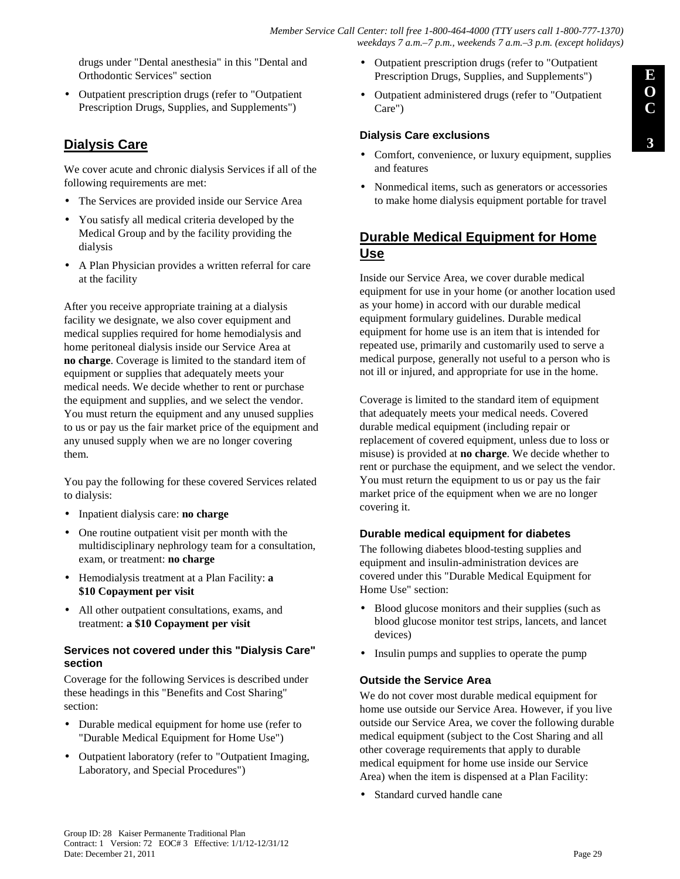drugs under "Dental anesthesia" in this "Dental and Orthodontic Services" section

• Outpatient prescription drugs (refer to "Outpatient Prescription Drugs, Supplies, and Supplements")

# **Dialysis Care**

We cover acute and chronic dialysis Services if all of the following requirements are met:

- The Services are provided inside our Service Area
- You satisfy all medical criteria developed by the Medical Group and by the facility providing the dialysis
- A Plan Physician provides a written referral for care at the facility

After you receive appropriate training at a dialysis facility we designate, we also cover equipment and medical supplies required for home hemodialysis and home peritoneal dialysis inside our Service Area at **no charge**. Coverage is limited to the standard item of equipment or supplies that adequately meets your medical needs. We decide whether to rent or purchase the equipment and supplies, and we select the vendor. You must return the equipment and any unused supplies to us or pay us the fair market price of the equipment and any unused supply when we are no longer covering them.

You pay the following for these covered Services related to dialysis:

- Inpatient dialysis care: **no charge**
- One routine outpatient visit per month with the multidisciplinary nephrology team for a consultation, exam, or treatment: **no charge**
- Hemodialysis treatment at a Plan Facility: **a \$10 Copayment per visit**
- All other outpatient consultations, exams, and treatment: **a \$10 Copayment per visit**

### **Services not covered under this "Dialysis Care" section**

Coverage for the following Services is described under these headings in this "Benefits and Cost Sharing" section:

- Durable medical equipment for home use (refer to "Durable Medical Equipment for Home Use")
- Outpatient laboratory (refer to "Outpatient Imaging, Laboratory, and Special Procedures")
- Outpatient prescription drugs (refer to "Outpatient Prescription Drugs, Supplies, and Supplements")
- Outpatient administered drugs (refer to "Outpatient Care")

# **Dialysis Care exclusions**

- Comfort, convenience, or luxury equipment, supplies and features
- Nonmedical items, such as generators or accessories to make home dialysis equipment portable for travel

# **Durable Medical Equipment for Home Use**

Inside our Service Area, we cover durable medical equipment for use in your home (or another location used as your home) in accord with our durable medical equipment formulary guidelines. Durable medical equipment for home use is an item that is intended for repeated use, primarily and customarily used to serve a medical purpose, generally not useful to a person who is not ill or injured, and appropriate for use in the home.

Coverage is limited to the standard item of equipment that adequately meets your medical needs. Covered durable medical equipment (including repair or replacement of covered equipment, unless due to loss or misuse) is provided at **no charge**. We decide whether to rent or purchase the equipment, and we select the vendor. You must return the equipment to us or pay us the fair market price of the equipment when we are no longer covering it.

# **Durable medical equipment for diabetes**

The following diabetes blood-testing supplies and equipment and insulin-administration devices are covered under this "Durable Medical Equipment for Home Use" section:

- Blood glucose monitors and their supplies (such as blood glucose monitor test strips, lancets, and lancet devices)
- Insulin pumps and supplies to operate the pump

# **Outside the Service Area**

We do not cover most durable medical equipment for home use outside our Service Area. However, if you live outside our Service Area, we cover the following durable medical equipment (subject to the Cost Sharing and all other coverage requirements that apply to durable medical equipment for home use inside our Service Area) when the item is dispensed at a Plan Facility:

Standard curved handle cane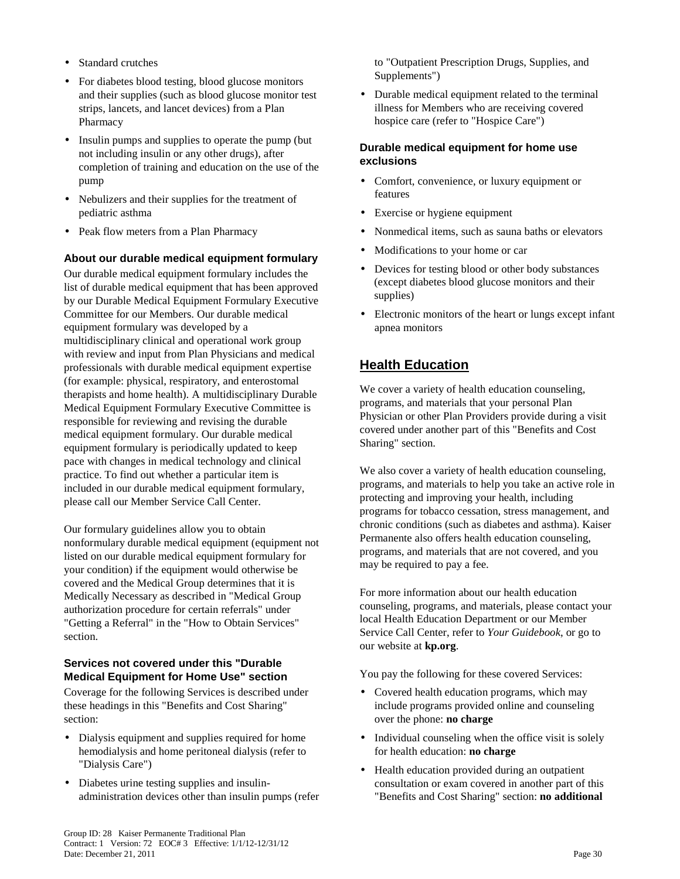- Standard crutches
- For diabetes blood testing, blood glucose monitors and their supplies (such as blood glucose monitor test strips, lancets, and lancet devices) from a Plan Pharmacy
- Insulin pumps and supplies to operate the pump (but) not including insulin or any other drugs), after completion of training and education on the use of the pump
- Nebulizers and their supplies for the treatment of pediatric asthma
- Peak flow meters from a Plan Pharmacy

### **About our durable medical equipment formulary**

Our durable medical equipment formulary includes the list of durable medical equipment that has been approved by our Durable Medical Equipment Formulary Executive Committee for our Members. Our durable medical equipment formulary was developed by a multidisciplinary clinical and operational work group with review and input from Plan Physicians and medical professionals with durable medical equipment expertise (for example: physical, respiratory, and enterostomal therapists and home health). A multidisciplinary Durable Medical Equipment Formulary Executive Committee is responsible for reviewing and revising the durable medical equipment formulary. Our durable medical equipment formulary is periodically updated to keep pace with changes in medical technology and clinical practice. To find out whether a particular item is included in our durable medical equipment formulary, please call our Member Service Call Center.

Our formulary guidelines allow you to obtain nonformulary durable medical equipment (equipment not listed on our durable medical equipment formulary for your condition) if the equipment would otherwise be covered and the Medical Group determines that it is Medically Necessary as described in "Medical Group authorization procedure for certain referrals" under "Getting a Referral" in the "How to Obtain Services" section.

### **Services not covered under this "Durable Medical Equipment for Home Use" section**

Coverage for the following Services is described under these headings in this "Benefits and Cost Sharing" section:

- Dialysis equipment and supplies required for home hemodialysis and home peritoneal dialysis (refer to "Dialysis Care")
- Diabetes urine testing supplies and insulinadministration devices other than insulin pumps (refer

to "Outpatient Prescription Drugs, Supplies, and Supplements")

• Durable medical equipment related to the terminal illness for Members who are receiving covered hospice care (refer to "Hospice Care")

#### **Durable medical equipment for home use exclusions**

- Comfort, convenience, or luxury equipment or features
- Exercise or hygiene equipment
- Nonmedical items, such as sauna baths or elevators
- Modifications to your home or car
- Devices for testing blood or other body substances (except diabetes blood glucose monitors and their supplies)
- Electronic monitors of the heart or lungs except infant apnea monitors

# **Health Education**

We cover a variety of health education counseling, programs, and materials that your personal Plan Physician or other Plan Providers provide during a visit covered under another part of this "Benefits and Cost Sharing" section.

We also cover a variety of health education counseling, programs, and materials to help you take an active role in protecting and improving your health, including programs for tobacco cessation, stress management, and chronic conditions (such as diabetes and asthma). Kaiser Permanente also offers health education counseling, programs, and materials that are not covered, and you may be required to pay a fee.

For more information about our health education counseling, programs, and materials, please contact your local Health Education Department or our Member Service Call Center, refer to *Your Guidebook*, or go to our website at **kp.org**.

You pay the following for these covered Services:

- Covered health education programs, which may include programs provided online and counseling over the phone: **no charge**
- Individual counseling when the office visit is solely for health education: **no charge**
- Health education provided during an outpatient consultation or exam covered in another part of this "Benefits and Cost Sharing" section: **no additional**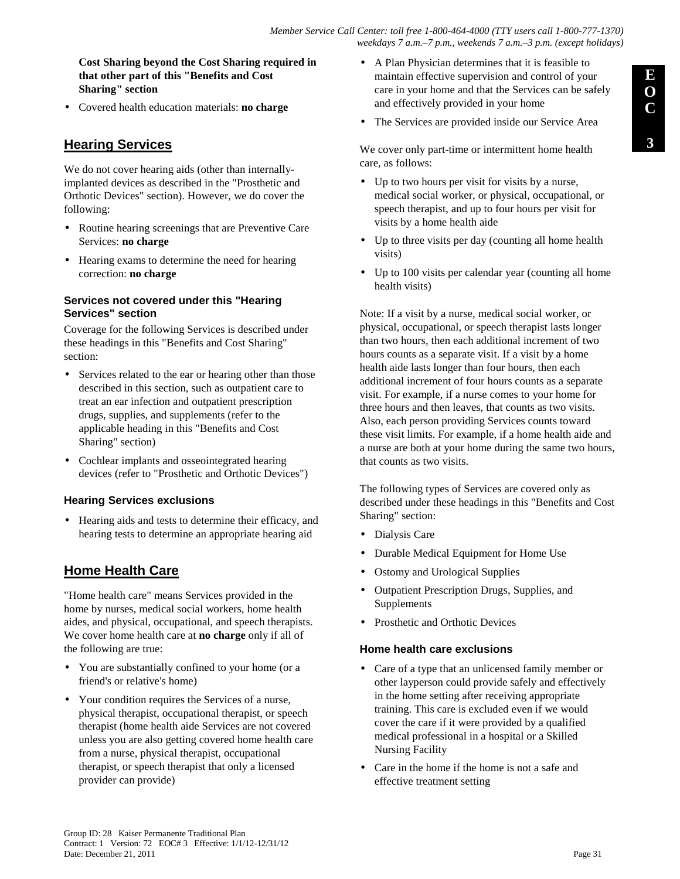**Cost Sharing beyond the Cost Sharing required in that other part of this "Benefits and Cost Sharing" section**

• Covered health education materials: **no charge**

## **Hearing Services**

We do not cover hearing aids (other than internallyimplanted devices as described in the "Prosthetic and Orthotic Devices" section). However, we do cover the following:

- Routine hearing screenings that are Preventive Care Services: **no charge**
- Hearing exams to determine the need for hearing correction: **no charge**

#### **Services not covered under this "Hearing Services" section**

Coverage for the following Services is described under these headings in this "Benefits and Cost Sharing" section:

- Services related to the ear or hearing other than those described in this section, such as outpatient care to treat an ear infection and outpatient prescription drugs, supplies, and supplements (refer to the applicable heading in this "Benefits and Cost Sharing" section)
- Cochlear implants and osseointegrated hearing devices (refer to "Prosthetic and Orthotic Devices")

### **Hearing Services exclusions**

• Hearing aids and tests to determine their efficacy, and hearing tests to determine an appropriate hearing aid

# **Home Health Care**

"Home health care" means Services provided in the home by nurses, medical social workers, home health aides, and physical, occupational, and speech therapists. We cover home health care at **no charge** only if all of the following are true:

- You are substantially confined to your home (or a friend's or relative's home)
- Your condition requires the Services of a nurse, physical therapist, occupational therapist, or speech therapist (home health aide Services are not covered unless you are also getting covered home health care from a nurse, physical therapist, occupational therapist, or speech therapist that only a licensed provider can provide)
- A Plan Physician determines that it is feasible to maintain effective supervision and control of your care in your home and that the Services can be safely and effectively provided in your home
- The Services are provided inside our Service Area

We cover only part-time or intermittent home health care, as follows:

- Up to two hours per visit for visits by a nurse, medical social worker, or physical, occupational, or speech therapist, and up to four hours per visit for visits by a home health aide
- Up to three visits per day (counting all home health visits)
- Up to 100 visits per calendar year (counting all home health visits)

Note: If a visit by a nurse, medical social worker, or physical, occupational, or speech therapist lasts longer than two hours, then each additional increment of two hours counts as a separate visit. If a visit by a home health aide lasts longer than four hours, then each additional increment of four hours counts as a separate visit. For example, if a nurse comes to your home for three hours and then leaves, that counts as two visits. Also, each person providing Services counts toward these visit limits. For example, if a home health aide and a nurse are both at your home during the same two hours, that counts as two visits.

The following types of Services are covered only as described under these headings in this "Benefits and Cost Sharing" section:

- Dialysis Care
- Durable Medical Equipment for Home Use
- Ostomy and Urological Supplies
- Outpatient Prescription Drugs, Supplies, and Supplements
- Prosthetic and Orthotic Devices

#### **Home health care exclusions**

- Care of a type that an unlicensed family member or other layperson could provide safely and effectively in the home setting after receiving appropriate training. This care is excluded even if we would cover the care if it were provided by a qualified medical professional in a hospital or a Skilled Nursing Facility
- Care in the home if the home is not a safe and effective treatment setting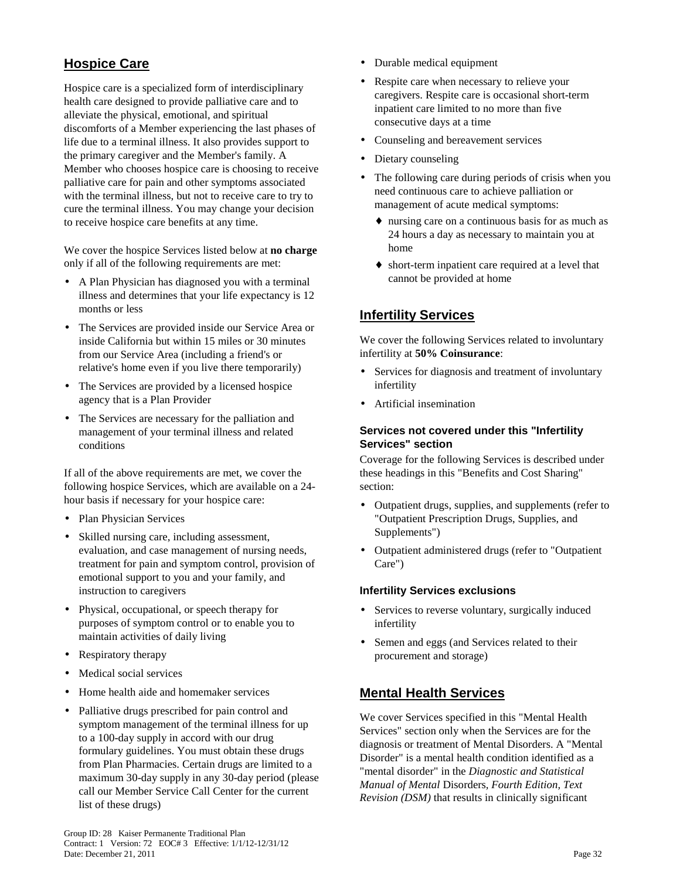# **Hospice Care**

Hospice care is a specialized form of interdisciplinary health care designed to provide palliative care and to alleviate the physical, emotional, and spiritual discomforts of a Member experiencing the last phases of life due to a terminal illness. It also provides support to the primary caregiver and the Member's family. A Member who chooses hospice care is choosing to receive palliative care for pain and other symptoms associated with the terminal illness, but not to receive care to try to cure the terminal illness. You may change your decision to receive hospice care benefits at any time.

We cover the hospice Services listed below at **no charge** only if all of the following requirements are met:

- A Plan Physician has diagnosed you with a terminal illness and determines that your life expectancy is 12 months or less
- The Services are provided inside our Service Area or inside California but within 15 miles or 30 minutes from our Service Area (including a friend's or relative's home even if you live there temporarily)
- The Services are provided by a licensed hospice agency that is a Plan Provider
- The Services are necessary for the palliation and management of your terminal illness and related conditions

If all of the above requirements are met, we cover the following hospice Services, which are available on a 24 hour basis if necessary for your hospice care:

- Plan Physician Services
- Skilled nursing care, including assessment, evaluation, and case management of nursing needs, treatment for pain and symptom control, provision of emotional support to you and your family, and instruction to caregivers
- Physical, occupational, or speech therapy for purposes of symptom control or to enable you to maintain activities of daily living
- Respiratory therapy
- Medical social services
- Home health aide and homemaker services
- Palliative drugs prescribed for pain control and symptom management of the terminal illness for up to a 100-day supply in accord with our drug formulary guidelines. You must obtain these drugs from Plan Pharmacies. Certain drugs are limited to a maximum 30-day supply in any 30-day period (please call our Member Service Call Center for the current list of these drugs)
- Durable medical equipment
- Respite care when necessary to relieve your caregivers. Respite care is occasional short-term inpatient care limited to no more than five consecutive days at a time
- Counseling and bereavement services
- Dietary counseling
- The following care during periods of crisis when you need continuous care to achieve palliation or management of acute medical symptoms:
	- ♦ nursing care on a continuous basis for as much as 24 hours a day as necessary to maintain you at home
	- ♦ short-term inpatient care required at a level that cannot be provided at home

# **Infertility Services**

We cover the following Services related to involuntary infertility at **50% Coinsurance**:

- Services for diagnosis and treatment of involuntary infertility
- Artificial insemination

#### **Services not covered under this "Infertility Services" section**

Coverage for the following Services is described under these headings in this "Benefits and Cost Sharing" section:

- Outpatient drugs, supplies, and supplements (refer to "Outpatient Prescription Drugs, Supplies, and Supplements")
- Outpatient administered drugs (refer to "Outpatient Care")

### **Infertility Services exclusions**

- Services to reverse voluntary, surgically induced infertility
- Semen and eggs (and Services related to their procurement and storage)

## **Mental Health Services**

We cover Services specified in this "Mental Health Services" section only when the Services are for the diagnosis or treatment of Mental Disorders. A "Mental Disorder" is a mental health condition identified as a "mental disorder" in the *Diagnostic and Statistical Manual of Mental* Disorders*, Fourth Edition, Text Revision (DSM)* that results in clinically significant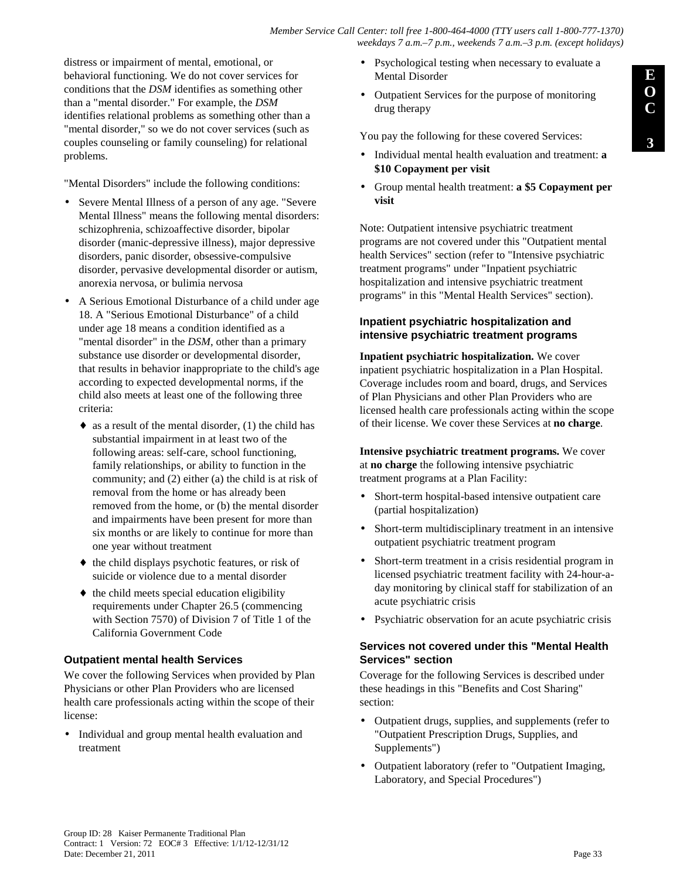distress or impairment of mental, emotional, or behavioral functioning. We do not cover services for conditions that the *DSM* identifies as something other than a "mental disorder." For example, the *DSM* identifies relational problems as something other than a "mental disorder," so we do not cover services (such as couples counseling or family counseling) for relational problems.

"Mental Disorders" include the following conditions:

- Severe Mental Illness of a person of any age. "Severe Mental Illness" means the following mental disorders: schizophrenia, schizoaffective disorder, bipolar disorder (manic-depressive illness), major depressive disorders, panic disorder, obsessive-compulsive disorder, pervasive developmental disorder or autism, anorexia nervosa, or bulimia nervosa
- A Serious Emotional Disturbance of a child under age 18. A "Serious Emotional Disturbance" of a child under age 18 means a condition identified as a "mental disorder" in the *DSM*, other than a primary substance use disorder or developmental disorder, that results in behavior inappropriate to the child's age according to expected developmental norms, if the child also meets at least one of the following three criteria:
	- $\bullet$  as a result of the mental disorder, (1) the child has substantial impairment in at least two of the following areas: self-care, school functioning, family relationships, or ability to function in the community; and (2) either (a) the child is at risk of removal from the home or has already been removed from the home, or (b) the mental disorder and impairments have been present for more than six months or are likely to continue for more than one year without treatment
	- ♦ the child displays psychotic features, or risk of suicide or violence due to a mental disorder
	- $\bullet$  the child meets special education eligibility requirements under Chapter 26.5 (commencing with Section 7570) of Division 7 of Title 1 of the California Government Code

### **Outpatient mental health Services**

We cover the following Services when provided by Plan Physicians or other Plan Providers who are licensed health care professionals acting within the scope of their license:

• Individual and group mental health evaluation and treatment

- Psychological testing when necessary to evaluate a Mental Disorder
- Outpatient Services for the purpose of monitoring drug therapy

You pay the following for these covered Services:

- Individual mental health evaluation and treatment: **a \$10 Copayment per visit**
- Group mental health treatment: **a \$5 Copayment per visit**

Note: Outpatient intensive psychiatric treatment programs are not covered under this "Outpatient mental health Services" section (refer to "Intensive psychiatric treatment programs" under "Inpatient psychiatric hospitalization and intensive psychiatric treatment programs" in this "Mental Health Services" section).

### **Inpatient psychiatric hospitalization and intensive psychiatric treatment programs**

**Inpatient psychiatric hospitalization.** We cover inpatient psychiatric hospitalization in a Plan Hospital. Coverage includes room and board, drugs, and Services of Plan Physicians and other Plan Providers who are licensed health care professionals acting within the scope of their license. We cover these Services at **no charge**.

**Intensive psychiatric treatment programs.** We cover at **no charge** the following intensive psychiatric treatment programs at a Plan Facility:

- Short-term hospital-based intensive outpatient care (partial hospitalization)
- Short-term multidisciplinary treatment in an intensive outpatient psychiatric treatment program
- Short-term treatment in a crisis residential program in licensed psychiatric treatment facility with 24-hour-aday monitoring by clinical staff for stabilization of an acute psychiatric crisis
- Psychiatric observation for an acute psychiatric crisis

### **Services not covered under this "Mental Health Services" section**

Coverage for the following Services is described under these headings in this "Benefits and Cost Sharing" section:

- Outpatient drugs, supplies, and supplements (refer to "Outpatient Prescription Drugs, Supplies, and Supplements")
- Outpatient laboratory (refer to "Outpatient Imaging, Laboratory, and Special Procedures")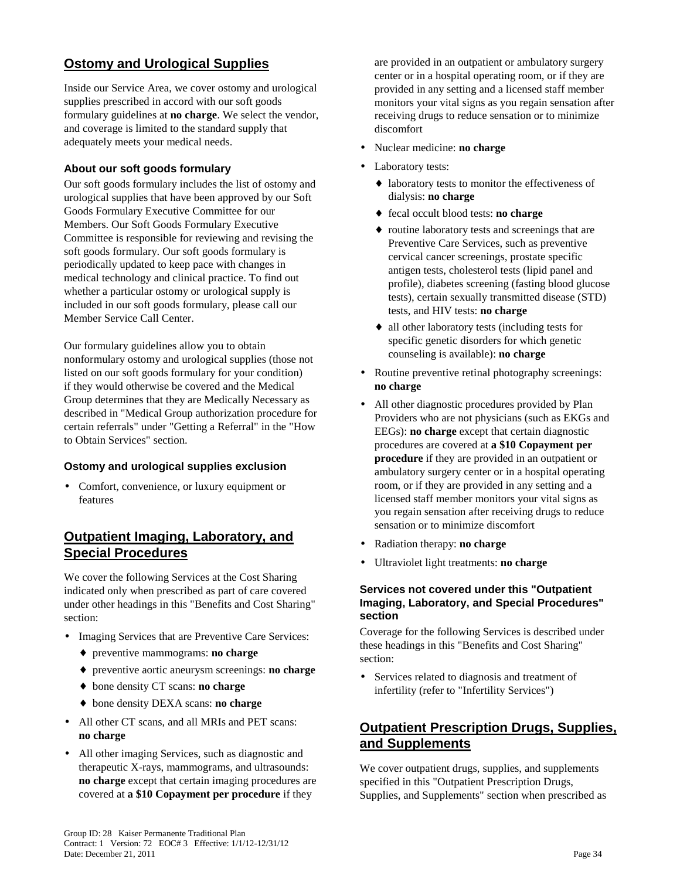# **Ostomy and Urological Supplies**

Inside our Service Area, we cover ostomy and urological supplies prescribed in accord with our soft goods formulary guidelines at **no charge**. We select the vendor, and coverage is limited to the standard supply that adequately meets your medical needs.

### **About our soft goods formulary**

Our soft goods formulary includes the list of ostomy and urological supplies that have been approved by our Soft Goods Formulary Executive Committee for our Members. Our Soft Goods Formulary Executive Committee is responsible for reviewing and revising the soft goods formulary. Our soft goods formulary is periodically updated to keep pace with changes in medical technology and clinical practice. To find out whether a particular ostomy or urological supply is included in our soft goods formulary, please call our Member Service Call Center.

Our formulary guidelines allow you to obtain nonformulary ostomy and urological supplies (those not listed on our soft goods formulary for your condition) if they would otherwise be covered and the Medical Group determines that they are Medically Necessary as described in "Medical Group authorization procedure for certain referrals" under "Getting a Referral" in the "How to Obtain Services" section.

### **Ostomy and urological supplies exclusion**

• Comfort, convenience, or luxury equipment or features

# **Outpatient Imaging, Laboratory, and Special Procedures**

We cover the following Services at the Cost Sharing indicated only when prescribed as part of care covered under other headings in this "Benefits and Cost Sharing" section:

- Imaging Services that are Preventive Care Services:
	- ♦ preventive mammograms: **no charge**
	- ♦ preventive aortic aneurysm screenings: **no charge**
	- ♦ bone density CT scans: **no charge**
	- ♦ bone density DEXA scans: **no charge**
- All other CT scans, and all MRIs and PET scans: **no charge**
- All other imaging Services, such as diagnostic and therapeutic X-rays, mammograms, and ultrasounds: **no charge** except that certain imaging procedures are covered at **a \$10 Copayment per procedure** if they

are provided in an outpatient or ambulatory surgery center or in a hospital operating room, or if they are provided in any setting and a licensed staff member monitors your vital signs as you regain sensation after receiving drugs to reduce sensation or to minimize discomfort

- Nuclear medicine: **no charge**
- Laboratory tests:
	- ♦ laboratory tests to monitor the effectiveness of dialysis: **no charge**
	- ♦ fecal occult blood tests: **no charge**
	- ♦ routine laboratory tests and screenings that are Preventive Care Services, such as preventive cervical cancer screenings, prostate specific antigen tests, cholesterol tests (lipid panel and profile), diabetes screening (fasting blood glucose tests), certain sexually transmitted disease (STD) tests, and HIV tests: **no charge**
	- ♦ all other laboratory tests (including tests for specific genetic disorders for which genetic counseling is available): **no charge**
- Routine preventive retinal photography screenings: **no charge**
- All other diagnostic procedures provided by Plan Providers who are not physicians (such as EKGs and EEGs): **no charge** except that certain diagnostic procedures are covered at **a \$10 Copayment per procedure** if they are provided in an outpatient or ambulatory surgery center or in a hospital operating room, or if they are provided in any setting and a licensed staff member monitors your vital signs as you regain sensation after receiving drugs to reduce sensation or to minimize discomfort
- Radiation therapy: **no charge**
- Ultraviolet light treatments: **no charge**

### **Services not covered under this "Outpatient Imaging, Laboratory, and Special Procedures" section**

Coverage for the following Services is described under these headings in this "Benefits and Cost Sharing" section:

• Services related to diagnosis and treatment of infertility (refer to "Infertility Services")

# **Outpatient Prescription Drugs, Supplies, and Supplements**

We cover outpatient drugs, supplies, and supplements specified in this "Outpatient Prescription Drugs, Supplies, and Supplements" section when prescribed as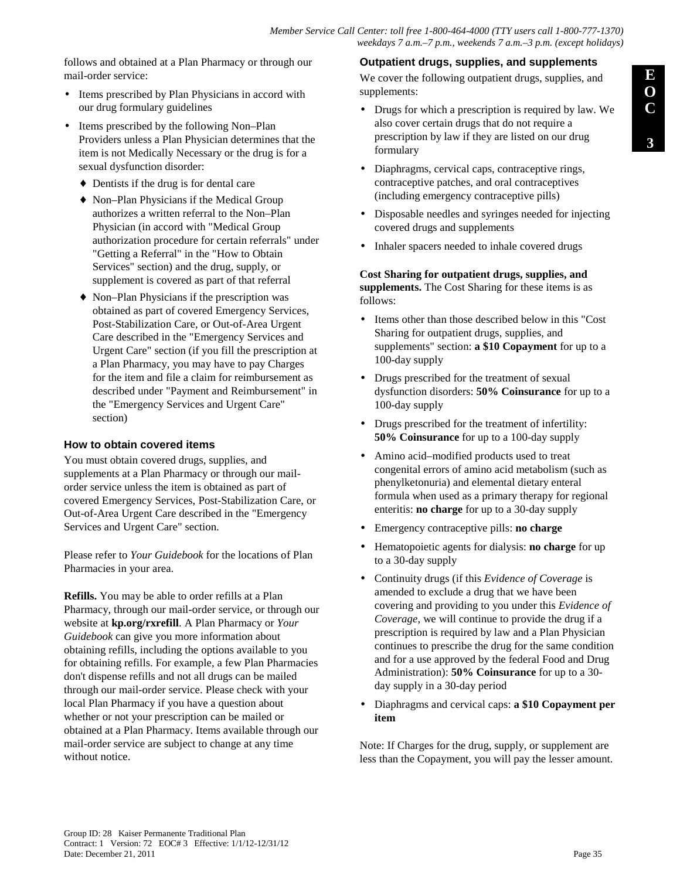follows and obtained at a Plan Pharmacy or through our mail-order service:

- Items prescribed by Plan Physicians in accord with our drug formulary guidelines
- Items prescribed by the following Non–Plan Providers unless a Plan Physician determines that the item is not Medically Necessary or the drug is for a sexual dysfunction disorder:
	- ♦ Dentists if the drug is for dental care
	- ♦ Non–Plan Physicians if the Medical Group authorizes a written referral to the Non–Plan Physician (in accord with "Medical Group authorization procedure for certain referrals" under "Getting a Referral" in the "How to Obtain Services" section) and the drug, supply, or supplement is covered as part of that referral
	- ♦ Non–Plan Physicians if the prescription was obtained as part of covered Emergency Services, Post-Stabilization Care, or Out-of-Area Urgent Care described in the "Emergency Services and Urgent Care" section (if you fill the prescription at a Plan Pharmacy, you may have to pay Charges for the item and file a claim for reimbursement as described under "Payment and Reimbursement" in the "Emergency Services and Urgent Care" section)

#### **How to obtain covered items**

You must obtain covered drugs, supplies, and supplements at a Plan Pharmacy or through our mailorder service unless the item is obtained as part of covered Emergency Services, Post-Stabilization Care, or Out-of-Area Urgent Care described in the "Emergency Services and Urgent Care" section.

Please refer to *Your Guidebook* for the locations of Plan Pharmacies in your area.

**Refills.** You may be able to order refills at a Plan Pharmacy, through our mail-order service, or through our website at **kp.org/rxrefill**. A Plan Pharmacy or *Your Guidebook* can give you more information about obtaining refills, including the options available to you for obtaining refills. For example, a few Plan Pharmacies don't dispense refills and not all drugs can be mailed through our mail-order service. Please check with your local Plan Pharmacy if you have a question about whether or not your prescription can be mailed or obtained at a Plan Pharmacy. Items available through our mail-order service are subject to change at any time without notice.

### **Outpatient drugs, supplies, and supplements**

We cover the following outpatient drugs, supplies, and supplements:

- Drugs for which a prescription is required by law. We also cover certain drugs that do not require a prescription by law if they are listed on our drug formulary
- Diaphragms, cervical caps, contraceptive rings, contraceptive patches, and oral contraceptives (including emergency contraceptive pills)
- Disposable needles and syringes needed for injecting covered drugs and supplements
- Inhaler spacers needed to inhale covered drugs

#### **Cost Sharing for outpatient drugs, supplies, and supplements.** The Cost Sharing for these items is as follows:

- Items other than those described below in this "Cost" Sharing for outpatient drugs, supplies, and supplements" section: **a \$10 Copayment** for up to a 100-day supply
- Drugs prescribed for the treatment of sexual dysfunction disorders: **50% Coinsurance** for up to a 100-day supply
- Drugs prescribed for the treatment of infertility: **50% Coinsurance** for up to a 100-day supply
- Amino acid–modified products used to treat congenital errors of amino acid metabolism (such as phenylketonuria) and elemental dietary enteral formula when used as a primary therapy for regional enteritis: **no charge** for up to a 30-day supply
- Emergency contraceptive pills: **no charge**
- Hematopoietic agents for dialysis: **no charge** for up to a 30-day supply
- Continuity drugs (if this *Evidence of Coverage* is amended to exclude a drug that we have been covering and providing to you under this *Evidence of Coverage*, we will continue to provide the drug if a prescription is required by law and a Plan Physician continues to prescribe the drug for the same condition and for a use approved by the federal Food and Drug Administration): **50% Coinsurance** for up to a 30 day supply in a 30-day period
- Diaphragms and cervical caps: **a \$10 Copayment per item**

Note: If Charges for the drug, supply, or supplement are less than the Copayment, you will pay the lesser amount.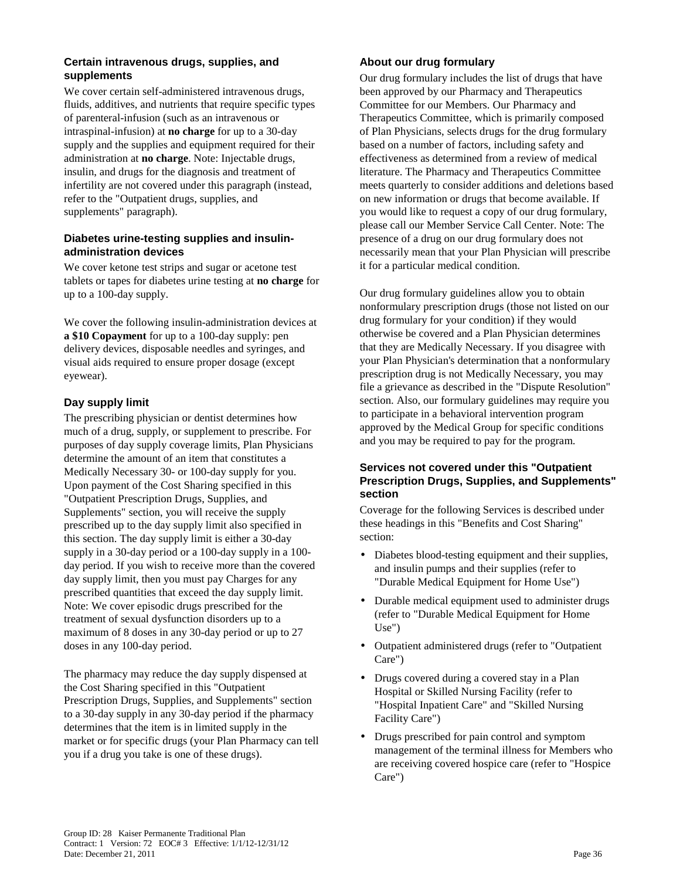### **Certain intravenous drugs, supplies, and supplements**

We cover certain self-administered intravenous drugs, fluids, additives, and nutrients that require specific types of parenteral-infusion (such as an intravenous or intraspinal-infusion) at **no charge** for up to a 30-day supply and the supplies and equipment required for their administration at **no charge**. Note: Injectable drugs, insulin, and drugs for the diagnosis and treatment of infertility are not covered under this paragraph (instead, refer to the "Outpatient drugs, supplies, and supplements" paragraph).

#### **Diabetes urine-testing supplies and insulinadministration devices**

We cover ketone test strips and sugar or acetone test tablets or tapes for diabetes urine testing at **no charge** for up to a 100-day supply.

We cover the following insulin-administration devices at **a \$10 Copayment** for up to a 100-day supply: pen delivery devices, disposable needles and syringes, and visual aids required to ensure proper dosage (except eyewear).

### **Day supply limit**

The prescribing physician or dentist determines how much of a drug, supply, or supplement to prescribe. For purposes of day supply coverage limits, Plan Physicians determine the amount of an item that constitutes a Medically Necessary 30- or 100-day supply for you. Upon payment of the Cost Sharing specified in this "Outpatient Prescription Drugs, Supplies, and Supplements" section, you will receive the supply prescribed up to the day supply limit also specified in this section. The day supply limit is either a 30-day supply in a 30-day period or a 100-day supply in a 100 day period. If you wish to receive more than the covered day supply limit, then you must pay Charges for any prescribed quantities that exceed the day supply limit. Note: We cover episodic drugs prescribed for the treatment of sexual dysfunction disorders up to a maximum of 8 doses in any 30-day period or up to 27 doses in any 100-day period.

The pharmacy may reduce the day supply dispensed at the Cost Sharing specified in this "Outpatient Prescription Drugs, Supplies, and Supplements" section to a 30-day supply in any 30-day period if the pharmacy determines that the item is in limited supply in the market or for specific drugs (your Plan Pharmacy can tell you if a drug you take is one of these drugs).

### **About our drug formulary**

Our drug formulary includes the list of drugs that have been approved by our Pharmacy and Therapeutics Committee for our Members. Our Pharmacy and Therapeutics Committee, which is primarily composed of Plan Physicians, selects drugs for the drug formulary based on a number of factors, including safety and effectiveness as determined from a review of medical literature. The Pharmacy and Therapeutics Committee meets quarterly to consider additions and deletions based on new information or drugs that become available. If you would like to request a copy of our drug formulary, please call our Member Service Call Center. Note: The presence of a drug on our drug formulary does not necessarily mean that your Plan Physician will prescribe it for a particular medical condition.

Our drug formulary guidelines allow you to obtain nonformulary prescription drugs (those not listed on our drug formulary for your condition) if they would otherwise be covered and a Plan Physician determines that they are Medically Necessary. If you disagree with your Plan Physician's determination that a nonformulary prescription drug is not Medically Necessary, you may file a grievance as described in the "Dispute Resolution" section. Also, our formulary guidelines may require you to participate in a behavioral intervention program approved by the Medical Group for specific conditions and you may be required to pay for the program.

### **Services not covered under this "Outpatient Prescription Drugs, Supplies, and Supplements" section**

Coverage for the following Services is described under these headings in this "Benefits and Cost Sharing" section:

- Diabetes blood-testing equipment and their supplies, and insulin pumps and their supplies (refer to "Durable Medical Equipment for Home Use")
- Durable medical equipment used to administer drugs (refer to "Durable Medical Equipment for Home Use")
- Outpatient administered drugs (refer to "Outpatient Care")
- Drugs covered during a covered stay in a Plan Hospital or Skilled Nursing Facility (refer to "Hospital Inpatient Care" and "Skilled Nursing Facility Care")
- Drugs prescribed for pain control and symptom management of the terminal illness for Members who are receiving covered hospice care (refer to "Hospice Care")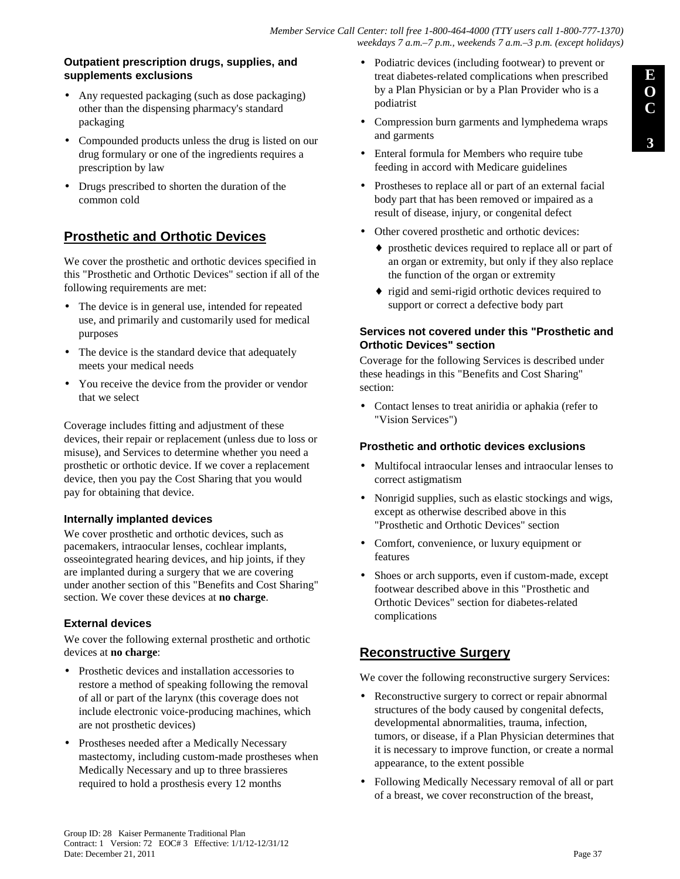### **Outpatient prescription drugs, supplies, and supplements exclusions**

- Any requested packaging (such as dose packaging) other than the dispensing pharmacy's standard packaging
- Compounded products unless the drug is listed on our drug formulary or one of the ingredients requires a prescription by law
- Drugs prescribed to shorten the duration of the common cold

# **Prosthetic and Orthotic Devices**

We cover the prosthetic and orthotic devices specified in this "Prosthetic and Orthotic Devices" section if all of the following requirements are met:

- The device is in general use, intended for repeated use, and primarily and customarily used for medical purposes
- The device is the standard device that adequately meets your medical needs
- You receive the device from the provider or vendor that we select

Coverage includes fitting and adjustment of these devices, their repair or replacement (unless due to loss or misuse), and Services to determine whether you need a prosthetic or orthotic device. If we cover a replacement device, then you pay the Cost Sharing that you would pay for obtaining that device.

### **Internally implanted devices**

We cover prosthetic and orthotic devices, such as pacemakers, intraocular lenses, cochlear implants, osseointegrated hearing devices, and hip joints, if they are implanted during a surgery that we are covering under another section of this "Benefits and Cost Sharing" section. We cover these devices at **no charge**.

### **External devices**

We cover the following external prosthetic and orthotic devices at **no charge**:

- Prosthetic devices and installation accessories to restore a method of speaking following the removal of all or part of the larynx (this coverage does not include electronic voice-producing machines, which are not prosthetic devices)
- Prostheses needed after a Medically Necessary mastectomy, including custom-made prostheses when Medically Necessary and up to three brassieres required to hold a prosthesis every 12 months
- Podiatric devices (including footwear) to prevent or treat diabetes-related complications when prescribed by a Plan Physician or by a Plan Provider who is a podiatrist
- Compression burn garments and lymphedema wraps and garments
- Enteral formula for Members who require tube feeding in accord with Medicare guidelines
- Prostheses to replace all or part of an external facial body part that has been removed or impaired as a result of disease, injury, or congenital defect
- Other covered prosthetic and orthotic devices:
	- ♦ prosthetic devices required to replace all or part of an organ or extremity, but only if they also replace the function of the organ or extremity
	- ♦ rigid and semi-rigid orthotic devices required to support or correct a defective body part

### **Services not covered under this "Prosthetic and Orthotic Devices" section**

Coverage for the following Services is described under these headings in this "Benefits and Cost Sharing" section:

• Contact lenses to treat aniridia or aphakia (refer to "Vision Services")

### **Prosthetic and orthotic devices exclusions**

- Multifocal intraocular lenses and intraocular lenses to correct astigmatism
- Nonrigid supplies, such as elastic stockings and wigs, except as otherwise described above in this "Prosthetic and Orthotic Devices" section
- Comfort, convenience, or luxury equipment or features
- Shoes or arch supports, even if custom-made, except footwear described above in this "Prosthetic and Orthotic Devices" section for diabetes-related complications

# **Reconstructive Surgery**

We cover the following reconstructive surgery Services:

- Reconstructive surgery to correct or repair abnormal structures of the body caused by congenital defects, developmental abnormalities, trauma, infection, tumors, or disease, if a Plan Physician determines that it is necessary to improve function, or create a normal appearance, to the extent possible
- Following Medically Necessary removal of all or part of a breast, we cover reconstruction of the breast,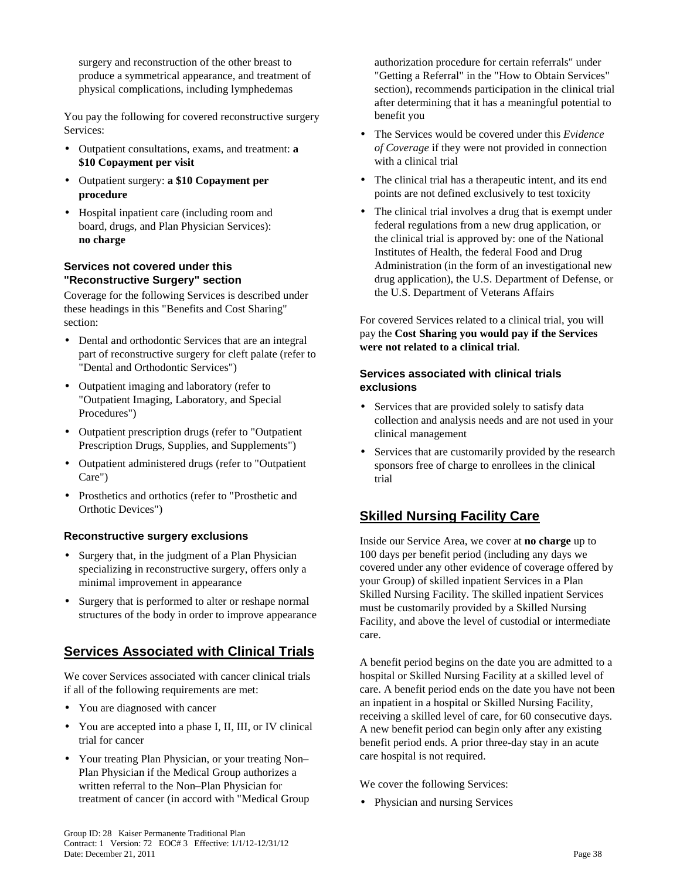surgery and reconstruction of the other breast to produce a symmetrical appearance, and treatment of physical complications, including lymphedemas

You pay the following for covered reconstructive surgery Services:

- Outpatient consultations, exams, and treatment: **a \$10 Copayment per visit**
- Outpatient surgery: **a \$10 Copayment per procedure**
- Hospital inpatient care (including room and board, drugs, and Plan Physician Services): **no charge**

### **Services not covered under this "Reconstructive Surgery" section**

Coverage for the following Services is described under these headings in this "Benefits and Cost Sharing" section:

- Dental and orthodontic Services that are an integral part of reconstructive surgery for cleft palate (refer to "Dental and Orthodontic Services")
- Outpatient imaging and laboratory (refer to "Outpatient Imaging, Laboratory, and Special Procedures")
- Outpatient prescription drugs (refer to "Outpatient Prescription Drugs, Supplies, and Supplements")
- Outpatient administered drugs (refer to "Outpatient Care")
- Prosthetics and orthotics (refer to "Prosthetic and Orthotic Devices")

### **Reconstructive surgery exclusions**

- Surgery that, in the judgment of a Plan Physician specializing in reconstructive surgery, offers only a minimal improvement in appearance
- Surgery that is performed to alter or reshape normal structures of the body in order to improve appearance

# **Services Associated with Clinical Trials**

We cover Services associated with cancer clinical trials if all of the following requirements are met:

- You are diagnosed with cancer
- You are accepted into a phase I, II, III, or IV clinical trial for cancer
- Your treating Plan Physician, or your treating Non– Plan Physician if the Medical Group authorizes a written referral to the Non–Plan Physician for treatment of cancer (in accord with "Medical Group

authorization procedure for certain referrals" under "Getting a Referral" in the "How to Obtain Services" section), recommends participation in the clinical trial after determining that it has a meaningful potential to benefit you

- The Services would be covered under this *Evidence of Coverage* if they were not provided in connection with a clinical trial
- The clinical trial has a therapeutic intent, and its end points are not defined exclusively to test toxicity
- The clinical trial involves a drug that is exempt under federal regulations from a new drug application, or the clinical trial is approved by: one of the National Institutes of Health, the federal Food and Drug Administration (in the form of an investigational new drug application), the U.S. Department of Defense, or the U.S. Department of Veterans Affairs

For covered Services related to a clinical trial, you will pay the **Cost Sharing you would pay if the Services were not related to a clinical trial**.

### **Services associated with clinical trials exclusions**

- Services that are provided solely to satisfy data collection and analysis needs and are not used in your clinical management
- Services that are customarily provided by the research sponsors free of charge to enrollees in the clinical trial

# **Skilled Nursing Facility Care**

Inside our Service Area, we cover at **no charge** up to 100 days per benefit period (including any days we covered under any other evidence of coverage offered by your Group) of skilled inpatient Services in a Plan Skilled Nursing Facility. The skilled inpatient Services must be customarily provided by a Skilled Nursing Facility, and above the level of custodial or intermediate care.

A benefit period begins on the date you are admitted to a hospital or Skilled Nursing Facility at a skilled level of care. A benefit period ends on the date you have not been an inpatient in a hospital or Skilled Nursing Facility, receiving a skilled level of care, for 60 consecutive days. A new benefit period can begin only after any existing benefit period ends. A prior three-day stay in an acute care hospital is not required.

We cover the following Services:

• Physician and nursing Services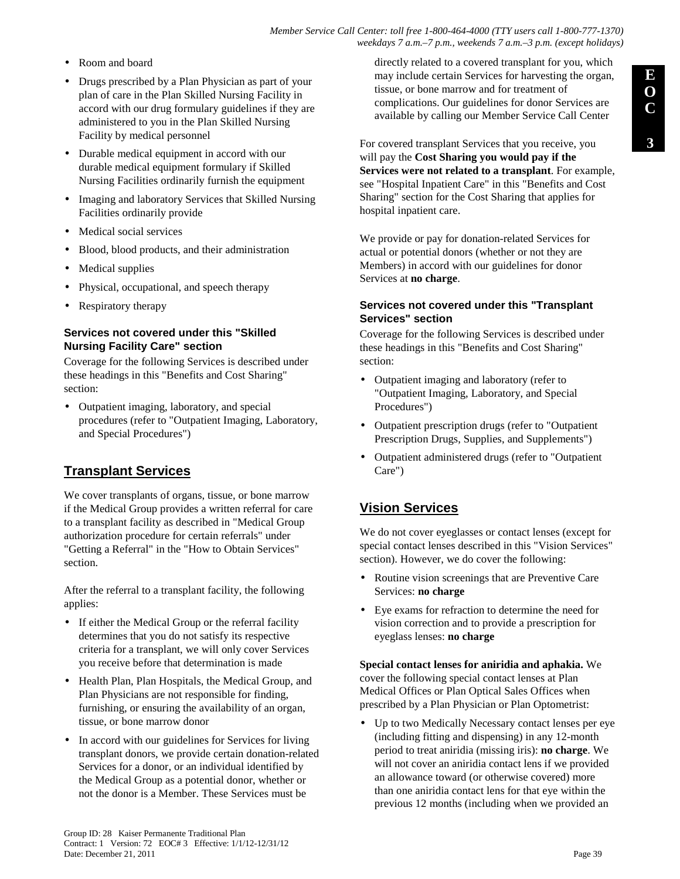- Room and board
- Drugs prescribed by a Plan Physician as part of your plan of care in the Plan Skilled Nursing Facility in accord with our drug formulary guidelines if they are administered to you in the Plan Skilled Nursing Facility by medical personnel
- Durable medical equipment in accord with our durable medical equipment formulary if Skilled Nursing Facilities ordinarily furnish the equipment
- Imaging and laboratory Services that Skilled Nursing Facilities ordinarily provide
- Medical social services
- Blood, blood products, and their administration
- Medical supplies
- Physical, occupational, and speech therapy
- Respiratory therapy

#### **Services not covered under this "Skilled Nursing Facility Care" section**

Coverage for the following Services is described under these headings in this "Benefits and Cost Sharing" section:

• Outpatient imaging, laboratory, and special procedures (refer to "Outpatient Imaging, Laboratory, and Special Procedures")

# **Transplant Services**

We cover transplants of organs, tissue, or bone marrow if the Medical Group provides a written referral for care to a transplant facility as described in "Medical Group authorization procedure for certain referrals" under "Getting a Referral" in the "How to Obtain Services" section.

After the referral to a transplant facility, the following applies:

- If either the Medical Group or the referral facility determines that you do not satisfy its respective criteria for a transplant, we will only cover Services you receive before that determination is made
- Health Plan, Plan Hospitals, the Medical Group, and Plan Physicians are not responsible for finding, furnishing, or ensuring the availability of an organ, tissue, or bone marrow donor
- In accord with our guidelines for Services for living transplant donors, we provide certain donation-related Services for a donor, or an individual identified by the Medical Group as a potential donor, whether or not the donor is a Member. These Services must be

directly related to a covered transplant for you, which may include certain Services for harvesting the organ, tissue, or bone marrow and for treatment of complications. Our guidelines for donor Services are available by calling our Member Service Call Center

For covered transplant Services that you receive, you will pay the **Cost Sharing you would pay if the Services were not related to a transplant**. For example, see "Hospital Inpatient Care" in this "Benefits and Cost Sharing" section for the Cost Sharing that applies for hospital inpatient care.

We provide or pay for donation-related Services for actual or potential donors (whether or not they are Members) in accord with our guidelines for donor Services at **no charge**.

#### **Services not covered under this "Transplant Services" section**

Coverage for the following Services is described under these headings in this "Benefits and Cost Sharing" section:

- Outpatient imaging and laboratory (refer to "Outpatient Imaging, Laboratory, and Special Procedures")
- Outpatient prescription drugs (refer to "Outpatient Prescription Drugs, Supplies, and Supplements")
- Outpatient administered drugs (refer to "Outpatient Care")

# **Vision Services**

We do not cover eyeglasses or contact lenses (except for special contact lenses described in this "Vision Services" section). However, we do cover the following:

- Routine vision screenings that are Preventive Care Services: **no charge**
- Eye exams for refraction to determine the need for vision correction and to provide a prescription for eyeglass lenses: **no charge**

**Special contact lenses for aniridia and aphakia.** We cover the following special contact lenses at Plan Medical Offices or Plan Optical Sales Offices when prescribed by a Plan Physician or Plan Optometrist:

• Up to two Medically Necessary contact lenses per eye (including fitting and dispensing) in any 12-month period to treat aniridia (missing iris): **no charge**. We will not cover an aniridia contact lens if we provided an allowance toward (or otherwise covered) more than one aniridia contact lens for that eye within the previous 12 months (including when we provided an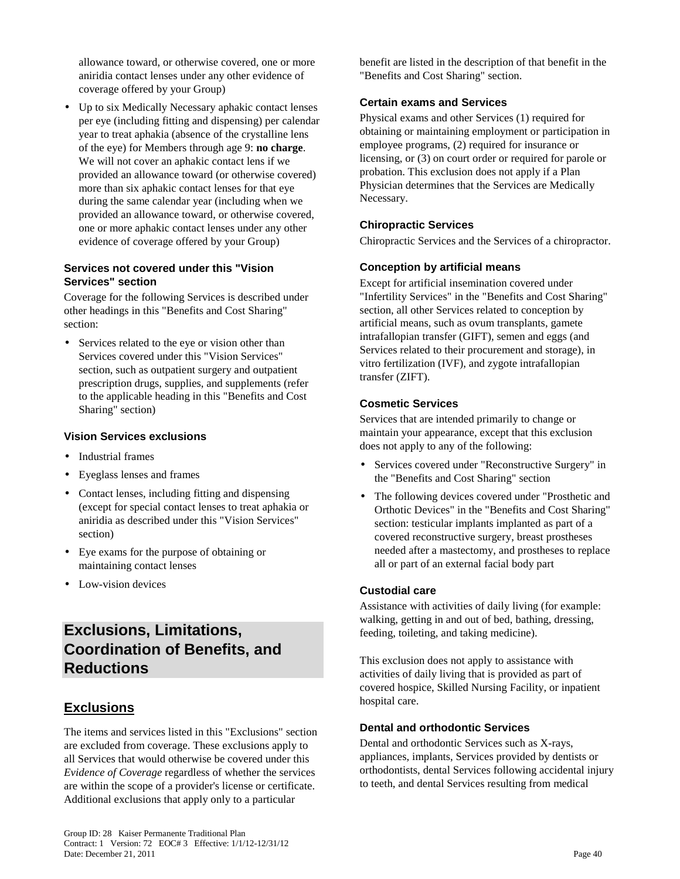allowance toward, or otherwise covered, one or more aniridia contact lenses under any other evidence of coverage offered by your Group)

• Up to six Medically Necessary aphakic contact lenses per eye (including fitting and dispensing) per calendar year to treat aphakia (absence of the crystalline lens of the eye) for Members through age 9: **no charge**. We will not cover an aphakic contact lens if we provided an allowance toward (or otherwise covered) more than six aphakic contact lenses for that eye during the same calendar year (including when we provided an allowance toward, or otherwise covered, one or more aphakic contact lenses under any other evidence of coverage offered by your Group)

#### **Services not covered under this "Vision Services" section**

Coverage for the following Services is described under other headings in this "Benefits and Cost Sharing" section:

• Services related to the eye or vision other than Services covered under this "Vision Services" section, such as outpatient surgery and outpatient prescription drugs, supplies, and supplements (refer to the applicable heading in this "Benefits and Cost Sharing" section)

### **Vision Services exclusions**

- Industrial frames
- Eyeglass lenses and frames
- Contact lenses, including fitting and dispensing (except for special contact lenses to treat aphakia or aniridia as described under this "Vision Services" section)
- Eye exams for the purpose of obtaining or maintaining contact lenses
- Low-vision devices

# **Exclusions, Limitations, Coordination of Benefits, and Reductions**

# **Exclusions**

The items and services listed in this "Exclusions" section are excluded from coverage. These exclusions apply to all Services that would otherwise be covered under this *Evidence of Coverage* regardless of whether the services are within the scope of a provider's license or certificate. Additional exclusions that apply only to a particular

benefit are listed in the description of that benefit in the "Benefits and Cost Sharing" section.

## **Certain exams and Services**

Physical exams and other Services (1) required for obtaining or maintaining employment or participation in employee programs, (2) required for insurance or licensing, or (3) on court order or required for parole or probation. This exclusion does not apply if a Plan Physician determines that the Services are Medically Necessary.

## **Chiropractic Services**

Chiropractic Services and the Services of a chiropractor.

# **Conception by artificial means**

Except for artificial insemination covered under "Infertility Services" in the "Benefits and Cost Sharing" section, all other Services related to conception by artificial means, such as ovum transplants, gamete intrafallopian transfer (GIFT), semen and eggs (and Services related to their procurement and storage), in vitro fertilization (IVF), and zygote intrafallopian transfer (ZIFT).

### **Cosmetic Services**

Services that are intended primarily to change or maintain your appearance, except that this exclusion does not apply to any of the following:

- Services covered under "Reconstructive Surgery" in the "Benefits and Cost Sharing" section
- The following devices covered under "Prosthetic and Orthotic Devices" in the "Benefits and Cost Sharing" section: testicular implants implanted as part of a covered reconstructive surgery, breast prostheses needed after a mastectomy, and prostheses to replace all or part of an external facial body part

### **Custodial care**

Assistance with activities of daily living (for example: walking, getting in and out of bed, bathing, dressing, feeding, toileting, and taking medicine).

This exclusion does not apply to assistance with activities of daily living that is provided as part of covered hospice, Skilled Nursing Facility, or inpatient hospital care.

### **Dental and orthodontic Services**

Dental and orthodontic Services such as X-rays, appliances, implants, Services provided by dentists or orthodontists, dental Services following accidental injury to teeth, and dental Services resulting from medical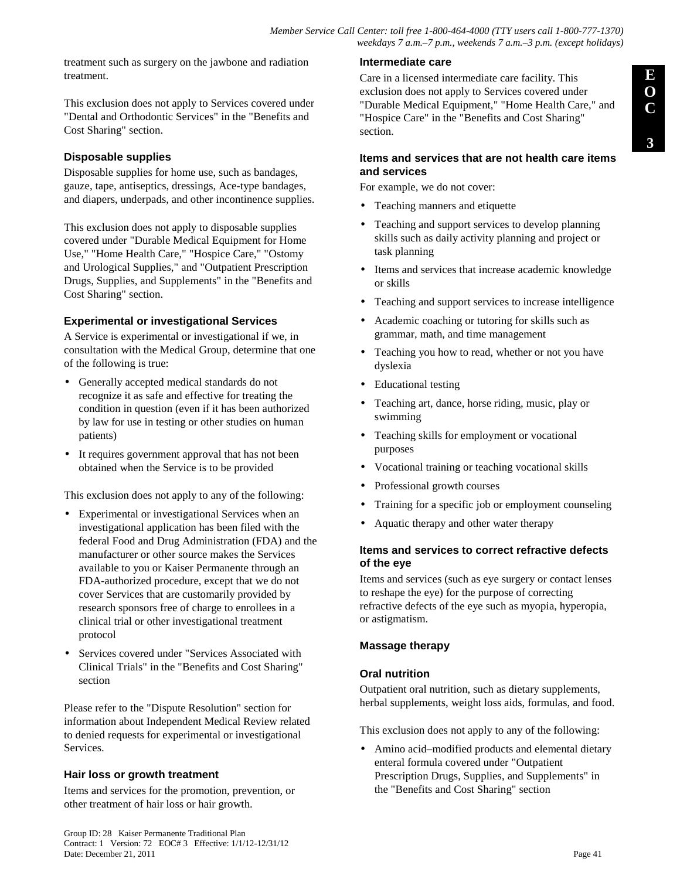treatment such as surgery on the jawbone and radiation treatment.

This exclusion does not apply to Services covered under "Dental and Orthodontic Services" in the "Benefits and Cost Sharing" section.

### **Disposable supplies**

Disposable supplies for home use, such as bandages, gauze, tape, antiseptics, dressings, Ace-type bandages, and diapers, underpads, and other incontinence supplies.

This exclusion does not apply to disposable supplies covered under "Durable Medical Equipment for Home Use," "Home Health Care," "Hospice Care," "Ostomy and Urological Supplies," and "Outpatient Prescription Drugs, Supplies, and Supplements" in the "Benefits and Cost Sharing" section.

### **Experimental or investigational Services**

A Service is experimental or investigational if we, in consultation with the Medical Group, determine that one of the following is true:

- Generally accepted medical standards do not recognize it as safe and effective for treating the condition in question (even if it has been authorized by law for use in testing or other studies on human patients)
- It requires government approval that has not been obtained when the Service is to be provided

This exclusion does not apply to any of the following:

- Experimental or investigational Services when an investigational application has been filed with the federal Food and Drug Administration (FDA) and the manufacturer or other source makes the Services available to you or Kaiser Permanente through an FDA-authorized procedure, except that we do not cover Services that are customarily provided by research sponsors free of charge to enrollees in a clinical trial or other investigational treatment protocol
- Services covered under "Services Associated with Clinical Trials" in the "Benefits and Cost Sharing" section

Please refer to the "Dispute Resolution" section for information about Independent Medical Review related to denied requests for experimental or investigational Services.

### **Hair loss or growth treatment**

Items and services for the promotion, prevention, or other treatment of hair loss or hair growth.

#### **Intermediate care**

Care in a licensed intermediate care facility. This exclusion does not apply to Services covered under "Durable Medical Equipment," "Home Health Care," and "Hospice Care" in the "Benefits and Cost Sharing" section.

#### **Items and services that are not health care items and services**

For example, we do not cover:

- Teaching manners and etiquette
- Teaching and support services to develop planning skills such as daily activity planning and project or task planning
- Items and services that increase academic knowledge or skills
- Teaching and support services to increase intelligence
- Academic coaching or tutoring for skills such as grammar, math, and time management
- Teaching you how to read, whether or not you have dyslexia
- Educational testing
- Teaching art, dance, horse riding, music, play or swimming
- Teaching skills for employment or vocational purposes
- Vocational training or teaching vocational skills
- Professional growth courses
- Training for a specific job or employment counseling
- Aquatic therapy and other water therapy

#### **Items and services to correct refractive defects of the eye**

Items and services (such as eye surgery or contact lenses to reshape the eye) for the purpose of correcting refractive defects of the eye such as myopia, hyperopia, or astigmatism.

### **Massage therapy**

#### **Oral nutrition**

Outpatient oral nutrition, such as dietary supplements, herbal supplements, weight loss aids, formulas, and food.

This exclusion does not apply to any of the following:

• Amino acid–modified products and elemental dietary enteral formula covered under "Outpatient Prescription Drugs, Supplies, and Supplements" in the "Benefits and Cost Sharing" section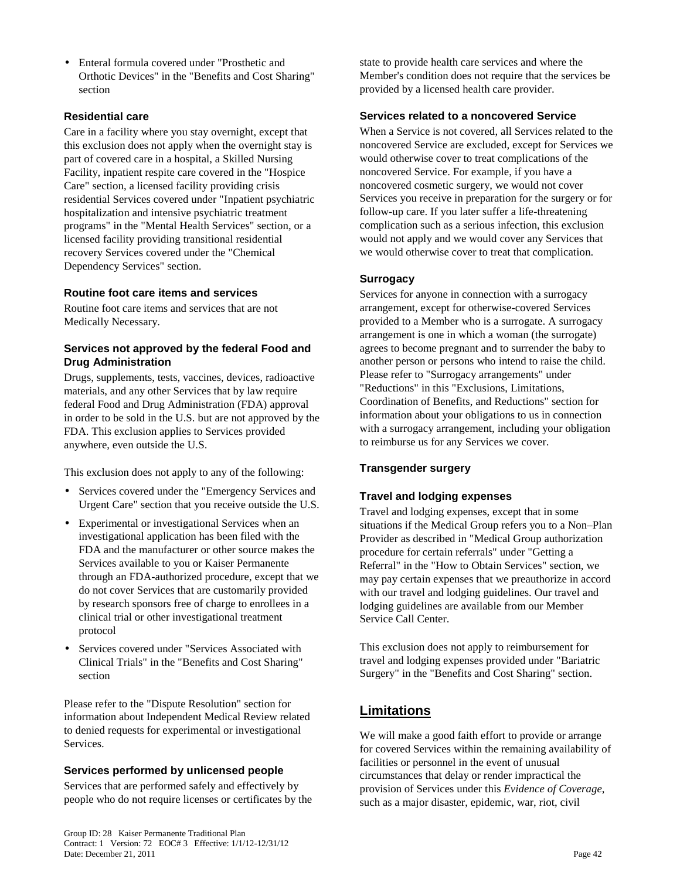• Enteral formula covered under "Prosthetic and Orthotic Devices" in the "Benefits and Cost Sharing" section

### **Residential care**

Care in a facility where you stay overnight, except that this exclusion does not apply when the overnight stay is part of covered care in a hospital, a Skilled Nursing Facility, inpatient respite care covered in the "Hospice Care" section, a licensed facility providing crisis residential Services covered under "Inpatient psychiatric hospitalization and intensive psychiatric treatment programs" in the "Mental Health Services" section, or a licensed facility providing transitional residential recovery Services covered under the "Chemical Dependency Services" section.

### **Routine foot care items and services**

Routine foot care items and services that are not Medically Necessary.

### **Services not approved by the federal Food and Drug Administration**

Drugs, supplements, tests, vaccines, devices, radioactive materials, and any other Services that by law require federal Food and Drug Administration (FDA) approval in order to be sold in the U.S. but are not approved by the FDA. This exclusion applies to Services provided anywhere, even outside the U.S.

This exclusion does not apply to any of the following:

- Services covered under the "Emergency Services and Urgent Care" section that you receive outside the U.S.
- Experimental or investigational Services when an investigational application has been filed with the FDA and the manufacturer or other source makes the Services available to you or Kaiser Permanente through an FDA-authorized procedure, except that we do not cover Services that are customarily provided by research sponsors free of charge to enrollees in a clinical trial or other investigational treatment protocol
- Services covered under "Services Associated with Clinical Trials" in the "Benefits and Cost Sharing" section

Please refer to the "Dispute Resolution" section for information about Independent Medical Review related to denied requests for experimental or investigational Services.

### **Services performed by unlicensed people**

Services that are performed safely and effectively by people who do not require licenses or certificates by the state to provide health care services and where the Member's condition does not require that the services be provided by a licensed health care provider.

### **Services related to a noncovered Service**

When a Service is not covered, all Services related to the noncovered Service are excluded*,* except for Services we would otherwise cover to treat complications of the noncovered Service. For example, if you have a noncovered cosmetic surgery, we would not cover Services you receive in preparation for the surgery or for follow-up care. If you later suffer a life-threatening complication such as a serious infection, this exclusion would not apply and we would cover any Services that we would otherwise cover to treat that complication.

### **Surrogacy**

Services for anyone in connection with a surrogacy arrangement, except for otherwise-covered Services provided to a Member who is a surrogate. A surrogacy arrangement is one in which a woman (the surrogate) agrees to become pregnant and to surrender the baby to another person or persons who intend to raise the child. Please refer to "Surrogacy arrangements" under "Reductions" in this "Exclusions, Limitations, Coordination of Benefits, and Reductions" section for information about your obligations to us in connection with a surrogacy arrangement, including your obligation to reimburse us for any Services we cover.

### **Transgender surgery**

### **Travel and lodging expenses**

Travel and lodging expenses, except that in some situations if the Medical Group refers you to a Non–Plan Provider as described in "Medical Group authorization procedure for certain referrals" under "Getting a Referral" in the "How to Obtain Services" section, we may pay certain expenses that we preauthorize in accord with our travel and lodging guidelines. Our travel and lodging guidelines are available from our Member Service Call Center.

This exclusion does not apply to reimbursement for travel and lodging expenses provided under "Bariatric Surgery" in the "Benefits and Cost Sharing" section.

# **Limitations**

We will make a good faith effort to provide or arrange for covered Services within the remaining availability of facilities or personnel in the event of unusual circumstances that delay or render impractical the provision of Services under this *Evidence of Coverage*, such as a major disaster, epidemic, war, riot, civil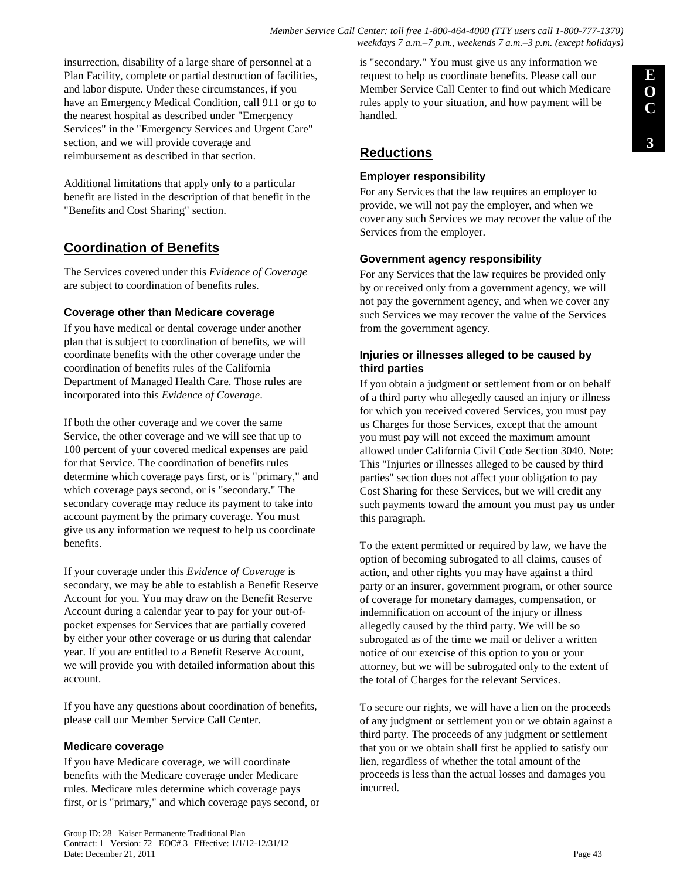insurrection, disability of a large share of personnel at a Plan Facility, complete or partial destruction of facilities, and labor dispute. Under these circumstances, if you have an Emergency Medical Condition, call 911 or go to the nearest hospital as described under "Emergency Services" in the "Emergency Services and Urgent Care" section, and we will provide coverage and reimbursement as described in that section.

Additional limitations that apply only to a particular benefit are listed in the description of that benefit in the "Benefits and Cost Sharing" section.

# **Coordination of Benefits**

The Services covered under this *Evidence of Coverage*  are subject to coordination of benefits rules.

### **Coverage other than Medicare coverage**

If you have medical or dental coverage under another plan that is subject to coordination of benefits, we will coordinate benefits with the other coverage under the coordination of benefits rules of the California Department of Managed Health Care. Those rules are incorporated into this *Evidence of Coverage*.

If both the other coverage and we cover the same Service, the other coverage and we will see that up to 100 percent of your covered medical expenses are paid for that Service. The coordination of benefits rules determine which coverage pays first, or is "primary," and which coverage pays second, or is "secondary." The secondary coverage may reduce its payment to take into account payment by the primary coverage. You must give us any information we request to help us coordinate benefits.

If your coverage under this *Evidence of Coverage* is secondary, we may be able to establish a Benefit Reserve Account for you. You may draw on the Benefit Reserve Account during a calendar year to pay for your out-ofpocket expenses for Services that are partially covered by either your other coverage or us during that calendar year. If you are entitled to a Benefit Reserve Account, we will provide you with detailed information about this account.

If you have any questions about coordination of benefits, please call our Member Service Call Center.

### **Medicare coverage**

If you have Medicare coverage, we will coordinate benefits with the Medicare coverage under Medicare rules. Medicare rules determine which coverage pays first, or is "primary," and which coverage pays second, or

is "secondary." You must give us any information we request to help us coordinate benefits. Please call our Member Service Call Center to find out which Medicare rules apply to your situation, and how payment will be handled.

# **Reductions**

### **Employer responsibility**

For any Services that the law requires an employer to provide, we will not pay the employer, and when we cover any such Services we may recover the value of the Services from the employer.

### **Government agency responsibility**

For any Services that the law requires be provided only by or received only from a government agency, we will not pay the government agency, and when we cover any such Services we may recover the value of the Services from the government agency.

### **Injuries or illnesses alleged to be caused by third parties**

If you obtain a judgment or settlement from or on behalf of a third party who allegedly caused an injury or illness for which you received covered Services, you must pay us Charges for those Services, except that the amount you must pay will not exceed the maximum amount allowed under California Civil Code Section 3040. Note: This "Injuries or illnesses alleged to be caused by third parties" section does not affect your obligation to pay Cost Sharing for these Services, but we will credit any such payments toward the amount you must pay us under this paragraph.

To the extent permitted or required by law, we have the option of becoming subrogated to all claims, causes of action, and other rights you may have against a third party or an insurer, government program, or other source of coverage for monetary damages, compensation, or indemnification on account of the injury or illness allegedly caused by the third party. We will be so subrogated as of the time we mail or deliver a written notice of our exercise of this option to you or your attorney, but we will be subrogated only to the extent of the total of Charges for the relevant Services.

To secure our rights, we will have a lien on the proceeds of any judgment or settlement you or we obtain against a third party. The proceeds of any judgment or settlement that you or we obtain shall first be applied to satisfy our lien, regardless of whether the total amount of the proceeds is less than the actual losses and damages you incurred.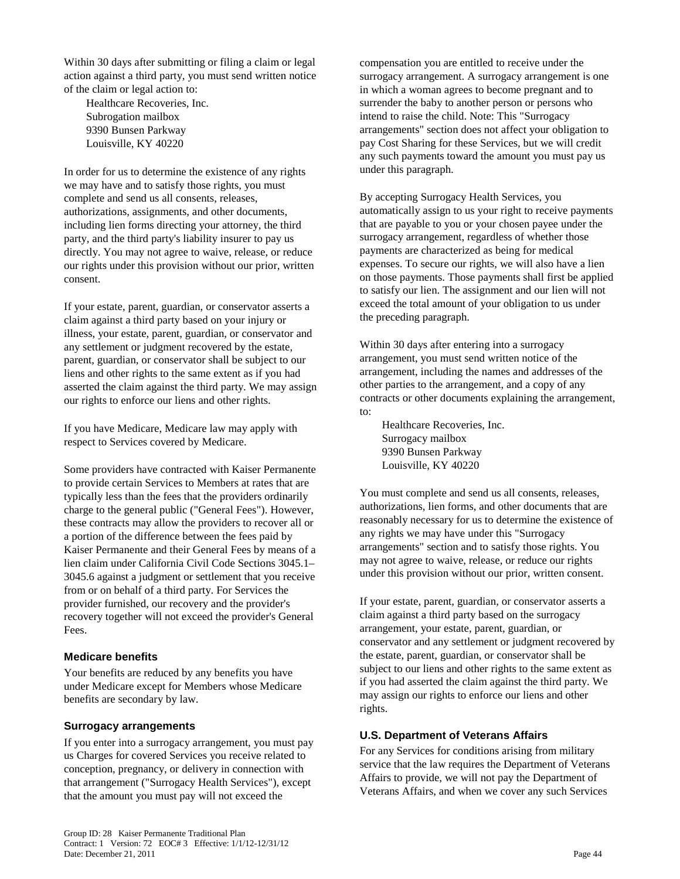Within 30 days after submitting or filing a claim or legal action against a third party, you must send written notice of the claim or legal action to:

Healthcare Recoveries, Inc. Subrogation mailbox 9390 Bunsen Parkway Louisville, KY 40220

In order for us to determine the existence of any rights we may have and to satisfy those rights, you must complete and send us all consents, releases, authorizations, assignments, and other documents, including lien forms directing your attorney, the third party, and the third party's liability insurer to pay us directly. You may not agree to waive, release, or reduce our rights under this provision without our prior, written consent.

If your estate, parent, guardian, or conservator asserts a claim against a third party based on your injury or illness, your estate, parent, guardian, or conservator and any settlement or judgment recovered by the estate, parent, guardian, or conservator shall be subject to our liens and other rights to the same extent as if you had asserted the claim against the third party. We may assign our rights to enforce our liens and other rights.

If you have Medicare, Medicare law may apply with respect to Services covered by Medicare.

Some providers have contracted with Kaiser Permanente to provide certain Services to Members at rates that are typically less than the fees that the providers ordinarily charge to the general public ("General Fees"). However, these contracts may allow the providers to recover all or a portion of the difference between the fees paid by Kaiser Permanente and their General Fees by means of a lien claim under California Civil Code Sections 3045.1– 3045.6 against a judgment or settlement that you receive from or on behalf of a third party. For Services the provider furnished, our recovery and the provider's recovery together will not exceed the provider's General Fees.

### **Medicare benefits**

Your benefits are reduced by any benefits you have under Medicare except for Members whose Medicare benefits are secondary by law.

#### **Surrogacy arrangements**

If you enter into a surrogacy arrangement, you must pay us Charges for covered Services you receive related to conception, pregnancy, or delivery in connection with that arrangement ("Surrogacy Health Services"), except that the amount you must pay will not exceed the

compensation you are entitled to receive under the surrogacy arrangement. A surrogacy arrangement is one in which a woman agrees to become pregnant and to surrender the baby to another person or persons who intend to raise the child. Note: This "Surrogacy arrangements" section does not affect your obligation to pay Cost Sharing for these Services, but we will credit any such payments toward the amount you must pay us under this paragraph.

By accepting Surrogacy Health Services, you automatically assign to us your right to receive payments that are payable to you or your chosen payee under the surrogacy arrangement, regardless of whether those payments are characterized as being for medical expenses. To secure our rights, we will also have a lien on those payments. Those payments shall first be applied to satisfy our lien. The assignment and our lien will not exceed the total amount of your obligation to us under the preceding paragraph.

Within 30 days after entering into a surrogacy arrangement, you must send written notice of the arrangement, including the names and addresses of the other parties to the arrangement, and a copy of any contracts or other documents explaining the arrangement, to:

Healthcare Recoveries, Inc. Surrogacy mailbox 9390 Bunsen Parkway Louisville, KY 40220

You must complete and send us all consents, releases, authorizations, lien forms, and other documents that are reasonably necessary for us to determine the existence of any rights we may have under this "Surrogacy arrangements" section and to satisfy those rights. You may not agree to waive, release, or reduce our rights under this provision without our prior, written consent.

If your estate, parent, guardian, or conservator asserts a claim against a third party based on the surrogacy arrangement, your estate, parent, guardian, or conservator and any settlement or judgment recovered by the estate, parent, guardian, or conservator shall be subject to our liens and other rights to the same extent as if you had asserted the claim against the third party. We may assign our rights to enforce our liens and other rights.

### **U.S. Department of Veterans Affairs**

For any Services for conditions arising from military service that the law requires the Department of Veterans Affairs to provide, we will not pay the Department of Veterans Affairs, and when we cover any such Services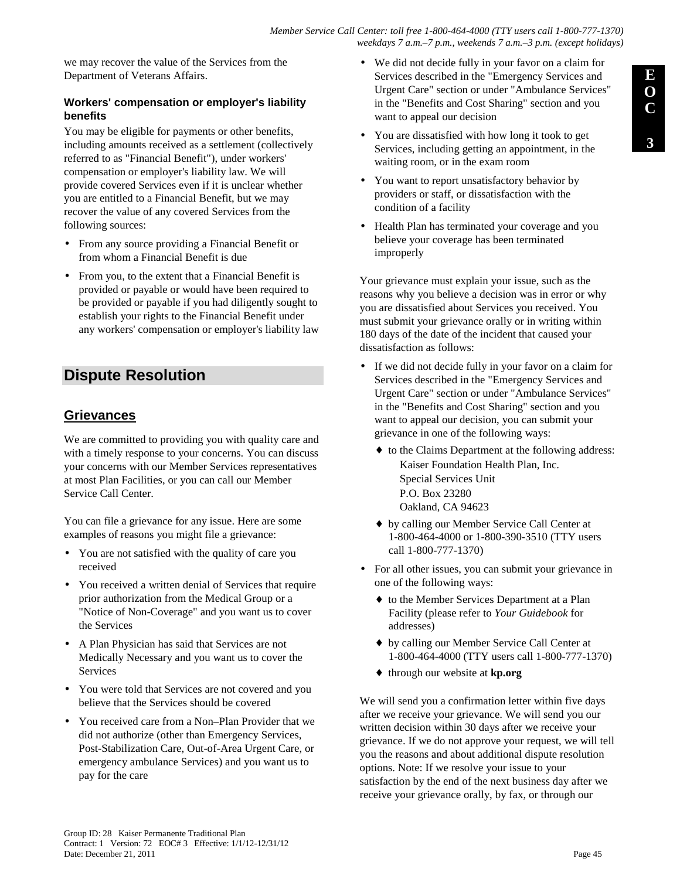we may recover the value of the Services from the Department of Veterans Affairs.

### **Workers' compensation or employer's liability benefits**

You may be eligible for payments or other benefits, including amounts received as a settlement (collectively referred to as "Financial Benefit"), under workers' compensation or employer's liability law. We will provide covered Services even if it is unclear whether you are entitled to a Financial Benefit, but we may recover the value of any covered Services from the following sources:

- From any source providing a Financial Benefit or from whom a Financial Benefit is due
- From you, to the extent that a Financial Benefit is provided or payable or would have been required to be provided or payable if you had diligently sought to establish your rights to the Financial Benefit under any workers' compensation or employer's liability law

# **Dispute Resolution**

# **Grievances**

We are committed to providing you with quality care and with a timely response to your concerns. You can discuss your concerns with our Member Services representatives at most Plan Facilities, or you can call our Member Service Call Center.

You can file a grievance for any issue. Here are some examples of reasons you might file a grievance:

- You are not satisfied with the quality of care you received
- You received a written denial of Services that require prior authorization from the Medical Group or a "Notice of Non-Coverage" and you want us to cover the Services
- A Plan Physician has said that Services are not Medically Necessary and you want us to cover the Services
- You were told that Services are not covered and you believe that the Services should be covered
- You received care from a Non–Plan Provider that we did not authorize (other than Emergency Services, Post-Stabilization Care, Out-of-Area Urgent Care, or emergency ambulance Services) and you want us to pay for the care
- We did not decide fully in your favor on a claim for Services described in the "Emergency Services and Urgent Care" section or under "Ambulance Services" in the "Benefits and Cost Sharing" section and you want to appeal our decision
- You are dissatisfied with how long it took to get Services, including getting an appointment, in the waiting room, or in the exam room
- You want to report unsatisfactory behavior by providers or staff, or dissatisfaction with the condition of a facility
- Health Plan has terminated your coverage and you believe your coverage has been terminated improperly

Your grievance must explain your issue, such as the reasons why you believe a decision was in error or why you are dissatisfied about Services you received. You must submit your grievance orally or in writing within 180 days of the date of the incident that caused your dissatisfaction as follows:

- If we did not decide fully in your favor on a claim for Services described in the "Emergency Services and Urgent Care" section or under "Ambulance Services" in the "Benefits and Cost Sharing" section and you want to appeal our decision, you can submit your grievance in one of the following ways:
	- ♦ to the Claims Department at the following address: Kaiser Foundation Health Plan, Inc. Special Services Unit P.O. Box 23280 Oakland, CA 94623
	- ♦ by calling our Member Service Call Center at 1-800-464-4000 or 1-800-390-3510 (TTY users call 1-800-777-1370)
- For all other issues, you can submit your grievance in one of the following ways:
	- ♦ to the Member Services Department at a Plan Facility (please refer to *Your Guidebook* for addresses)
	- ♦ by calling our Member Service Call Center at 1-800-464-4000 (TTY users call 1-800-777-1370)
	- ♦ through our website at **kp.org**

We will send you a confirmation letter within five days after we receive your grievance. We will send you our written decision within 30 days after we receive your grievance. If we do not approve your request, we will tell you the reasons and about additional dispute resolution options. Note: If we resolve your issue to your satisfaction by the end of the next business day after we receive your grievance orally, by fax, or through our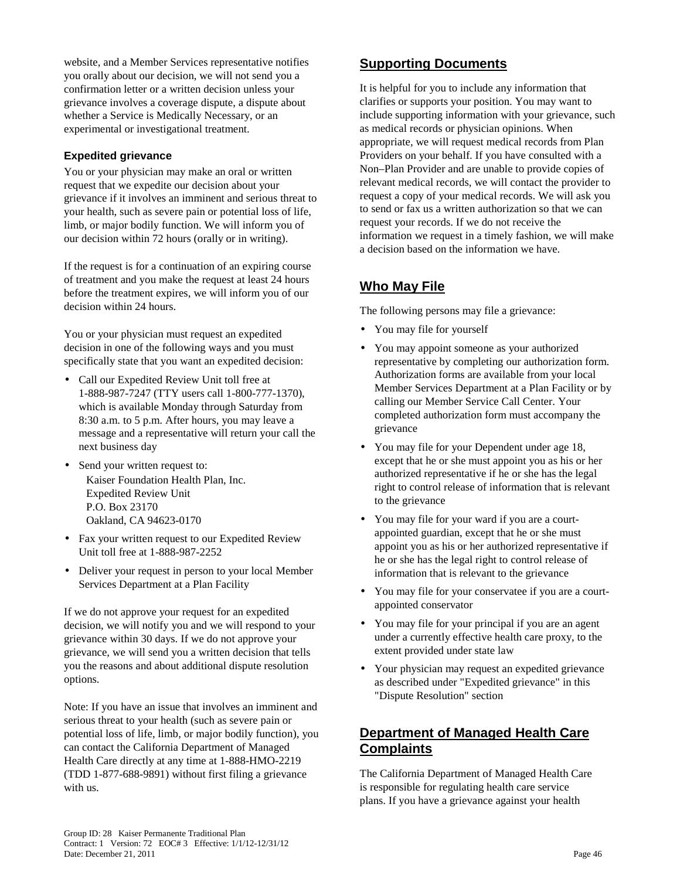website, and a Member Services representative notifies you orally about our decision, we will not send you a confirmation letter or a written decision unless your grievance involves a coverage dispute, a dispute about whether a Service is Medically Necessary, or an experimental or investigational treatment.

### **Expedited grievance**

You or your physician may make an oral or written request that we expedite our decision about your grievance if it involves an imminent and serious threat to your health, such as severe pain or potential loss of life, limb, or major bodily function. We will inform you of our decision within 72 hours (orally or in writing).

If the request is for a continuation of an expiring course of treatment and you make the request at least 24 hours before the treatment expires, we will inform you of our decision within 24 hours.

You or your physician must request an expedited decision in one of the following ways and you must specifically state that you want an expedited decision:

- Call our Expedited Review Unit toll free at 1-888-987-7247 (TTY users call 1-800-777-1370), which is available Monday through Saturday from 8:30 a.m. to 5 p.m. After hours, you may leave a message and a representative will return your call the next business day
- Send your written request to: Kaiser Foundation Health Plan, Inc. Expedited Review Unit P.O. Box 23170 Oakland, CA 94623-0170
- Fax your written request to our Expedited Review Unit toll free at 1-888-987-2252
- Deliver your request in person to your local Member Services Department at a Plan Facility

If we do not approve your request for an expedited decision, we will notify you and we will respond to your grievance within 30 days. If we do not approve your grievance, we will send you a written decision that tells you the reasons and about additional dispute resolution options.

Note: If you have an issue that involves an imminent and serious threat to your health (such as severe pain or potential loss of life, limb, or major bodily function), you can contact the California Department of Managed Health Care directly at any time at 1-888-HMO-2219 (TDD 1-877-688-9891) without first filing a grievance with us.

# **Supporting Documents**

It is helpful for you to include any information that clarifies or supports your position. You may want to include supporting information with your grievance, such as medical records or physician opinions. When appropriate, we will request medical records from Plan Providers on your behalf. If you have consulted with a Non–Plan Provider and are unable to provide copies of relevant medical records, we will contact the provider to request a copy of your medical records. We will ask you to send or fax us a written authorization so that we can request your records. If we do not receive the information we request in a timely fashion, we will make a decision based on the information we have.

# **Who May File**

The following persons may file a grievance:

- You may file for yourself
- You may appoint someone as your authorized representative by completing our authorization form. Authorization forms are available from your local Member Services Department at a Plan Facility or by calling our Member Service Call Center. Your completed authorization form must accompany the grievance
- You may file for your Dependent under age 18, except that he or she must appoint you as his or her authorized representative if he or she has the legal right to control release of information that is relevant to the grievance
- You may file for your ward if you are a courtappointed guardian, except that he or she must appoint you as his or her authorized representative if he or she has the legal right to control release of information that is relevant to the grievance
- You may file for your conservatee if you are a courtappointed conservator
- You may file for your principal if you are an agent under a currently effective health care proxy, to the extent provided under state law
- Your physician may request an expedited grievance as described under "Expedited grievance" in this "Dispute Resolution" section

## **Department of Managed Health Care Complaints**

The California Department of Managed Health Care is responsible for regulating health care service plans. If you have a grievance against your health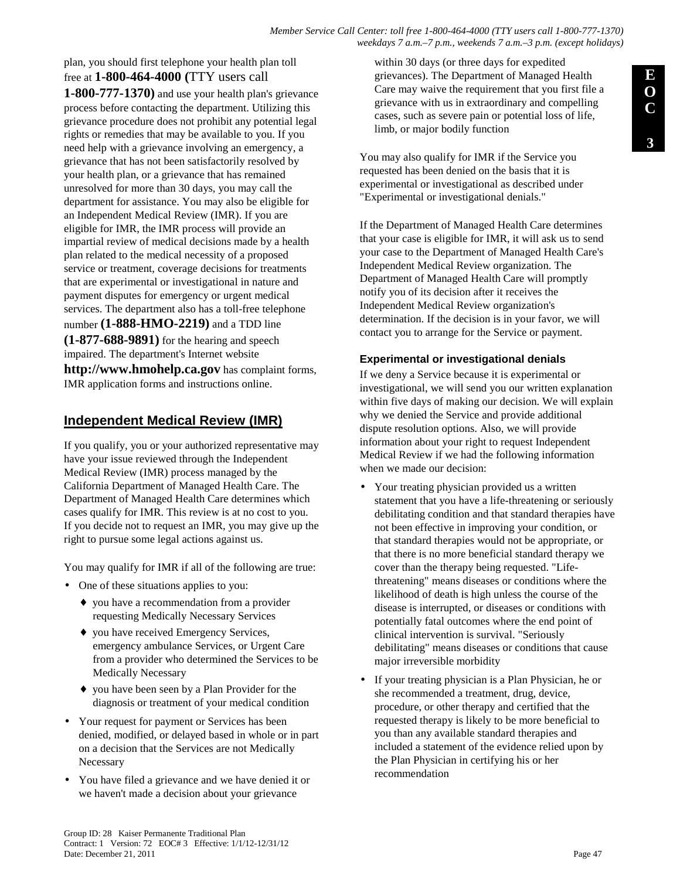#### *Member Service Call Center: toll free 1-800-464-4000 (TTY users call 1-800-777-1370) weekdays 7 a.m.–7 p.m., weekends 7 a.m.–3 p.m. (except holidays)*

plan, you should first telephone your health plan toll free at **1-800-464-4000 (**TTY users call **1-800-777-1370)** and use your health plan's grievance process before contacting the department. Utilizing this grievance procedure does not prohibit any potential legal rights or remedies that may be available to you. If you need help with a grievance involving an emergency, a grievance that has not been satisfactorily resolved by your health plan, or a grievance that has remained unresolved for more than 30 days, you may call the department for assistance. You may also be eligible for an Independent Medical Review (IMR). If you are eligible for IMR, the IMR process will provide an impartial review of medical decisions made by a health plan related to the medical necessity of a proposed service or treatment, coverage decisions for treatments that are experimental or investigational in nature and payment disputes for emergency or urgent medical services. The department also has a toll-free telephone number **(1-888-HMO-2219)** and a TDD line **(1-877-688-9891)** for the hearing and speech impaired. The department's Internet website **http://www.hmohelp.ca.gov** has complaint forms,

## **Independent Medical Review (IMR)**

IMR application forms and instructions online.

If you qualify, you or your authorized representative may have your issue reviewed through the Independent Medical Review (IMR) process managed by the California Department of Managed Health Care. The Department of Managed Health Care determines which cases qualify for IMR. This review is at no cost to you. If you decide not to request an IMR, you may give up the right to pursue some legal actions against us.

You may qualify for IMR if all of the following are true:

- One of these situations applies to you:
	- ♦ you have a recommendation from a provider requesting Medically Necessary Services
	- ♦ you have received Emergency Services, emergency ambulance Services, or Urgent Care from a provider who determined the Services to be Medically Necessary
	- ♦ you have been seen by a Plan Provider for the diagnosis or treatment of your medical condition
- Your request for payment or Services has been denied, modified, or delayed based in whole or in part on a decision that the Services are not Medically Necessary
- You have filed a grievance and we have denied it or we haven't made a decision about your grievance

within 30 days (or three days for expedited grievances). The Department of Managed Health Care may waive the requirement that you first file a grievance with us in extraordinary and compelling cases, such as severe pain or potential loss of life, limb, or major bodily function

You may also qualify for IMR if the Service you requested has been denied on the basis that it is experimental or investigational as described under "Experimental or investigational denials."

If the Department of Managed Health Care determines that your case is eligible for IMR, it will ask us to send your case to the Department of Managed Health Care's Independent Medical Review organization. The Department of Managed Health Care will promptly notify you of its decision after it receives the Independent Medical Review organization's determination. If the decision is in your favor, we will contact you to arrange for the Service or payment.

### **Experimental or investigational denials**

If we deny a Service because it is experimental or investigational, we will send you our written explanation within five days of making our decision. We will explain why we denied the Service and provide additional dispute resolution options. Also, we will provide information about your right to request Independent Medical Review if we had the following information when we made our decision:

- Your treating physician provided us a written statement that you have a life-threatening or seriously debilitating condition and that standard therapies have not been effective in improving your condition, or that standard therapies would not be appropriate, or that there is no more beneficial standard therapy we cover than the therapy being requested. "Lifethreatening" means diseases or conditions where the likelihood of death is high unless the course of the disease is interrupted, or diseases or conditions with potentially fatal outcomes where the end point of clinical intervention is survival. "Seriously debilitating" means diseases or conditions that cause major irreversible morbidity
- If your treating physician is a Plan Physician, he or she recommended a treatment, drug, device, procedure, or other therapy and certified that the requested therapy is likely to be more beneficial to you than any available standard therapies and included a statement of the evidence relied upon by the Plan Physician in certifying his or her recommendation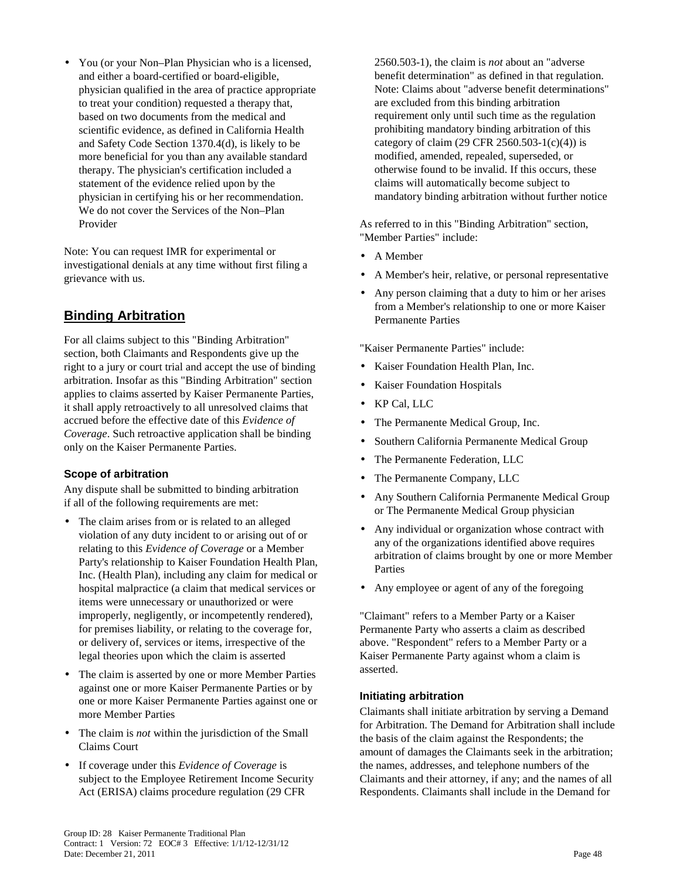• You (or your Non–Plan Physician who is a licensed, and either a board-certified or board-eligible, physician qualified in the area of practice appropriate to treat your condition) requested a therapy that, based on two documents from the medical and scientific evidence, as defined in California Health and Safety Code Section 1370.4(d), is likely to be more beneficial for you than any available standard therapy. The physician's certification included a statement of the evidence relied upon by the physician in certifying his or her recommendation. We do not cover the Services of the Non–Plan Provider

Note: You can request IMR for experimental or investigational denials at any time without first filing a grievance with us.

# **Binding Arbitration**

For all claims subject to this "Binding Arbitration" section, both Claimants and Respondents give up the right to a jury or court trial and accept the use of binding arbitration. Insofar as this "Binding Arbitration" section applies to claims asserted by Kaiser Permanente Parties, it shall apply retroactively to all unresolved claims that accrued before the effective date of this *Evidence of Coverage*. Such retroactive application shall be binding only on the Kaiser Permanente Parties.

### **Scope of arbitration**

Any dispute shall be submitted to binding arbitration if all of the following requirements are met:

- The claim arises from or is related to an alleged violation of any duty incident to or arising out of or relating to this *Evidence of Coverage* or a Member Party's relationship to Kaiser Foundation Health Plan, Inc. (Health Plan), including any claim for medical or hospital malpractice (a claim that medical services or items were unnecessary or unauthorized or were improperly, negligently, or incompetently rendered), for premises liability, or relating to the coverage for, or delivery of, services or items, irrespective of the legal theories upon which the claim is asserted
- The claim is asserted by one or more Member Parties against one or more Kaiser Permanente Parties or by one or more Kaiser Permanente Parties against one or more Member Parties
- The claim is *not* within the jurisdiction of the Small Claims Court
- If coverage under this *Evidence of Coverage* is subject to the Employee Retirement Income Security Act (ERISA) claims procedure regulation (29 CFR

2560.503-1), the claim is *not* about an "adverse benefit determination" as defined in that regulation. Note: Claims about "adverse benefit determinations" are excluded from this binding arbitration requirement only until such time as the regulation prohibiting mandatory binding arbitration of this category of claim (29 CFR 2560.503-1(c)(4)) is modified, amended, repealed, superseded, or otherwise found to be invalid. If this occurs, these claims will automatically become subject to mandatory binding arbitration without further notice

As referred to in this "Binding Arbitration" section, "Member Parties" include:

- A Member
- A Member's heir, relative, or personal representative
- Any person claiming that a duty to him or her arises from a Member's relationship to one or more Kaiser Permanente Parties

"Kaiser Permanente Parties" include:

- Kaiser Foundation Health Plan, Inc.
- Kaiser Foundation Hospitals
- KP Cal, LLC
- The Permanente Medical Group, Inc.
- Southern California Permanente Medical Group
- The Permanente Federation, LLC
- The Permanente Company, LLC
- Any Southern California Permanente Medical Group or The Permanente Medical Group physician
- Any individual or organization whose contract with any of the organizations identified above requires arbitration of claims brought by one or more Member Parties
- Any employee or agent of any of the foregoing

"Claimant" refers to a Member Party or a Kaiser Permanente Party who asserts a claim as described above. "Respondent" refers to a Member Party or a Kaiser Permanente Party against whom a claim is asserted.

### **Initiating arbitration**

Claimants shall initiate arbitration by serving a Demand for Arbitration. The Demand for Arbitration shall include the basis of the claim against the Respondents; the amount of damages the Claimants seek in the arbitration; the names, addresses, and telephone numbers of the Claimants and their attorney, if any; and the names of all Respondents. Claimants shall include in the Demand for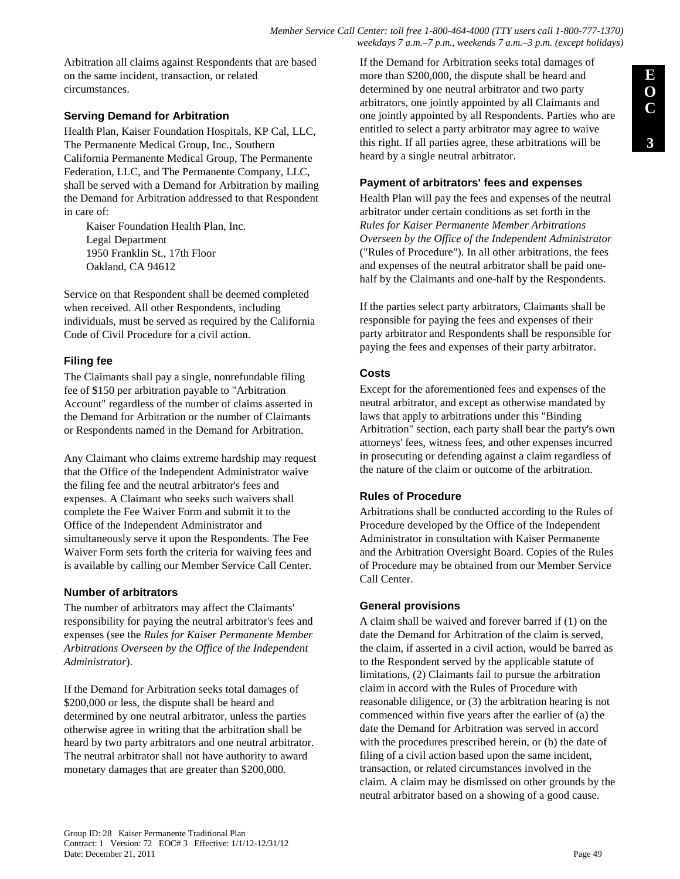Arbitration all claims against Respondents that are based on the same incident, transaction, or related circumstances.

### **Serving Demand for Arbitration**

Health Plan, Kaiser Foundation Hospitals, KP Cal, LLC, The Permanente Medical Group, Inc., Southern California Permanente Medical Group, The Permanente Federation, LLC, and The Permanente Company, LLC, shall be served with a Demand for Arbitration by mailing the Demand for Arbitration addressed to that Respondent in care of:

Kaiser Foundation Health Plan, Inc. Legal Department 1950 Franklin St., 17th Floor Oakland, CA 94612

Service on that Respondent shall be deemed completed when received. All other Respondents, including individuals, must be served as required by the California Code of Civil Procedure for a civil action.

### **Filing fee**

The Claimants shall pay a single, nonrefundable filing fee of \$150 per arbitration payable to "Arbitration Account" regardless of the number of claims asserted in the Demand for Arbitration or the number of Claimants or Respondents named in the Demand for Arbitration.

Any Claimant who claims extreme hardship may request that the Office of the Independent Administrator waive the filing fee and the neutral arbitrator's fees and expenses. A Claimant who seeks such waivers shall complete the Fee Waiver Form and submit it to the Office of the Independent Administrator and simultaneously serve it upon the Respondents. The Fee Waiver Form sets forth the criteria for waiving fees and is available by calling our Member Service Call Center.

### **Number of arbitrators**

The number of arbitrators may affect the Claimants' responsibility for paying the neutral arbitrator's fees and expenses (see the *Rules for Kaiser Permanente Member Arbitrations Overseen by the Office of the Independent Administrator*).

If the Demand for Arbitration seeks total damages of \$200,000 or less, the dispute shall be heard and determined by one neutral arbitrator, unless the parties otherwise agree in writing that the arbitration shall be heard by two party arbitrators and one neutral arbitrator. The neutral arbitrator shall not have authority to award monetary damages that are greater than \$200,000.

If the Demand for Arbitration seeks total damages of more than \$200,000, the dispute shall be heard and determined by one neutral arbitrator and two party arbitrators, one jointly appointed by all Claimants and one jointly appointed by all Respondents. Parties who are entitled to select a party arbitrator may agree to waive this right. If all parties agree, these arbitrations will be heard by a single neutral arbitrator.

### **Payment of arbitrators' fees and expenses**

Health Plan will pay the fees and expenses of the neutral arbitrator under certain conditions as set forth in the *Rules for Kaiser Permanente Member Arbitrations Overseen by the Office of the Independent Administrator* ("Rules of Procedure"). In all other arbitrations, the fees and expenses of the neutral arbitrator shall be paid onehalf by the Claimants and one-half by the Respondents.

If the parties select party arbitrators, Claimants shall be responsible for paying the fees and expenses of their party arbitrator and Respondents shall be responsible for paying the fees and expenses of their party arbitrator.

### **Costs**

Except for the aforementioned fees and expenses of the neutral arbitrator, and except as otherwise mandated by laws that apply to arbitrations under this "Binding Arbitration" section, each party shall bear the party's own attorneys' fees, witness fees, and other expenses incurred in prosecuting or defending against a claim regardless of the nature of the claim or outcome of the arbitration.

### **Rules of Procedure**

Arbitrations shall be conducted according to the Rules of Procedure developed by the Office of the Independent Administrator in consultation with Kaiser Permanente and the Arbitration Oversight Board. Copies of the Rules of Procedure may be obtained from our Member Service Call Center.

### **General provisions**

A claim shall be waived and forever barred if (1) on the date the Demand for Arbitration of the claim is served, the claim, if asserted in a civil action, would be barred as to the Respondent served by the applicable statute of limitations, (2) Claimants fail to pursue the arbitration claim in accord with the Rules of Procedure with reasonable diligence, or (3) the arbitration hearing is not commenced within five years after the earlier of (a) the date the Demand for Arbitration was served in accord with the procedures prescribed herein, or (b) the date of filing of a civil action based upon the same incident, transaction, or related circumstances involved in the claim. A claim may be dismissed on other grounds by the neutral arbitrator based on a showing of a good cause.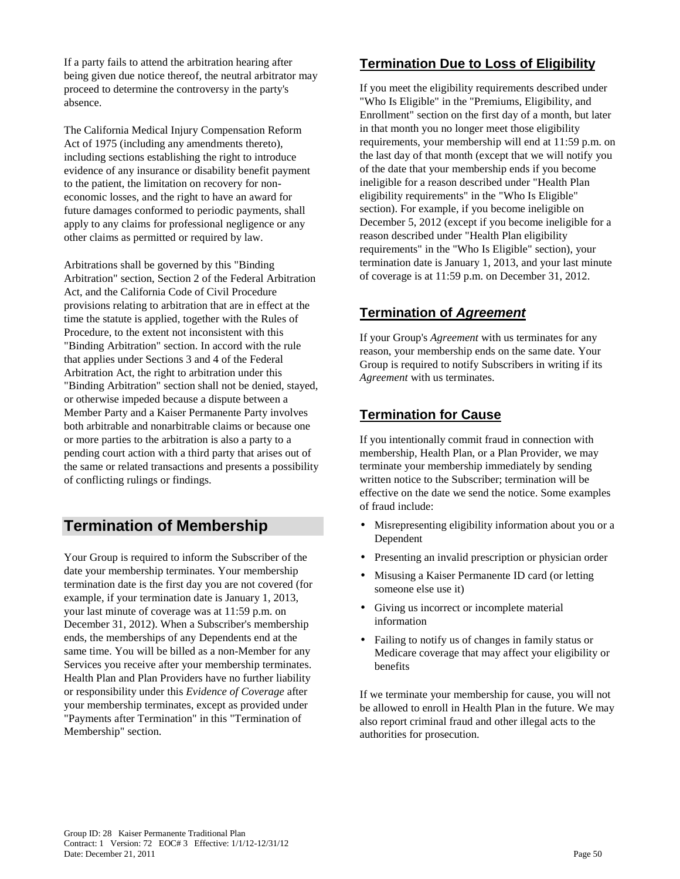If a party fails to attend the arbitration hearing after being given due notice thereof, the neutral arbitrator may proceed to determine the controversy in the party's absence.

The California Medical Injury Compensation Reform Act of 1975 (including any amendments thereto), including sections establishing the right to introduce evidence of any insurance or disability benefit payment to the patient, the limitation on recovery for noneconomic losses, and the right to have an award for future damages conformed to periodic payments, shall apply to any claims for professional negligence or any other claims as permitted or required by law.

Arbitrations shall be governed by this "Binding Arbitration" section, Section 2 of the Federal Arbitration Act, and the California Code of Civil Procedure provisions relating to arbitration that are in effect at the time the statute is applied, together with the Rules of Procedure, to the extent not inconsistent with this "Binding Arbitration" section. In accord with the rule that applies under Sections 3 and 4 of the Federal Arbitration Act, the right to arbitration under this "Binding Arbitration" section shall not be denied, stayed, or otherwise impeded because a dispute between a Member Party and a Kaiser Permanente Party involves both arbitrable and nonarbitrable claims or because one or more parties to the arbitration is also a party to a pending court action with a third party that arises out of the same or related transactions and presents a possibility of conflicting rulings or findings.

# **Termination of Membership**

Your Group is required to inform the Subscriber of the date your membership terminates. Your membership termination date is the first day you are not covered (for example, if your termination date is January 1, 2013, your last minute of coverage was at 11:59 p.m. on December 31, 2012). When a Subscriber's membership ends, the memberships of any Dependents end at the same time. You will be billed as a non-Member for any Services you receive after your membership terminates. Health Plan and Plan Providers have no further liability or responsibility under this *Evidence of Coverage* after your membership terminates, except as provided under "Payments after Termination" in this "Termination of Membership" section.

## **Termination Due to Loss of Eligibility**

If you meet the eligibility requirements described under "Who Is Eligible" in the "Premiums, Eligibility, and Enrollment" section on the first day of a month, but later in that month you no longer meet those eligibility requirements, your membership will end at 11:59 p.m. on the last day of that month (except that we will notify you of the date that your membership ends if you become ineligible for a reason described under "Health Plan eligibility requirements" in the "Who Is Eligible" section). For example, if you become ineligible on December 5, 2012 (except if you become ineligible for a reason described under "Health Plan eligibility requirements" in the "Who Is Eligible" section), your termination date is January 1, 2013, and your last minute of coverage is at 11:59 p.m. on December 31, 2012.

# **Termination of Agreement**

If your Group's *Agreement* with us terminates for any reason, your membership ends on the same date. Your Group is required to notify Subscribers in writing if its *Agreement* with us terminates.

# **Termination for Cause**

If you intentionally commit fraud in connection with membership, Health Plan, or a Plan Provider, we may terminate your membership immediately by sending written notice to the Subscriber; termination will be effective on the date we send the notice. Some examples of fraud include:

- Misrepresenting eligibility information about you or a Dependent
- Presenting an invalid prescription or physician order
- Misusing a Kaiser Permanente ID card (or letting someone else use it)
- Giving us incorrect or incomplete material information
- Failing to notify us of changes in family status or Medicare coverage that may affect your eligibility or benefits

If we terminate your membership for cause, you will not be allowed to enroll in Health Plan in the future. We may also report criminal fraud and other illegal acts to the authorities for prosecution.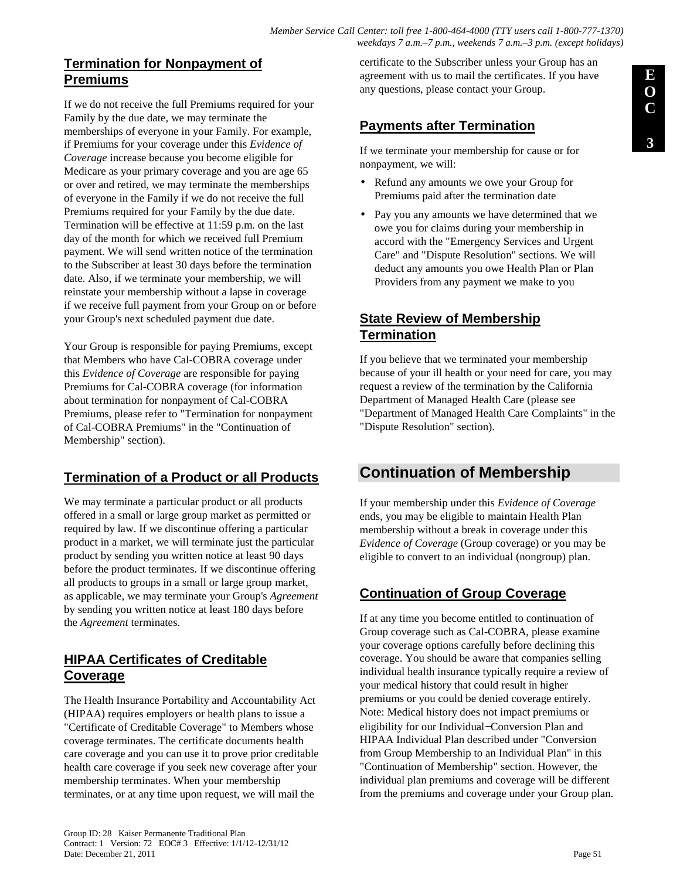#### *Member Service Call Center: toll free 1-800-464-4000 (TTY users call 1-800-777-1370) weekdays 7 a.m.–7 p.m., weekends 7 a.m.–3 p.m. (except holidays)*

# **Termination for Nonpayment of Premiums**

If we do not receive the full Premiums required for your Family by the due date, we may terminate the memberships of everyone in your Family. For example, if Premiums for your coverage under this *Evidence of Coverage* increase because you become eligible for Medicare as your primary coverage and you are age 65 or over and retired, we may terminate the memberships of everyone in the Family if we do not receive the full Premiums required for your Family by the due date. Termination will be effective at 11:59 p.m. on the last day of the month for which we received full Premium payment. We will send written notice of the termination to the Subscriber at least 30 days before the termination date. Also, if we terminate your membership, we will reinstate your membership without a lapse in coverage if we receive full payment from your Group on or before your Group's next scheduled payment due date.

Your Group is responsible for paying Premiums, except that Members who have Cal-COBRA coverage under this *Evidence of Coverage* are responsible for paying Premiums for Cal-COBRA coverage (for information about termination for nonpayment of Cal-COBRA Premiums, please refer to "Termination for nonpayment of Cal-COBRA Premiums" in the "Continuation of Membership" section).

# **Termination of a Product or all Products**

We may terminate a particular product or all products offered in a small or large group market as permitted or required by law. If we discontinue offering a particular product in a market, we will terminate just the particular product by sending you written notice at least 90 days before the product terminates. If we discontinue offering all products to groups in a small or large group market, as applicable, we may terminate your Group's *Agreement* by sending you written notice at least 180 days before the *Agreement* terminates.

# **HIPAA Certificates of Creditable Coverage**

The Health Insurance Portability and Accountability Act (HIPAA) requires employers or health plans to issue a "Certificate of Creditable Coverage" to Members whose coverage terminates. The certificate documents health care coverage and you can use it to prove prior creditable health care coverage if you seek new coverage after your membership terminates. When your membership terminates, or at any time upon request, we will mail the

certificate to the Subscriber unless your Group has an agreement with us to mail the certificates. If you have any questions, please contact your Group.

# **Payments after Termination**

If we terminate your membership for cause or for nonpayment, we will:

- Refund any amounts we owe your Group for Premiums paid after the termination date
- Pay you any amounts we have determined that we owe you for claims during your membership in accord with the "Emergency Services and Urgent Care" and "Dispute Resolution" sections. We will deduct any amounts you owe Health Plan or Plan Providers from any payment we make to you

# **State Review of Membership Termination**

If you believe that we terminated your membership because of your ill health or your need for care, you may request a review of the termination by the California Department of Managed Health Care (please see "Department of Managed Health Care Complaints" in the "Dispute Resolution" section).

# **Continuation of Membership**

If your membership under this *Evidence of Coverage*  ends, you may be eligible to maintain Health Plan membership without a break in coverage under this *Evidence of Coverage* (Group coverage) or you may be eligible to convert to an individual (nongroup) plan.

# **Continuation of Group Coverage**

If at any time you become entitled to continuation of Group coverage such as Cal-COBRA, please examine your coverage options carefully before declining this coverage. You should be aware that companies selling individual health insurance typically require a review of your medical history that could result in higher premiums or you could be denied coverage entirely. Note: Medical history does not impact premiums or eligibility for our Individual−Conversion Plan and HIPAA Individual Plan described under "Conversion from Group Membership to an Individual Plan" in this "Continuation of Membership" section. However, the individual plan premiums and coverage will be different from the premiums and coverage under your Group plan.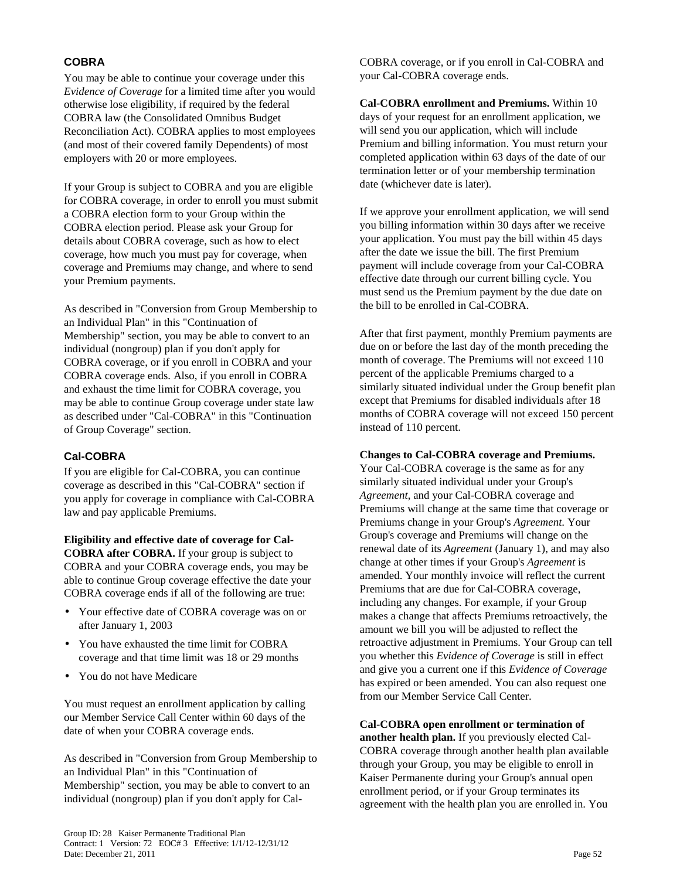### **COBRA**

You may be able to continue your coverage under this *Evidence of Coverage* for a limited time after you would otherwise lose eligibility, if required by the federal COBRA law (the Consolidated Omnibus Budget Reconciliation Act). COBRA applies to most employees (and most of their covered family Dependents) of most employers with 20 or more employees.

If your Group is subject to COBRA and you are eligible for COBRA coverage, in order to enroll you must submit a COBRA election form to your Group within the COBRA election period. Please ask your Group for details about COBRA coverage, such as how to elect coverage, how much you must pay for coverage, when coverage and Premiums may change, and where to send your Premium payments.

As described in "Conversion from Group Membership to an Individual Plan" in this "Continuation of Membership" section, you may be able to convert to an individual (nongroup) plan if you don't apply for COBRA coverage, or if you enroll in COBRA and your COBRA coverage ends. Also, if you enroll in COBRA and exhaust the time limit for COBRA coverage, you may be able to continue Group coverage under state law as described under "Cal-COBRA" in this "Continuation of Group Coverage" section.

### **Cal-COBRA**

If you are eligible for Cal-COBRA, you can continue coverage as described in this "Cal-COBRA" section if you apply for coverage in compliance with Cal-COBRA law and pay applicable Premiums.

**Eligibility and effective date of coverage for Cal-COBRA after COBRA.** If your group is subject to COBRA and your COBRA coverage ends, you may be able to continue Group coverage effective the date your COBRA coverage ends if all of the following are true:

- Your effective date of COBRA coverage was on or after January 1, 2003
- You have exhausted the time limit for COBRA coverage and that time limit was 18 or 29 months
- You do not have Medicare

You must request an enrollment application by calling our Member Service Call Center within 60 days of the date of when your COBRA coverage ends.

As described in "Conversion from Group Membership to an Individual Plan" in this "Continuation of Membership" section, you may be able to convert to an individual (nongroup) plan if you don't apply for CalCOBRA coverage, or if you enroll in Cal-COBRA and your Cal-COBRA coverage ends.

**Cal-COBRA enrollment and Premiums.** Within 10 days of your request for an enrollment application, we will send you our application, which will include Premium and billing information. You must return your completed application within 63 days of the date of our termination letter or of your membership termination date (whichever date is later).

If we approve your enrollment application, we will send you billing information within 30 days after we receive your application. You must pay the bill within 45 days after the date we issue the bill. The first Premium payment will include coverage from your Cal-COBRA effective date through our current billing cycle. You must send us the Premium payment by the due date on the bill to be enrolled in Cal-COBRA.

After that first payment, monthly Premium payments are due on or before the last day of the month preceding the month of coverage. The Premiums will not exceed 110 percent of the applicable Premiums charged to a similarly situated individual under the Group benefit plan except that Premiums for disabled individuals after 18 months of COBRA coverage will not exceed 150 percent instead of 110 percent.

#### **Changes to Cal-COBRA coverage and Premiums.**

Your Cal-COBRA coverage is the same as for any similarly situated individual under your Group's *Agreement*, and your Cal-COBRA coverage and Premiums will change at the same time that coverage or Premiums change in your Group's *Agreement*. Your Group's coverage and Premiums will change on the renewal date of its *Agreement* (January 1), and may also change at other times if your Group's *Agreement* is amended. Your monthly invoice will reflect the current Premiums that are due for Cal-COBRA coverage, including any changes. For example, if your Group makes a change that affects Premiums retroactively, the amount we bill you will be adjusted to reflect the retroactive adjustment in Premiums. Your Group can tell you whether this *Evidence of Coverage* is still in effect and give you a current one if this *Evidence of Coverage* has expired or been amended. You can also request one from our Member Service Call Center.

**Cal-COBRA open enrollment or termination of another health plan.** If you previously elected Cal-COBRA coverage through another health plan available through your Group, you may be eligible to enroll in Kaiser Permanente during your Group's annual open enrollment period, or if your Group terminates its agreement with the health plan you are enrolled in. You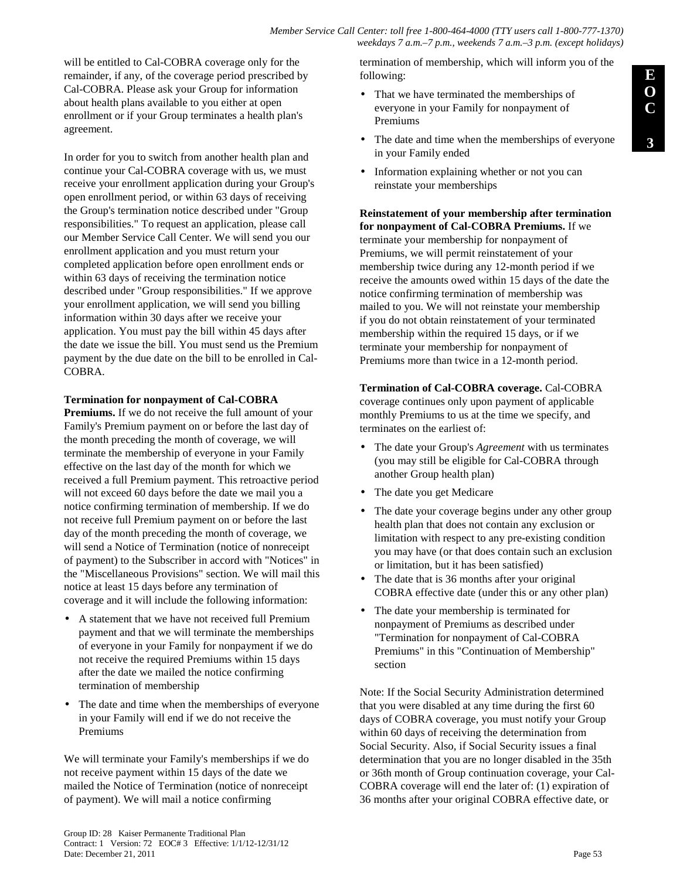will be entitled to Cal-COBRA coverage only for the remainder, if any, of the coverage period prescribed by Cal-COBRA. Please ask your Group for information about health plans available to you either at open enrollment or if your Group terminates a health plan's agreement.

In order for you to switch from another health plan and continue your Cal-COBRA coverage with us, we must receive your enrollment application during your Group's open enrollment period, or within 63 days of receiving the Group's termination notice described under "Group responsibilities." To request an application, please call our Member Service Call Center. We will send you our enrollment application and you must return your completed application before open enrollment ends or within 63 days of receiving the termination notice described under "Group responsibilities." If we approve your enrollment application, we will send you billing information within 30 days after we receive your application. You must pay the bill within 45 days after the date we issue the bill. You must send us the Premium payment by the due date on the bill to be enrolled in Cal-COBRA.

#### **Termination for nonpayment of Cal-COBRA**

**Premiums.** If we do not receive the full amount of your Family's Premium payment on or before the last day of the month preceding the month of coverage, we will terminate the membership of everyone in your Family effective on the last day of the month for which we received a full Premium payment. This retroactive period will not exceed 60 days before the date we mail you a notice confirming termination of membership. If we do not receive full Premium payment on or before the last day of the month preceding the month of coverage, we will send a Notice of Termination (notice of nonreceipt of payment) to the Subscriber in accord with "Notices" in the "Miscellaneous Provisions" section. We will mail this notice at least 15 days before any termination of coverage and it will include the following information:

- A statement that we have not received full Premium payment and that we will terminate the memberships of everyone in your Family for nonpayment if we do not receive the required Premiums within 15 days after the date we mailed the notice confirming termination of membership
- The date and time when the memberships of everyone in your Family will end if we do not receive the Premiums

We will terminate your Family's memberships if we do not receive payment within 15 days of the date we mailed the Notice of Termination (notice of nonreceipt of payment). We will mail a notice confirming

termination of membership, which will inform you of the following:

- That we have terminated the memberships of everyone in your Family for nonpayment of Premiums
- The date and time when the memberships of everyone in your Family ended
- Information explaining whether or not you can reinstate your memberships

**Reinstatement of your membership after termination for nonpayment of Cal-COBRA Premiums.** If we terminate your membership for nonpayment of Premiums, we will permit reinstatement of your membership twice during any 12-month period if we receive the amounts owed within 15 days of the date the notice confirming termination of membership was mailed to you. We will not reinstate your membership if you do not obtain reinstatement of your terminated membership within the required 15 days, or if we terminate your membership for nonpayment of Premiums more than twice in a 12-month period.

#### **Termination of Cal-COBRA coverage.** Cal-COBRA coverage continues only upon payment of applicable monthly Premiums to us at the time we specify, and

- terminates on the earliest of: • The date your Group's *Agreement* with us terminates (you may still be eligible for Cal-COBRA through another Group health plan)
- The date you get Medicare
- The date your coverage begins under any other group health plan that does not contain any exclusion or limitation with respect to any pre-existing condition you may have (or that does contain such an exclusion or limitation, but it has been satisfied)
- The date that is 36 months after your original COBRA effective date (under this or any other plan)
- The date your membership is terminated for nonpayment of Premiums as described under "Termination for nonpayment of Cal-COBRA Premiums" in this "Continuation of Membership" section

Note: If the Social Security Administration determined that you were disabled at any time during the first 60 days of COBRA coverage, you must notify your Group within 60 days of receiving the determination from Social Security. Also, if Social Security issues a final determination that you are no longer disabled in the 35th or 36th month of Group continuation coverage, your Cal-COBRA coverage will end the later of: (1) expiration of 36 months after your original COBRA effective date, or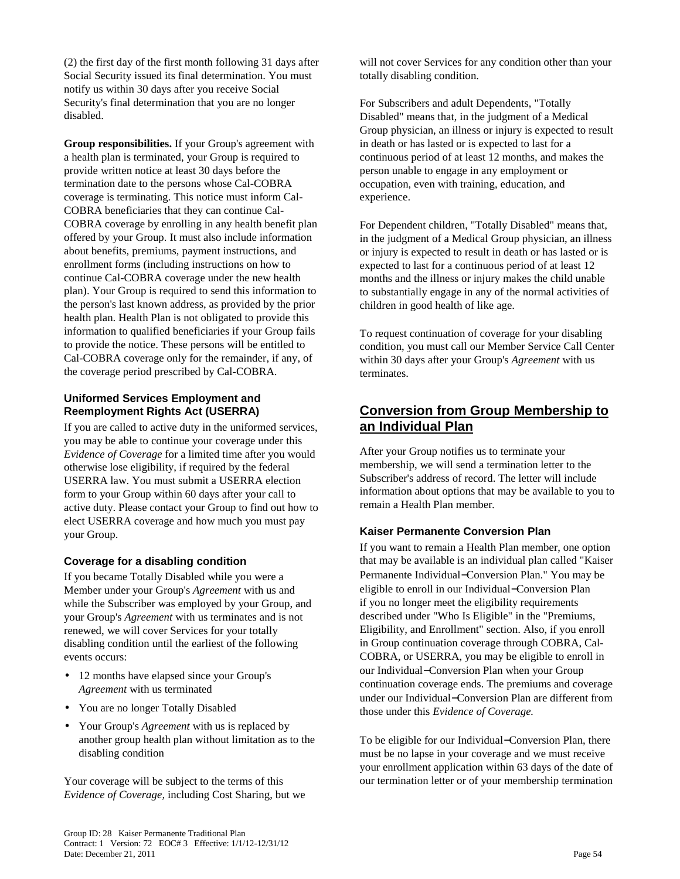(2) the first day of the first month following 31 days after Social Security issued its final determination. You must notify us within 30 days after you receive Social Security's final determination that you are no longer disabled.

**Group responsibilities.** If your Group's agreement with a health plan is terminated, your Group is required to provide written notice at least 30 days before the termination date to the persons whose Cal-COBRA coverage is terminating. This notice must inform Cal-COBRA beneficiaries that they can continue Cal-COBRA coverage by enrolling in any health benefit plan offered by your Group. It must also include information about benefits, premiums, payment instructions, and enrollment forms (including instructions on how to continue Cal-COBRA coverage under the new health plan). Your Group is required to send this information to the person's last known address, as provided by the prior health plan. Health Plan is not obligated to provide this information to qualified beneficiaries if your Group fails to provide the notice. These persons will be entitled to Cal-COBRA coverage only for the remainder, if any, of the coverage period prescribed by Cal-COBRA.

### **Uniformed Services Employment and Reemployment Rights Act (USERRA)**

If you are called to active duty in the uniformed services, you may be able to continue your coverage under this *Evidence of Coverage* for a limited time after you would otherwise lose eligibility, if required by the federal USERRA law. You must submit a USERRA election form to your Group within 60 days after your call to active duty. Please contact your Group to find out how to elect USERRA coverage and how much you must pay your Group.

### **Coverage for a disabling condition**

If you became Totally Disabled while you were a Member under your Group's *Agreement* with us and while the Subscriber was employed by your Group, and your Group's *Agreement* with us terminates and is not renewed, we will cover Services for your totally disabling condition until the earliest of the following events occurs:

- 12 months have elapsed since your Group's *Agreement* with us terminated
- You are no longer Totally Disabled
- Your Group's *Agreement* with us is replaced by another group health plan without limitation as to the disabling condition

Your coverage will be subject to the terms of this *Evidence of Coverage,* including Cost Sharing, but we will not cover Services for any condition other than your totally disabling condition.

For Subscribers and adult Dependents, "Totally Disabled" means that, in the judgment of a Medical Group physician, an illness or injury is expected to result in death or has lasted or is expected to last for a continuous period of at least 12 months, and makes the person unable to engage in any employment or occupation, even with training, education, and experience.

For Dependent children, "Totally Disabled" means that, in the judgment of a Medical Group physician, an illness or injury is expected to result in death or has lasted or is expected to last for a continuous period of at least 12 months and the illness or injury makes the child unable to substantially engage in any of the normal activities of children in good health of like age.

To request continuation of coverage for your disabling condition, you must call our Member Service Call Center within 30 days after your Group's *Agreement* with us terminates.

# **Conversion from Group Membership to an Individual Plan**

After your Group notifies us to terminate your membership, we will send a termination letter to the Subscriber's address of record. The letter will include information about options that may be available to you to remain a Health Plan member*.*

### **Kaiser Permanente Conversion Plan**

If you want to remain a Health Plan member, one option that may be available is an individual plan called "Kaiser Permanente Individual−Conversion Plan." You may be eligible to enroll in our Individual−Conversion Plan if you no longer meet the eligibility requirements described under "Who Is Eligible" in the "Premiums, Eligibility, and Enrollment" section. Also, if you enroll in Group continuation coverage through COBRA, Cal-COBRA, or USERRA, you may be eligible to enroll in our Individual−Conversion Plan when your Group continuation coverage ends. The premiums and coverage under our Individual−Conversion Plan are different from those under this *Evidence of Coverage.*

To be eligible for our Individual−Conversion Plan, there must be no lapse in your coverage and we must receive your enrollment application within 63 days of the date of our termination letter or of your membership termination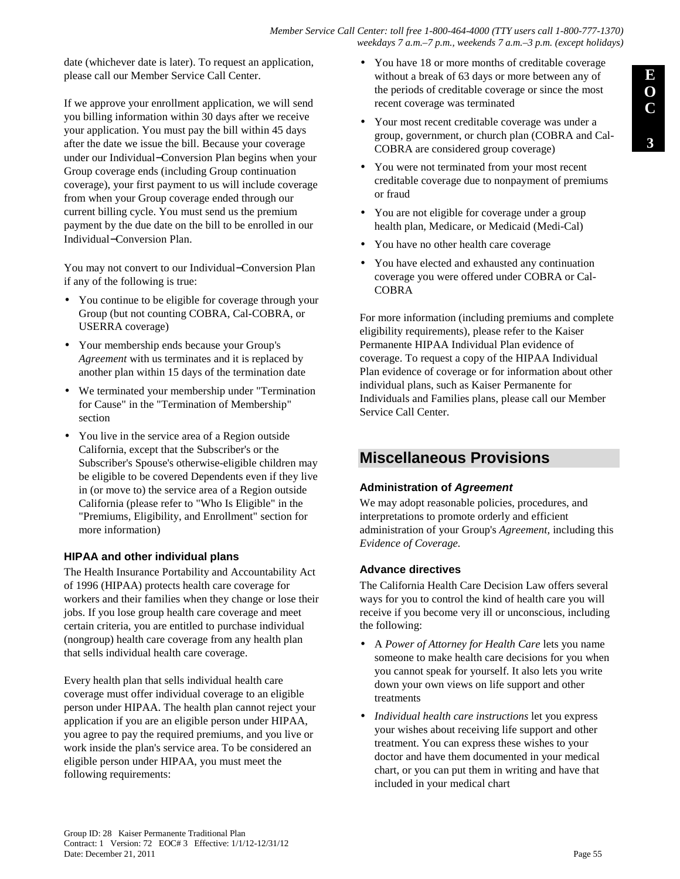date (whichever date is later). To request an application, please call our Member Service Call Center.

If we approve your enrollment application, we will send you billing information within 30 days after we receive your application. You must pay the bill within 45 days after the date we issue the bill. Because your coverage under our Individual−Conversion Plan begins when your Group coverage ends (including Group continuation coverage), your first payment to us will include coverage from when your Group coverage ended through our current billing cycle. You must send us the premium payment by the due date on the bill to be enrolled in our Individual−Conversion Plan.

You may not convert to our Individual−Conversion Plan if any of the following is true:

- You continue to be eligible for coverage through your Group (but not counting COBRA, Cal-COBRA, or USERRA coverage)
- Your membership ends because your Group's *Agreement* with us terminates and it is replaced by another plan within 15 days of the termination date
- We terminated your membership under "Termination for Cause" in the "Termination of Membership" section
- You live in the service area of a Region outside California, except that the Subscriber's or the Subscriber's Spouse's otherwise-eligible children may be eligible to be covered Dependents even if they live in (or move to) the service area of a Region outside California (please refer to "Who Is Eligible" in the "Premiums, Eligibility, and Enrollment" section for more information)

### **HIPAA and other individual plans**

The Health Insurance Portability and Accountability Act of 1996 (HIPAA) protects health care coverage for workers and their families when they change or lose their jobs. If you lose group health care coverage and meet certain criteria, you are entitled to purchase individual (nongroup) health care coverage from any health plan that sells individual health care coverage.

Every health plan that sells individual health care coverage must offer individual coverage to an eligible person under HIPAA. The health plan cannot reject your application if you are an eligible person under HIPAA, you agree to pay the required premiums, and you live or work inside the plan's service area. To be considered an eligible person under HIPAA, you must meet the following requirements:

- You have 18 or more months of creditable coverage without a break of 63 days or more between any of the periods of creditable coverage or since the most recent coverage was terminated
- Your most recent creditable coverage was under a group, government, or church plan (COBRA and Cal-COBRA are considered group coverage)
- You were not terminated from your most recent creditable coverage due to nonpayment of premiums or fraud
- You are not eligible for coverage under a group health plan, Medicare, or Medicaid (Medi-Cal)
- You have no other health care coverage
- You have elected and exhausted any continuation coverage you were offered under COBRA or Cal-COBRA

For more information (including premiums and complete eligibility requirements), please refer to the Kaiser Permanente HIPAA Individual Plan evidence of coverage. To request a copy of the HIPAA Individual Plan evidence of coverage or for information about other individual plans, such as Kaiser Permanente for Individuals and Families plans, please call our Member Service Call Center.

# **Miscellaneous Provisions**

### **Administration of Agreement**

We may adopt reasonable policies, procedures, and interpretations to promote orderly and efficient administration of your Group's *Agreement,* including this *Evidence of Coverage.*

### **Advance directives**

The California Health Care Decision Law offers several ways for you to control the kind of health care you will receive if you become very ill or unconscious, including the following:

- A *Power of Attorney for Health Care* lets you name someone to make health care decisions for you when you cannot speak for yourself. It also lets you write down your own views on life support and other treatments
- *Individual health care instructions* let you express your wishes about receiving life support and other treatment. You can express these wishes to your doctor and have them documented in your medical chart, or you can put them in writing and have that included in your medical chart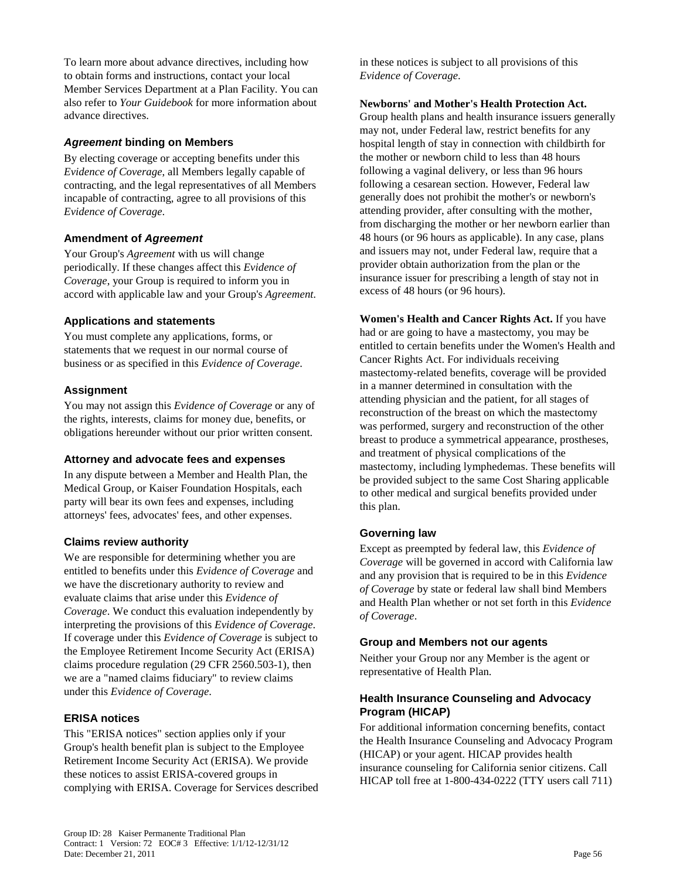To learn more about advance directives, including how to obtain forms and instructions, contact your local Member Services Department at a Plan Facility. You can also refer to *Your Guidebook* for more information about advance directives.

#### **Agreement binding on Members**

By electing coverage or accepting benefits under this *Evidence of Coverage*, all Members legally capable of contracting, and the legal representatives of all Members incapable of contracting, agree to all provisions of this *Evidence of Coverage*.

### **Amendment of Agreement**

Your Group's *Agreement* with us will change periodically. If these changes affect this *Evidence of Coverage*, your Group is required to inform you in accord with applicable law and your Group's *Agreement.*

### **Applications and statements**

You must complete any applications, forms, or statements that we request in our normal course of business or as specified in this *Evidence of Coverage*.

### **Assignment**

You may not assign this *Evidence of Coverage* or any of the rights, interests, claims for money due, benefits, or obligations hereunder without our prior written consent.

### **Attorney and advocate fees and expenses**

In any dispute between a Member and Health Plan, the Medical Group, or Kaiser Foundation Hospitals, each party will bear its own fees and expenses, including attorneys' fees, advocates' fees, and other expenses.

### **Claims review authority**

We are responsible for determining whether you are entitled to benefits under this *Evidence of Coverage* and we have the discretionary authority to review and evaluate claims that arise under this *Evidence of Coverage*. We conduct this evaluation independently by interpreting the provisions of this *Evidence of Coverage*. If coverage under this *Evidence of Coverage* is subject to the Employee Retirement Income Security Act (ERISA) claims procedure regulation (29 CFR 2560.503-1), then we are a "named claims fiduciary" to review claims under this *Evidence of Coverage*.

### **ERISA notices**

This "ERISA notices" section applies only if your Group's health benefit plan is subject to the Employee Retirement Income Security Act (ERISA). We provide these notices to assist ERISA-covered groups in complying with ERISA. Coverage for Services described in these notices is subject to all provisions of this *Evidence of Coverage*.

#### **Newborns' and Mother's Health Protection Act.**

Group health plans and health insurance issuers generally may not, under Federal law, restrict benefits for any hospital length of stay in connection with childbirth for the mother or newborn child to less than 48 hours following a vaginal delivery, or less than 96 hours following a cesarean section. However, Federal law generally does not prohibit the mother's or newborn's attending provider, after consulting with the mother, from discharging the mother or her newborn earlier than 48 hours (or 96 hours as applicable). In any case, plans and issuers may not, under Federal law, require that a provider obtain authorization from the plan or the insurance issuer for prescribing a length of stay not in excess of 48 hours (or 96 hours).

**Women's Health and Cancer Rights Act.** If you have had or are going to have a mastectomy, you may be entitled to certain benefits under the Women's Health and Cancer Rights Act. For individuals receiving mastectomy-related benefits, coverage will be provided in a manner determined in consultation with the attending physician and the patient, for all stages of reconstruction of the breast on which the mastectomy was performed, surgery and reconstruction of the other breast to produce a symmetrical appearance, prostheses, and treatment of physical complications of the mastectomy, including lymphedemas. These benefits will be provided subject to the same Cost Sharing applicable to other medical and surgical benefits provided under this plan.

### **Governing law**

Except as preempted by federal law, this *Evidence of Coverage* will be governed in accord with California law and any provision that is required to be in this *Evidence of Coverage* by state or federal law shall bind Members and Health Plan whether or not set forth in this *Evidence of Coverage*.

### **Group and Members not our agents**

Neither your Group nor any Member is the agent or representative of Health Plan.

### **Health Insurance Counseling and Advocacy Program (HICAP)**

For additional information concerning benefits, contact the Health Insurance Counseling and Advocacy Program (HICAP) or your agent. HICAP provides health insurance counseling for California senior citizens. Call HICAP toll free at 1-800-434-0222 (TTY users call 711)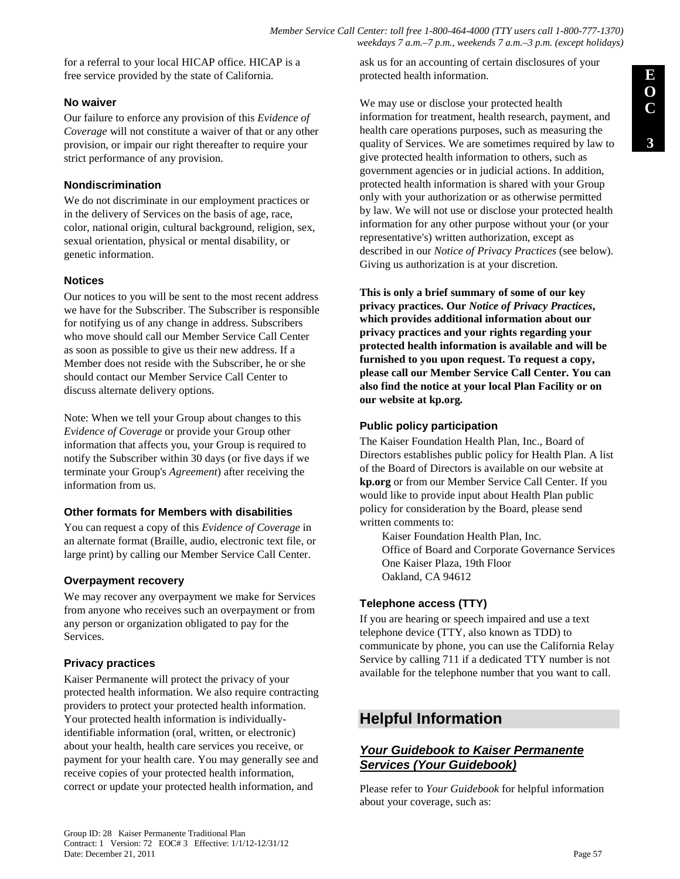*Member Service Call Center: toll free 1-800-464-4000 (TTY users call 1-800-777-1370) weekdays 7 a.m.–7 p.m., weekends 7 a.m.–3 p.m. (except holidays)*

for a referral to your local HICAP office. HICAP is a free service provided by the state of California.

### **No waiver**

Our failure to enforce any provision of this *Evidence of Coverage* will not constitute a waiver of that or any other provision, or impair our right thereafter to require your strict performance of any provision.

### **Nondiscrimination**

We do not discriminate in our employment practices or in the delivery of Services on the basis of age, race, color, national origin, cultural background, religion, sex, sexual orientation, physical or mental disability, or genetic information.

### **Notices**

Our notices to you will be sent to the most recent address we have for the Subscriber. The Subscriber is responsible for notifying us of any change in address. Subscribers who move should call our Member Service Call Center as soon as possible to give us their new address. If a Member does not reside with the Subscriber, he or she should contact our Member Service Call Center to discuss alternate delivery options.

Note: When we tell your Group about changes to this *Evidence of Coverage* or provide your Group other information that affects you, your Group is required to notify the Subscriber within 30 days (or five days if we terminate your Group's *Agreement*) after receiving the information from us.

### **Other formats for Members with disabilities**

You can request a copy of this *Evidence of Coverage* in an alternate format (Braille, audio, electronic text file, or large print) by calling our Member Service Call Center.

### **Overpayment recovery**

We may recover any overpayment we make for Services from anyone who receives such an overpayment or from any person or organization obligated to pay for the Services.

### **Privacy practices**

Kaiser Permanente will protect the privacy of your protected health information. We also require contracting providers to protect your protected health information. Your protected health information is individuallyidentifiable information (oral, written, or electronic) about your health, health care services you receive, or payment for your health care. You may generally see and receive copies of your protected health information, correct or update your protected health information, and

ask us for an accounting of certain disclosures of your protected health information.

We may use or disclose your protected health information for treatment, health research, payment, and health care operations purposes, such as measuring the quality of Services. We are sometimes required by law to give protected health information to others, such as government agencies or in judicial actions. In addition, protected health information is shared with your Group only with your authorization or as otherwise permitted by law. We will not use or disclose your protected health information for any other purpose without your (or your representative's) written authorization, except as described in our *Notice of Privacy Practices* (see below). Giving us authorization is at your discretion.

**This is only a brief summary of some of our key privacy practices. Our** *Notice of Privacy Practices***, which provides additional information about our privacy practices and your rights regarding your protected health information is available and will be furnished to you upon request. To request a copy, please call our Member Service Call Center. You can also find the notice at your local Plan Facility or on our website at kp.org***.* 

### **Public policy participation**

The Kaiser Foundation Health Plan, Inc., Board of Directors establishes public policy for Health Plan. A list of the Board of Directors is available on our website at **kp.org** or from our Member Service Call Center. If you would like to provide input about Health Plan public policy for consideration by the Board, please send written comments to:

Kaiser Foundation Health Plan, Inc. Office of Board and Corporate Governance Services One Kaiser Plaza, 19th Floor Oakland, CA 94612

## **Telephone access (TTY)**

If you are hearing or speech impaired and use a text telephone device (TTY, also known as TDD) to communicate by phone, you can use the California Relay Service by calling 711 if a dedicated TTY number is not available for the telephone number that you want to call.

# **Helpful Information**

### **Your Guidebook to Kaiser Permanente Services (Your Guidebook)**

Please refer to *Your Guidebook* for helpful information about your coverage, such as: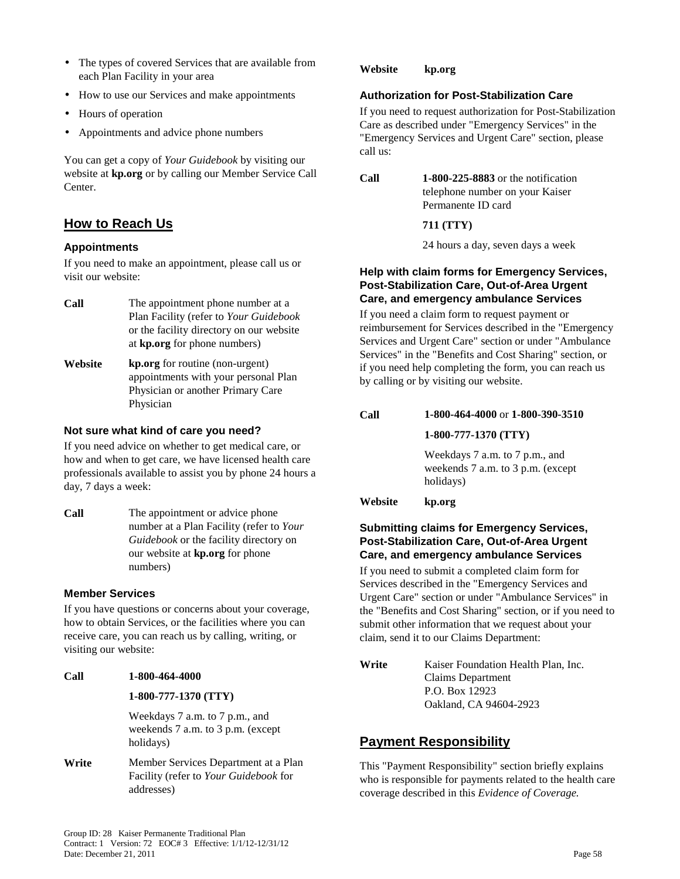- The types of covered Services that are available from each Plan Facility in your area
- How to use our Services and make appointments
- Hours of operation
- Appointments and advice phone numbers

You can get a copy of *Your Guidebook* by visiting our website at **kp.org** or by calling our Member Service Call Center.

# **How to Reach Us**

#### **Appointments**

If you need to make an appointment, please call us or visit our website:

- **Call** The appointment phone number at a Plan Facility (refer to *Your Guidebook*  or the facility directory on our website at **kp.org** for phone numbers)
- **Website kp.org** for routine (non-urgent) appointments with your personal Plan Physician or another Primary Care Physician

#### **Not sure what kind of care you need?**

If you need advice on whether to get medical care, or how and when to get care, we have licensed health care professionals available to assist you by phone 24 hours a day, 7 days a week:

**Call** The appointment or advice phone number at a Plan Facility (refer to *Your Guidebook* or the facility directory on our website at **kp.org** for phone numbers)

### **Member Services**

If you have questions or concerns about your coverage, how to obtain Services, or the facilities where you can receive care, you can reach us by calling, writing, or visiting our website:

**Call 1-800-464-4000** 

#### **1-800-777-1370 (TTY)**

Weekdays 7 a.m. to 7 p.m., and weekends 7 a.m. to 3 p.m. (except holidays)

Write **Member Services Department at a Plan** Facility (refer to *Your Guidebook* for addresses)

**Website kp.org** 

#### **Authorization for Post-Stabilization Care**

If you need to request authorization for Post-Stabilization Care as described under "Emergency Services" in the "Emergency Services and Urgent Care" section, please call us:

**Call 1-800-225-8883** or the notification telephone number on your Kaiser Permanente ID card

**711 (TTY)** 

24 hours a day, seven days a week

#### **Help with claim forms for Emergency Services, Post-Stabilization Care, Out-of-Area Urgent Care, and emergency ambulance Services**

If you need a claim form to request payment or reimbursement for Services described in the "Emergency Services and Urgent Care" section or under "Ambulance Services" in the "Benefits and Cost Sharing" section, or if you need help completing the form, you can reach us by calling or by visiting our website.

# **Call 1-800-464-4000** or **1-800-390-3510 1-800-777-1370 (TTY)**

Weekdays 7 a.m. to 7 p.m., and weekends 7 a.m. to 3 p.m. (except holidays)

#### **Website kp.org**

### **Submitting claims for Emergency Services, Post-Stabilization Care, Out-of-Area Urgent Care, and emergency ambulance Services**

If you need to submit a completed claim form for Services described in the "Emergency Services and Urgent Care" section or under "Ambulance Services" in the "Benefits and Cost Sharing" section, or if you need to submit other information that we request about your claim, send it to our Claims Department:

**Write** Kaiser Foundation Health Plan, Inc. Claims Department P.O. Box 12923 Oakland, CA 94604-2923

## **Payment Responsibility**

This "Payment Responsibility" section briefly explains who is responsible for payments related to the health care coverage described in this *Evidence of Coverage.*